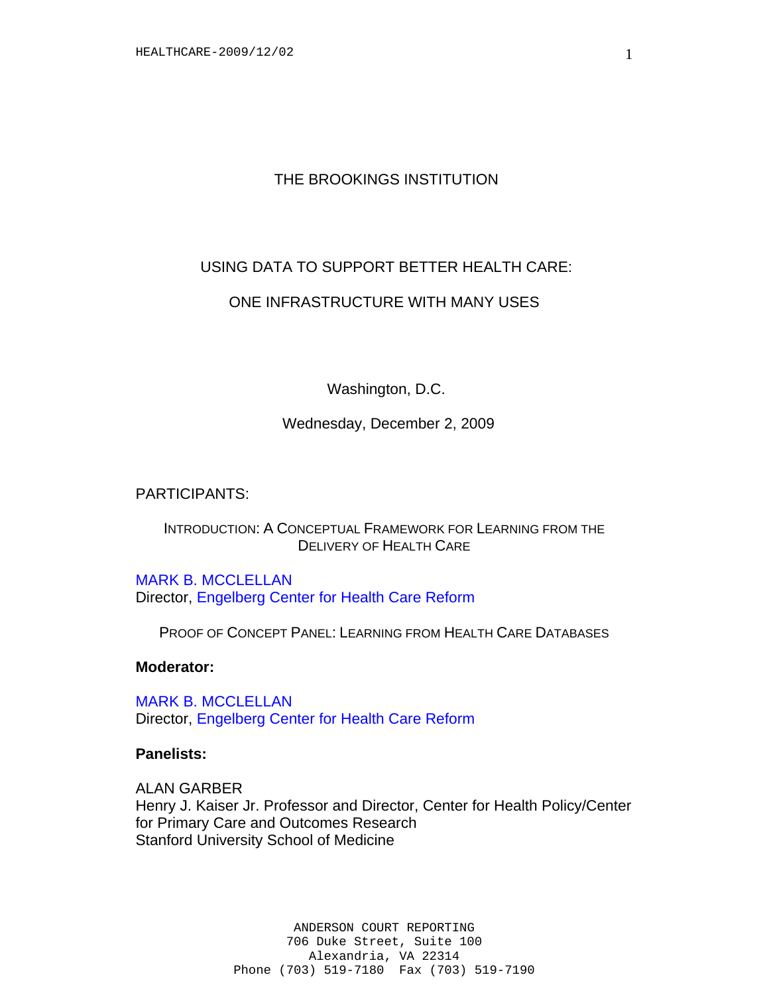# THE BROOKINGS INSTITUTION

# USING DATA TO SUPPORT BETTER HEALTH CARE:

## ONE INFRASTRUCTURE WITH MANY USES

Washington, D.C.

Wednesday, December 2, 2009

PARTICIPANTS:

## INTRODUCTION: A CONCEPTUAL FRAMEWORK FOR LEARNING FROM THE DELIVERY OF HEALTH CARE

MARK B. MCCLELLAN Director, Engelberg Center for Health Care Reform

PROOF OF CONCEPT PANEL: LEARNING FROM HEALTH CARE DATABASES

**Moderator:** 

MARK B. MCCLELLAN Director, Engelberg Center for Health Care Reform

## **Panelists:**

ALAN GARBER Henry J. Kaiser Jr. Professor and Director, Center for Health Policy/Center for Primary Care and Outcomes Research Stanford University School of Medicine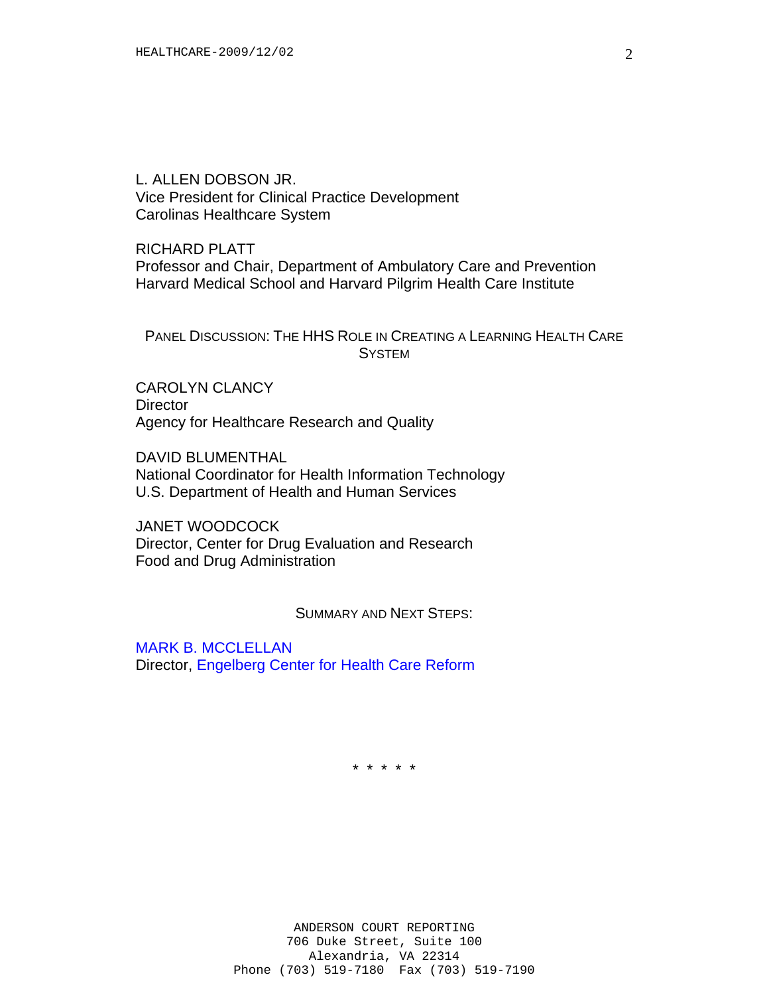L. ALLEN DOBSON JR. Vice President for Clinical Practice Development Carolinas Healthcare System

RICHARD PLATT Professor and Chair, Department of Ambulatory Care and Prevention Harvard Medical School and Harvard Pilgrim Health Care Institute

#### PANEL DISCUSSION: THE HHS ROLE IN CREATING A LEARNING HEALTH CARE **SYSTEM**

CAROLYN CLANCY **Director** Agency for Healthcare Research and Quality

DAVID BLUMENTHAL National Coordinator for Health Information Technology U.S. Department of Health and Human Services

JANET WOODCOCK Director, Center for Drug Evaluation and Research Food and Drug Administration

SUMMARY AND NEXT STEPS:

MARK B. MCCLELLAN Director, Engelberg Center for Health Care Reform

\* \* \* \* \*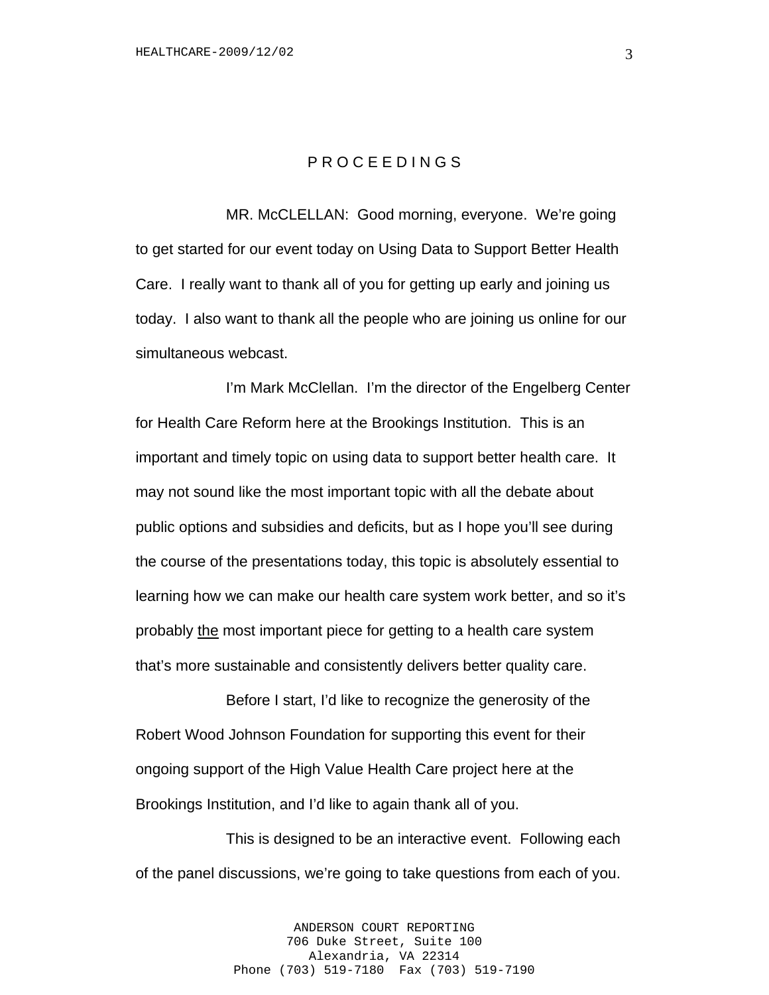#### P R O C E E D I N G S

MR. McCLELLAN: Good morning, everyone. We're going to get started for our event today on Using Data to Support Better Health Care. I really want to thank all of you for getting up early and joining us today. I also want to thank all the people who are joining us online for our simultaneous webcast.

I'm Mark McClellan. I'm the director of the Engelberg Center for Health Care Reform here at the Brookings Institution. This is an important and timely topic on using data to support better health care. It may not sound like the most important topic with all the debate about public options and subsidies and deficits, but as I hope you'll see during the course of the presentations today, this topic is absolutely essential to learning how we can make our health care system work better, and so it's probably the most important piece for getting to a health care system that's more sustainable and consistently delivers better quality care.

Before I start, I'd like to recognize the generosity of the Robert Wood Johnson Foundation for supporting this event for their ongoing support of the High Value Health Care project here at the Brookings Institution, and I'd like to again thank all of you.

This is designed to be an interactive event. Following each of the panel discussions, we're going to take questions from each of you.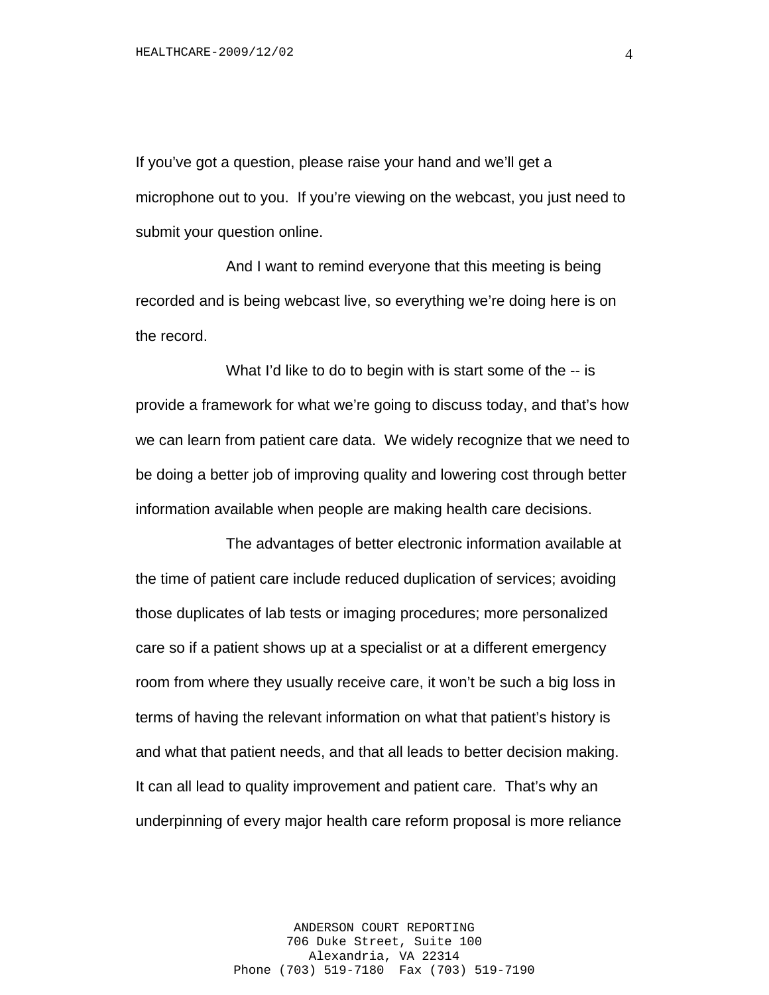If you've got a question, please raise your hand and we'll get a microphone out to you. If you're viewing on the webcast, you just need to submit your question online.

And I want to remind everyone that this meeting is being recorded and is being webcast live, so everything we're doing here is on the record.

What I'd like to do to begin with is start some of the -- is provide a framework for what we're going to discuss today, and that's how we can learn from patient care data. We widely recognize that we need to be doing a better job of improving quality and lowering cost through better information available when people are making health care decisions.

The advantages of better electronic information available at the time of patient care include reduced duplication of services; avoiding those duplicates of lab tests or imaging procedures; more personalized care so if a patient shows up at a specialist or at a different emergency room from where they usually receive care, it won't be such a big loss in terms of having the relevant information on what that patient's history is and what that patient needs, and that all leads to better decision making. It can all lead to quality improvement and patient care. That's why an underpinning of every major health care reform proposal is more reliance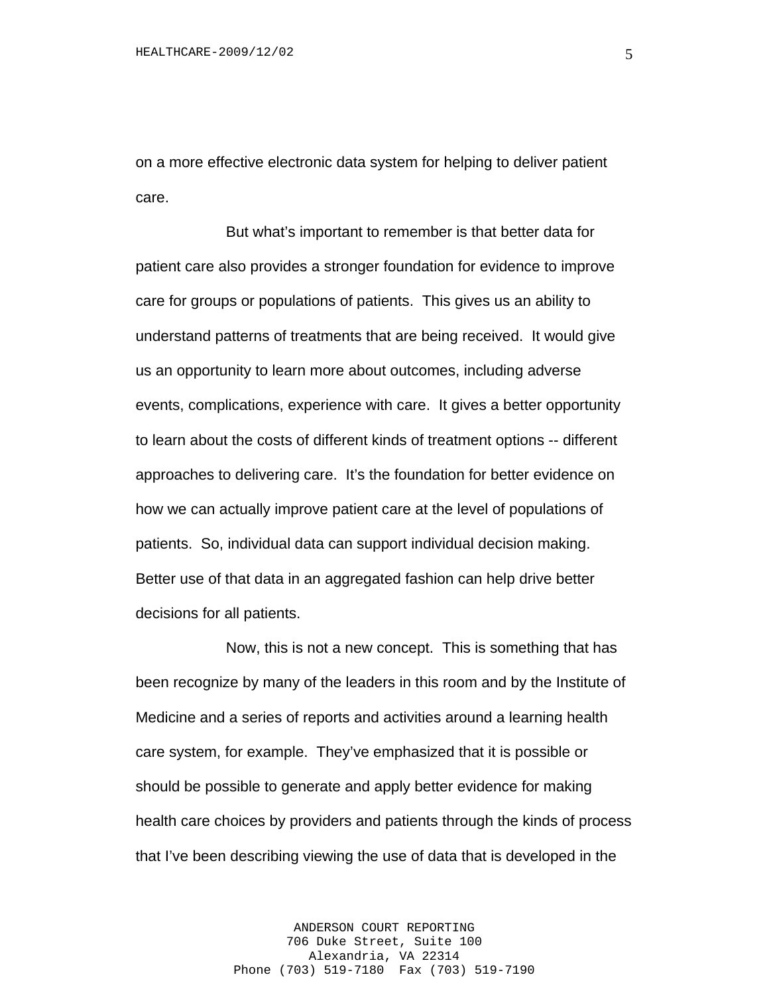on a more effective electronic data system for helping to deliver patient care.

But what's important to remember is that better data for patient care also provides a stronger foundation for evidence to improve care for groups or populations of patients. This gives us an ability to understand patterns of treatments that are being received. It would give us an opportunity to learn more about outcomes, including adverse events, complications, experience with care. It gives a better opportunity to learn about the costs of different kinds of treatment options -- different approaches to delivering care. It's the foundation for better evidence on how we can actually improve patient care at the level of populations of patients. So, individual data can support individual decision making. Better use of that data in an aggregated fashion can help drive better decisions for all patients.

Now, this is not a new concept. This is something that has been recognize by many of the leaders in this room and by the Institute of Medicine and a series of reports and activities around a learning health care system, for example. They've emphasized that it is possible or should be possible to generate and apply better evidence for making health care choices by providers and patients through the kinds of process that I've been describing viewing the use of data that is developed in the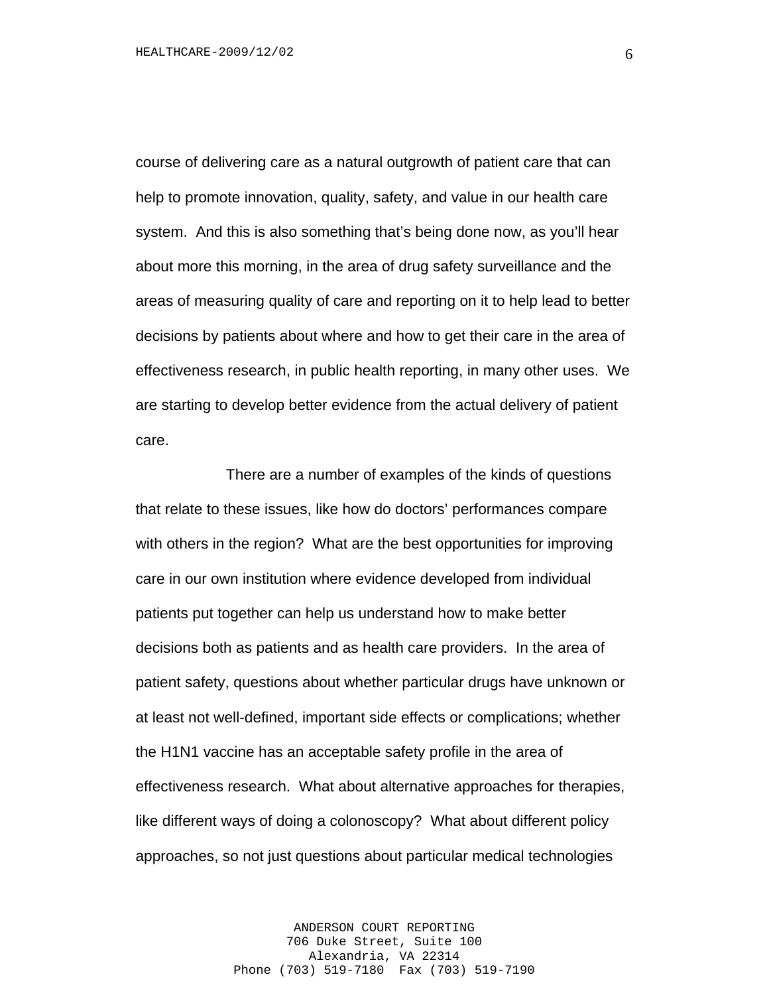course of delivering care as a natural outgrowth of patient care that can help to promote innovation, quality, safety, and value in our health care system. And this is also something that's being done now, as you'll hear about more this morning, in the area of drug safety surveillance and the areas of measuring quality of care and reporting on it to help lead to better decisions by patients about where and how to get their care in the area of effectiveness research, in public health reporting, in many other uses. We are starting to develop better evidence from the actual delivery of patient care.

There are a number of examples of the kinds of questions that relate to these issues, like how do doctors' performances compare with others in the region? What are the best opportunities for improving care in our own institution where evidence developed from individual patients put together can help us understand how to make better decisions both as patients and as health care providers. In the area of patient safety, questions about whether particular drugs have unknown or at least not well-defined, important side effects or complications; whether the H1N1 vaccine has an acceptable safety profile in the area of effectiveness research. What about alternative approaches for therapies, like different ways of doing a colonoscopy? What about different policy approaches, so not just questions about particular medical technologies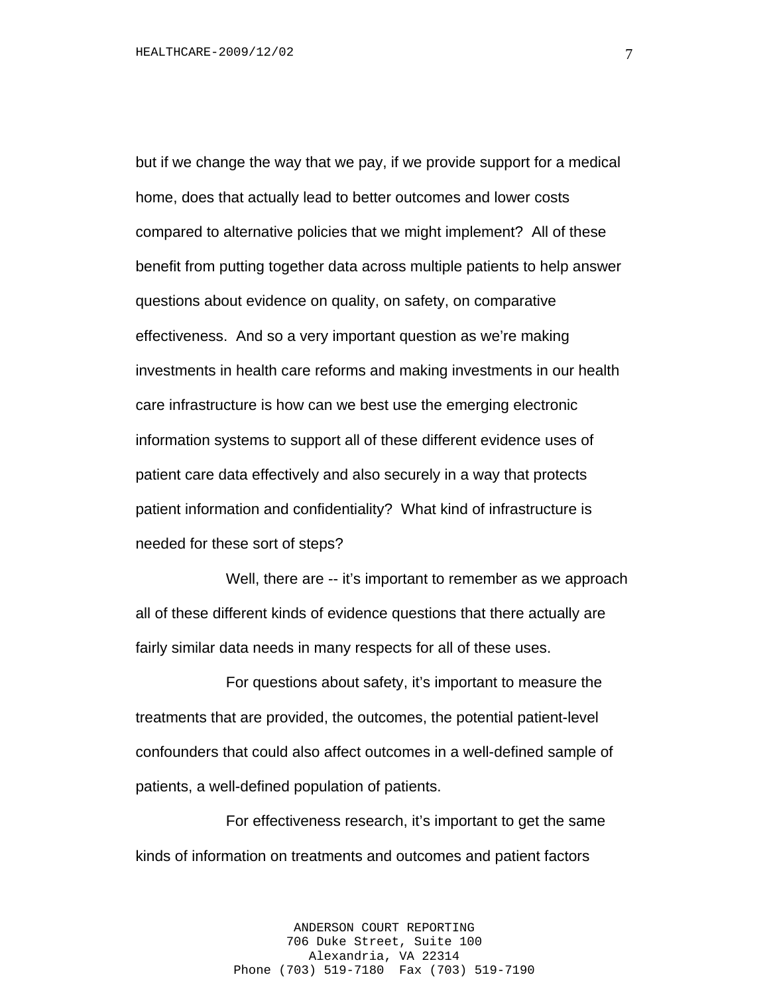but if we change the way that we pay, if we provide support for a medical home, does that actually lead to better outcomes and lower costs compared to alternative policies that we might implement? All of these benefit from putting together data across multiple patients to help answer questions about evidence on quality, on safety, on comparative effectiveness. And so a very important question as we're making investments in health care reforms and making investments in our health care infrastructure is how can we best use the emerging electronic information systems to support all of these different evidence uses of patient care data effectively and also securely in a way that protects patient information and confidentiality? What kind of infrastructure is needed for these sort of steps?

Well, there are -- it's important to remember as we approach all of these different kinds of evidence questions that there actually are fairly similar data needs in many respects for all of these uses.

For questions about safety, it's important to measure the treatments that are provided, the outcomes, the potential patient-level confounders that could also affect outcomes in a well-defined sample of patients, a well-defined population of patients.

For effectiveness research, it's important to get the same kinds of information on treatments and outcomes and patient factors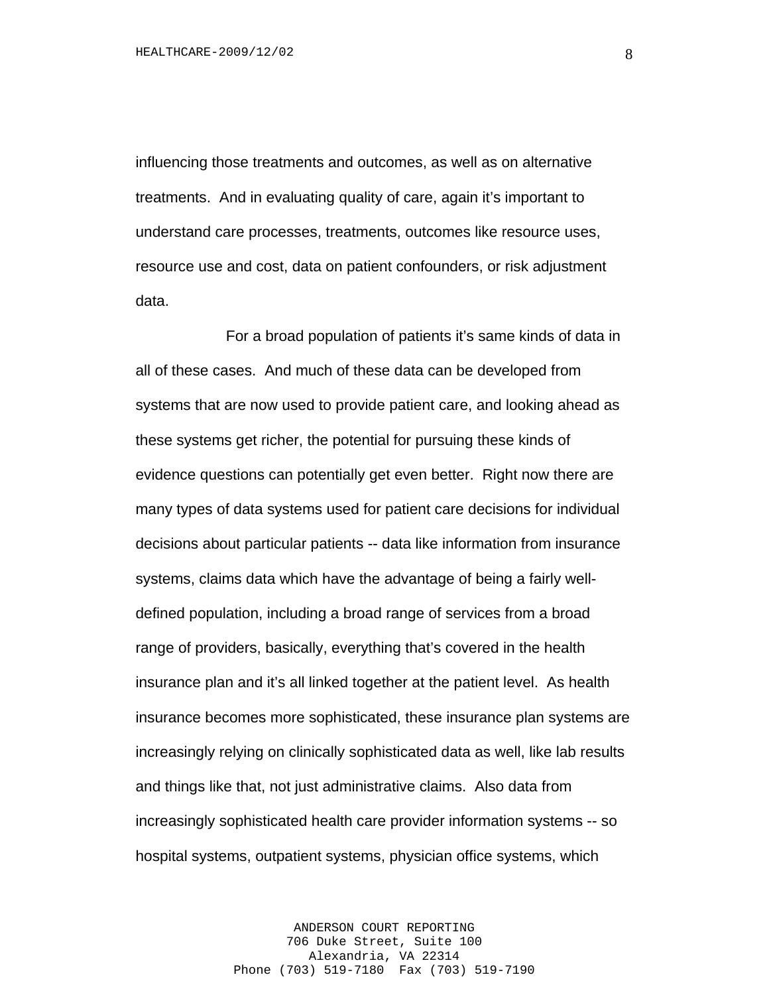influencing those treatments and outcomes, as well as on alternative treatments. And in evaluating quality of care, again it's important to understand care processes, treatments, outcomes like resource uses, resource use and cost, data on patient confounders, or risk adjustment data.

For a broad population of patients it's same kinds of data in all of these cases. And much of these data can be developed from systems that are now used to provide patient care, and looking ahead as these systems get richer, the potential for pursuing these kinds of evidence questions can potentially get even better. Right now there are many types of data systems used for patient care decisions for individual decisions about particular patients -- data like information from insurance systems, claims data which have the advantage of being a fairly welldefined population, including a broad range of services from a broad range of providers, basically, everything that's covered in the health insurance plan and it's all linked together at the patient level. As health insurance becomes more sophisticated, these insurance plan systems are increasingly relying on clinically sophisticated data as well, like lab results and things like that, not just administrative claims. Also data from increasingly sophisticated health care provider information systems -- so hospital systems, outpatient systems, physician office systems, which

> ANDERSON COURT REPORTING 706 Duke Street, Suite 100 Alexandria, VA 22314 Phone (703) 519-7180 Fax (703) 519-7190

8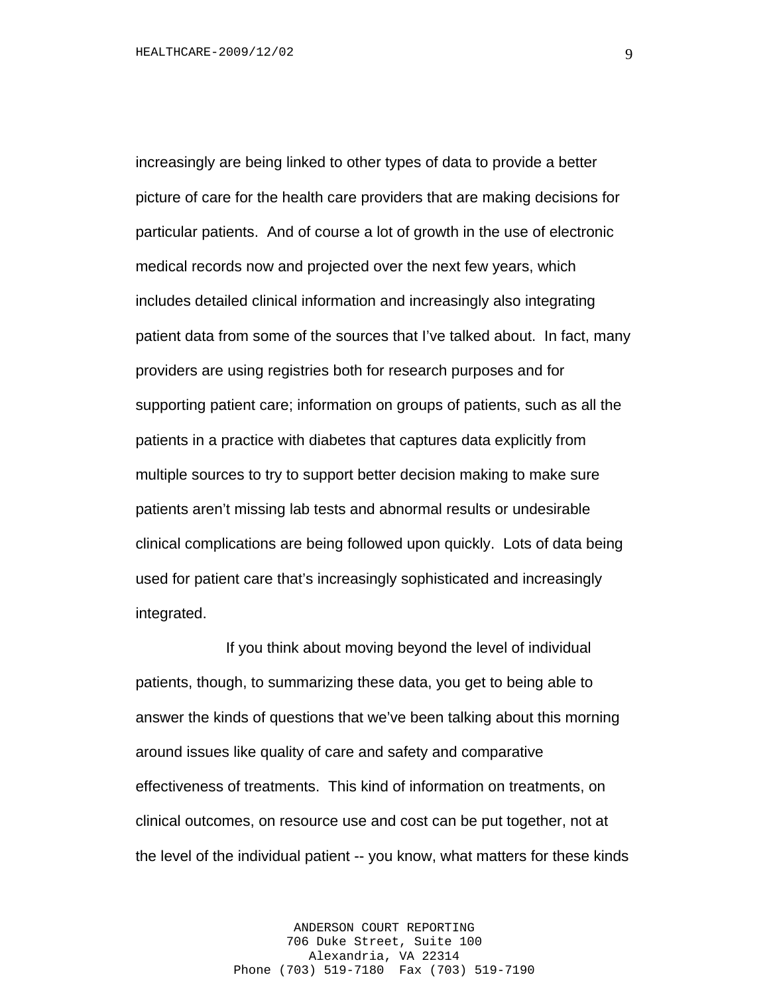increasingly are being linked to other types of data to provide a better picture of care for the health care providers that are making decisions for particular patients. And of course a lot of growth in the use of electronic medical records now and projected over the next few years, which includes detailed clinical information and increasingly also integrating patient data from some of the sources that I've talked about. In fact, many providers are using registries both for research purposes and for supporting patient care; information on groups of patients, such as all the patients in a practice with diabetes that captures data explicitly from multiple sources to try to support better decision making to make sure patients aren't missing lab tests and abnormal results or undesirable clinical complications are being followed upon quickly. Lots of data being used for patient care that's increasingly sophisticated and increasingly integrated.

If you think about moving beyond the level of individual patients, though, to summarizing these data, you get to being able to answer the kinds of questions that we've been talking about this morning around issues like quality of care and safety and comparative effectiveness of treatments. This kind of information on treatments, on clinical outcomes, on resource use and cost can be put together, not at the level of the individual patient -- you know, what matters for these kinds

> ANDERSON COURT REPORTING 706 Duke Street, Suite 100 Alexandria, VA 22314 Phone (703) 519-7180 Fax (703) 519-7190

9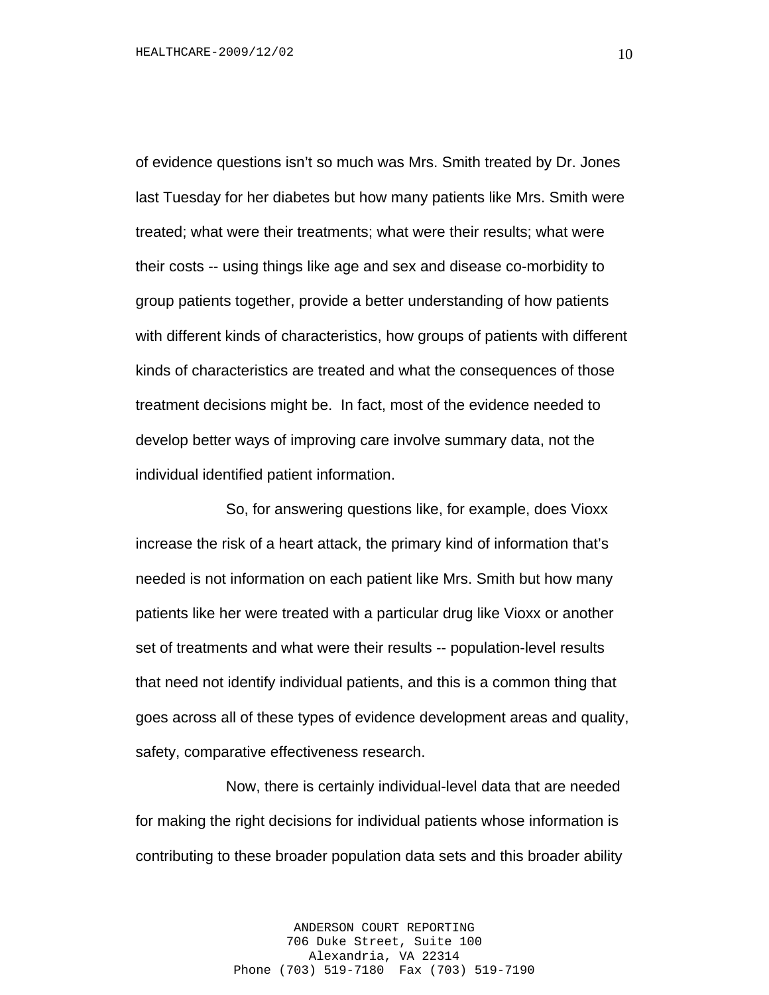of evidence questions isn't so much was Mrs. Smith treated by Dr. Jones last Tuesday for her diabetes but how many patients like Mrs. Smith were treated; what were their treatments; what were their results; what were their costs -- using things like age and sex and disease co-morbidity to group patients together, provide a better understanding of how patients with different kinds of characteristics, how groups of patients with different kinds of characteristics are treated and what the consequences of those treatment decisions might be. In fact, most of the evidence needed to develop better ways of improving care involve summary data, not the individual identified patient information.

So, for answering questions like, for example, does Vioxx increase the risk of a heart attack, the primary kind of information that's needed is not information on each patient like Mrs. Smith but how many patients like her were treated with a particular drug like Vioxx or another set of treatments and what were their results -- population-level results that need not identify individual patients, and this is a common thing that goes across all of these types of evidence development areas and quality, safety, comparative effectiveness research.

Now, there is certainly individual-level data that are needed for making the right decisions for individual patients whose information is contributing to these broader population data sets and this broader ability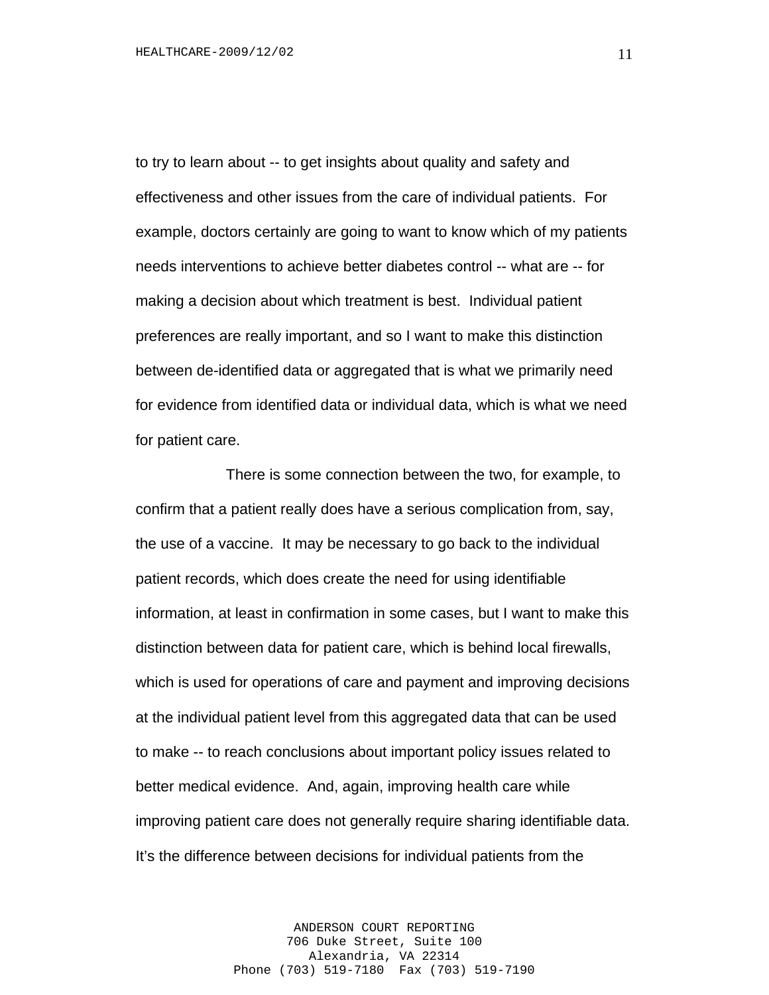to try to learn about -- to get insights about quality and safety and effectiveness and other issues from the care of individual patients. For example, doctors certainly are going to want to know which of my patients needs interventions to achieve better diabetes control -- what are -- for making a decision about which treatment is best. Individual patient preferences are really important, and so I want to make this distinction between de-identified data or aggregated that is what we primarily need for evidence from identified data or individual data, which is what we need for patient care.

There is some connection between the two, for example, to confirm that a patient really does have a serious complication from, say, the use of a vaccine. It may be necessary to go back to the individual patient records, which does create the need for using identifiable information, at least in confirmation in some cases, but I want to make this distinction between data for patient care, which is behind local firewalls, which is used for operations of care and payment and improving decisions at the individual patient level from this aggregated data that can be used to make -- to reach conclusions about important policy issues related to better medical evidence. And, again, improving health care while improving patient care does not generally require sharing identifiable data. It's the difference between decisions for individual patients from the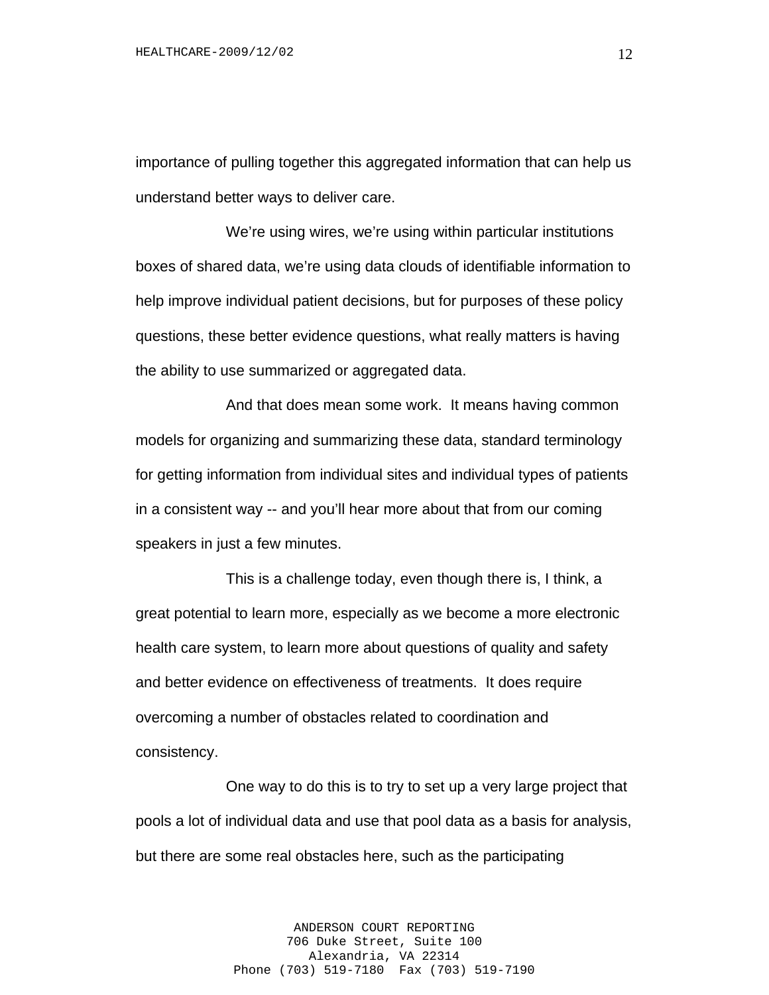importance of pulling together this aggregated information that can help us understand better ways to deliver care.

We're using wires, we're using within particular institutions boxes of shared data, we're using data clouds of identifiable information to help improve individual patient decisions, but for purposes of these policy questions, these better evidence questions, what really matters is having the ability to use summarized or aggregated data.

And that does mean some work. It means having common models for organizing and summarizing these data, standard terminology for getting information from individual sites and individual types of patients in a consistent way -- and you'll hear more about that from our coming speakers in just a few minutes.

This is a challenge today, even though there is, I think, a great potential to learn more, especially as we become a more electronic health care system, to learn more about questions of quality and safety and better evidence on effectiveness of treatments. It does require overcoming a number of obstacles related to coordination and consistency.

One way to do this is to try to set up a very large project that pools a lot of individual data and use that pool data as a basis for analysis, but there are some real obstacles here, such as the participating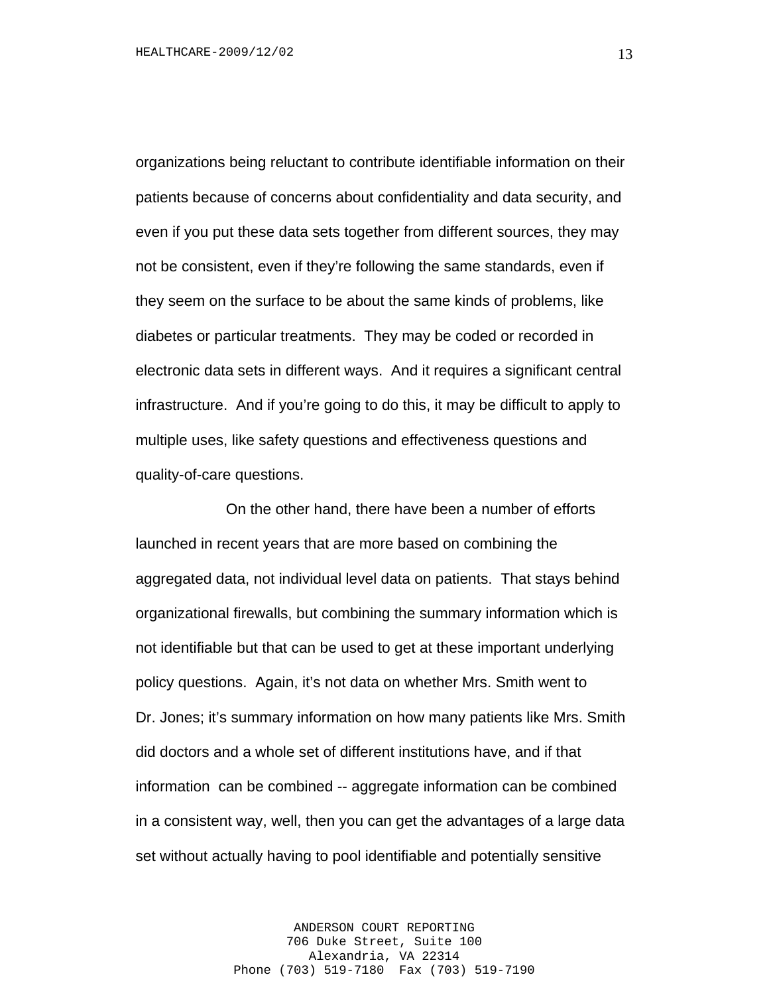organizations being reluctant to contribute identifiable information on their patients because of concerns about confidentiality and data security, and even if you put these data sets together from different sources, they may not be consistent, even if they're following the same standards, even if they seem on the surface to be about the same kinds of problems, like diabetes or particular treatments. They may be coded or recorded in electronic data sets in different ways. And it requires a significant central infrastructure. And if you're going to do this, it may be difficult to apply to multiple uses, like safety questions and effectiveness questions and quality-of-care questions.

On the other hand, there have been a number of efforts launched in recent years that are more based on combining the aggregated data, not individual level data on patients. That stays behind organizational firewalls, but combining the summary information which is not identifiable but that can be used to get at these important underlying policy questions. Again, it's not data on whether Mrs. Smith went to Dr. Jones; it's summary information on how many patients like Mrs. Smith did doctors and a whole set of different institutions have, and if that information can be combined -- aggregate information can be combined in a consistent way, well, then you can get the advantages of a large data set without actually having to pool identifiable and potentially sensitive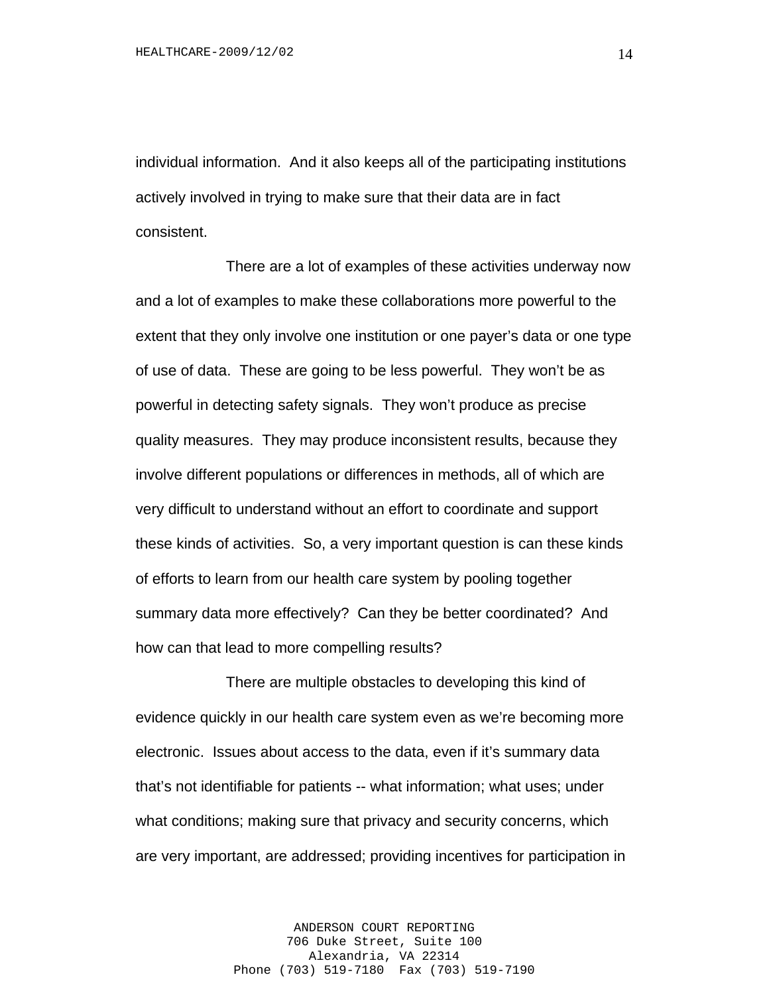individual information. And it also keeps all of the participating institutions actively involved in trying to make sure that their data are in fact consistent.

There are a lot of examples of these activities underway now and a lot of examples to make these collaborations more powerful to the extent that they only involve one institution or one payer's data or one type of use of data. These are going to be less powerful. They won't be as powerful in detecting safety signals. They won't produce as precise quality measures. They may produce inconsistent results, because they involve different populations or differences in methods, all of which are very difficult to understand without an effort to coordinate and support these kinds of activities. So, a very important question is can these kinds of efforts to learn from our health care system by pooling together summary data more effectively? Can they be better coordinated? And how can that lead to more compelling results?

There are multiple obstacles to developing this kind of evidence quickly in our health care system even as we're becoming more electronic. Issues about access to the data, even if it's summary data that's not identifiable for patients -- what information; what uses; under what conditions; making sure that privacy and security concerns, which are very important, are addressed; providing incentives for participation in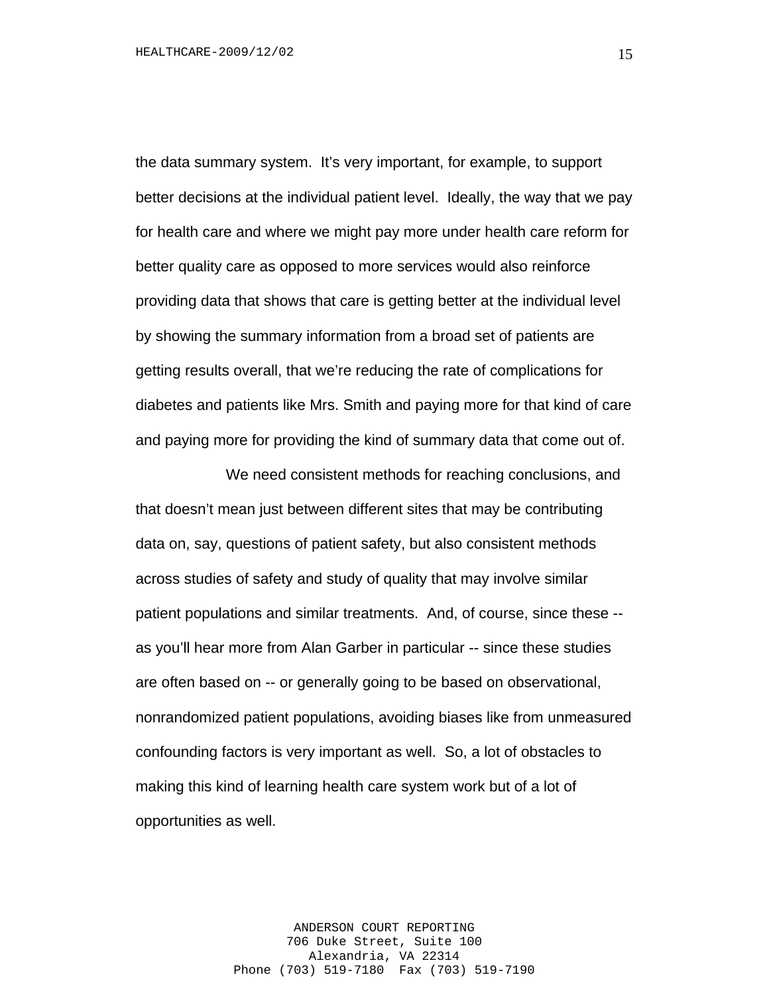the data summary system. It's very important, for example, to support better decisions at the individual patient level. Ideally, the way that we pay for health care and where we might pay more under health care reform for better quality care as opposed to more services would also reinforce providing data that shows that care is getting better at the individual level by showing the summary information from a broad set of patients are getting results overall, that we're reducing the rate of complications for diabetes and patients like Mrs. Smith and paying more for that kind of care and paying more for providing the kind of summary data that come out of.

We need consistent methods for reaching conclusions, and that doesn't mean just between different sites that may be contributing data on, say, questions of patient safety, but also consistent methods across studies of safety and study of quality that may involve similar patient populations and similar treatments. And, of course, since these - as you'll hear more from Alan Garber in particular -- since these studies are often based on -- or generally going to be based on observational, nonrandomized patient populations, avoiding biases like from unmeasured confounding factors is very important as well. So, a lot of obstacles to making this kind of learning health care system work but of a lot of opportunities as well.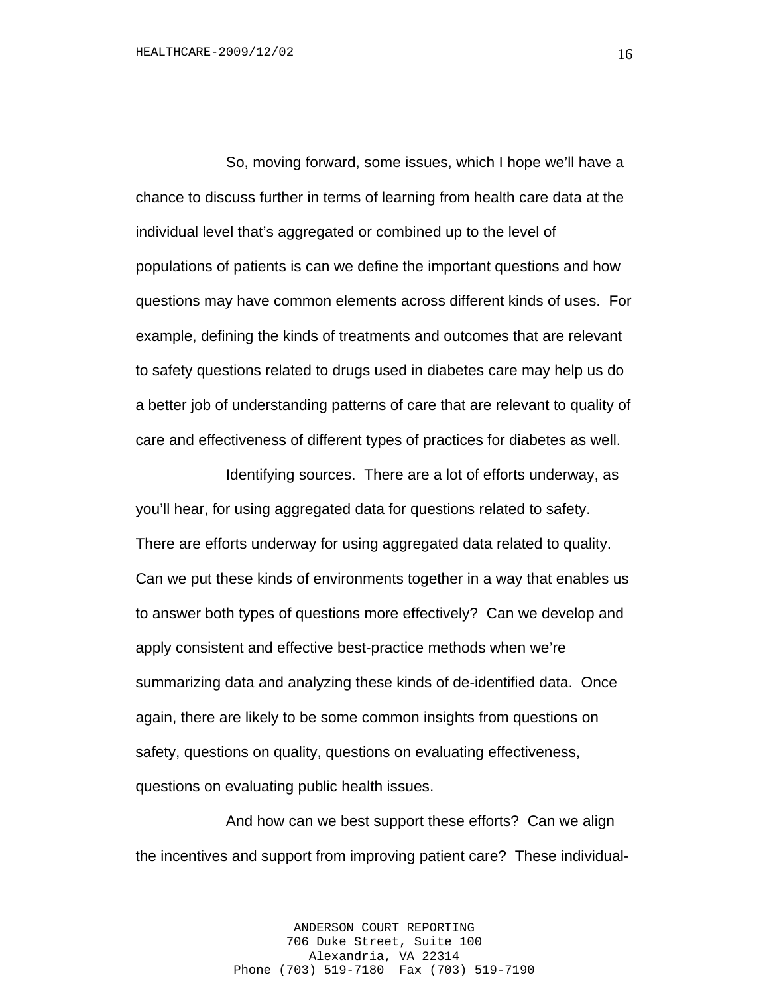So, moving forward, some issues, which I hope we'll have a chance to discuss further in terms of learning from health care data at the individual level that's aggregated or combined up to the level of populations of patients is can we define the important questions and how questions may have common elements across different kinds of uses. For example, defining the kinds of treatments and outcomes that are relevant to safety questions related to drugs used in diabetes care may help us do a better job of understanding patterns of care that are relevant to quality of care and effectiveness of different types of practices for diabetes as well.

Identifying sources. There are a lot of efforts underway, as you'll hear, for using aggregated data for questions related to safety. There are efforts underway for using aggregated data related to quality. Can we put these kinds of environments together in a way that enables us to answer both types of questions more effectively? Can we develop and apply consistent and effective best-practice methods when we're summarizing data and analyzing these kinds of de-identified data. Once again, there are likely to be some common insights from questions on safety, questions on quality, questions on evaluating effectiveness, questions on evaluating public health issues.

And how can we best support these efforts? Can we align the incentives and support from improving patient care? These individual-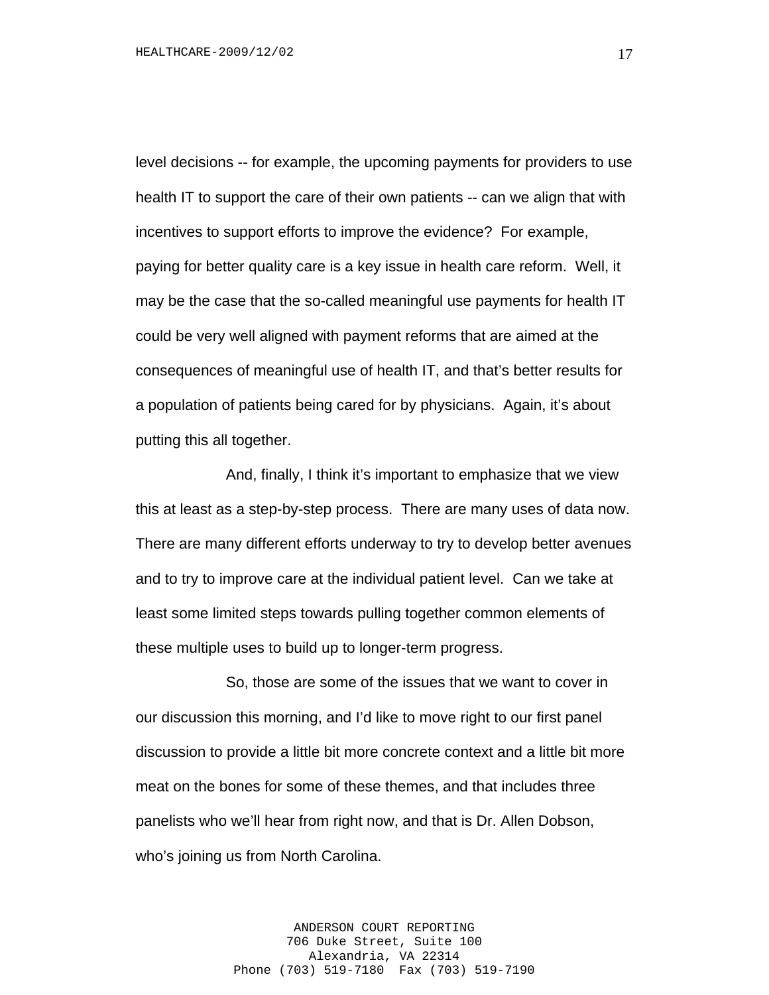level decisions -- for example, the upcoming payments for providers to use health IT to support the care of their own patients -- can we align that with incentives to support efforts to improve the evidence? For example, paying for better quality care is a key issue in health care reform. Well, it may be the case that the so-called meaningful use payments for health IT could be very well aligned with payment reforms that are aimed at the consequences of meaningful use of health IT, and that's better results for a population of patients being cared for by physicians. Again, it's about putting this all together.

And, finally, I think it's important to emphasize that we view this at least as a step-by-step process. There are many uses of data now. There are many different efforts underway to try to develop better avenues and to try to improve care at the individual patient level. Can we take at least some limited steps towards pulling together common elements of these multiple uses to build up to longer-term progress.

So, those are some of the issues that we want to cover in our discussion this morning, and I'd like to move right to our first panel discussion to provide a little bit more concrete context and a little bit more meat on the bones for some of these themes, and that includes three panelists who we'll hear from right now, and that is Dr. Allen Dobson, who's joining us from North Carolina.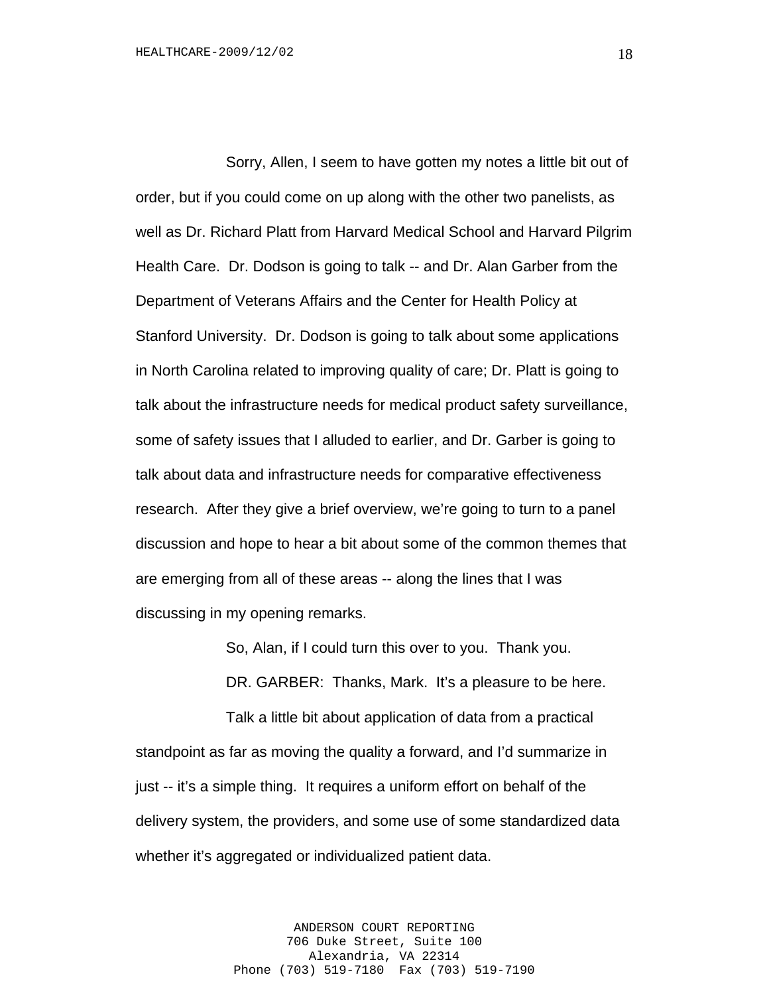Sorry, Allen, I seem to have gotten my notes a little bit out of order, but if you could come on up along with the other two panelists, as well as Dr. Richard Platt from Harvard Medical School and Harvard Pilgrim Health Care. Dr. Dodson is going to talk -- and Dr. Alan Garber from the Department of Veterans Affairs and the Center for Health Policy at Stanford University. Dr. Dodson is going to talk about some applications in North Carolina related to improving quality of care; Dr. Platt is going to talk about the infrastructure needs for medical product safety surveillance, some of safety issues that I alluded to earlier, and Dr. Garber is going to talk about data and infrastructure needs for comparative effectiveness research. After they give a brief overview, we're going to turn to a panel discussion and hope to hear a bit about some of the common themes that are emerging from all of these areas -- along the lines that I was discussing in my opening remarks.

So, Alan, if I could turn this over to you. Thank you.

DR. GARBER: Thanks, Mark. It's a pleasure to be here.

Talk a little bit about application of data from a practical standpoint as far as moving the quality a forward, and I'd summarize in just -- it's a simple thing. It requires a uniform effort on behalf of the delivery system, the providers, and some use of some standardized data whether it's aggregated or individualized patient data.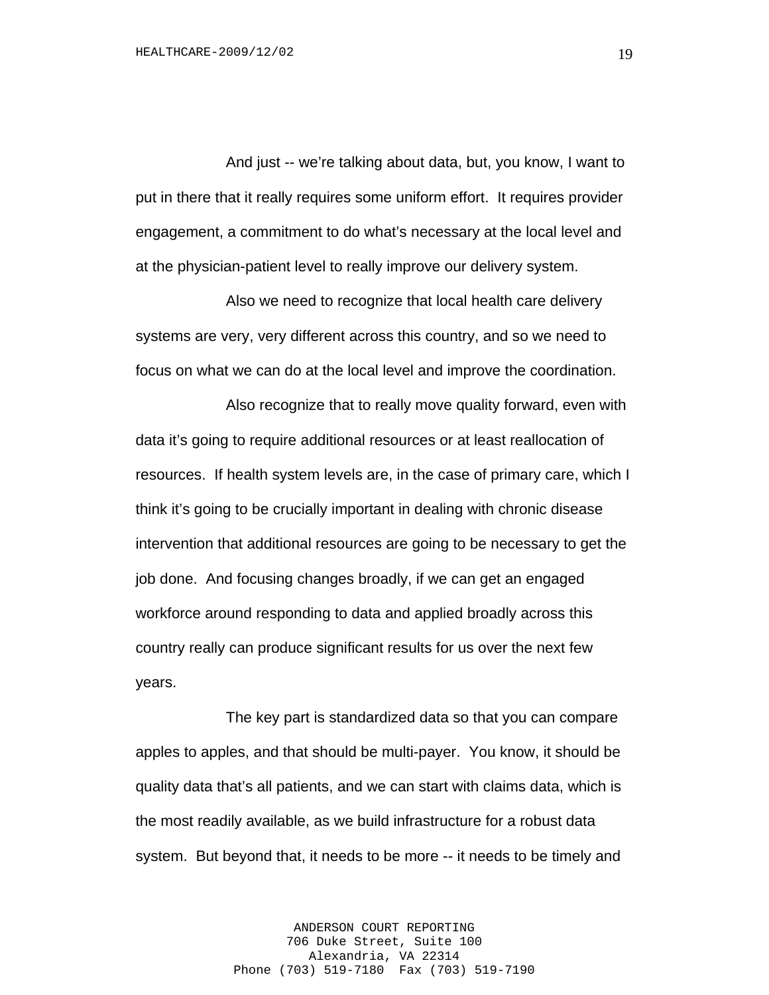And just -- we're talking about data, but, you know, I want to put in there that it really requires some uniform effort. It requires provider engagement, a commitment to do what's necessary at the local level and at the physician-patient level to really improve our delivery system.

Also we need to recognize that local health care delivery systems are very, very different across this country, and so we need to focus on what we can do at the local level and improve the coordination.

Also recognize that to really move quality forward, even with data it's going to require additional resources or at least reallocation of resources. If health system levels are, in the case of primary care, which I think it's going to be crucially important in dealing with chronic disease intervention that additional resources are going to be necessary to get the job done. And focusing changes broadly, if we can get an engaged workforce around responding to data and applied broadly across this country really can produce significant results for us over the next few years.

The key part is standardized data so that you can compare apples to apples, and that should be multi-payer. You know, it should be quality data that's all patients, and we can start with claims data, which is the most readily available, as we build infrastructure for a robust data system. But beyond that, it needs to be more -- it needs to be timely and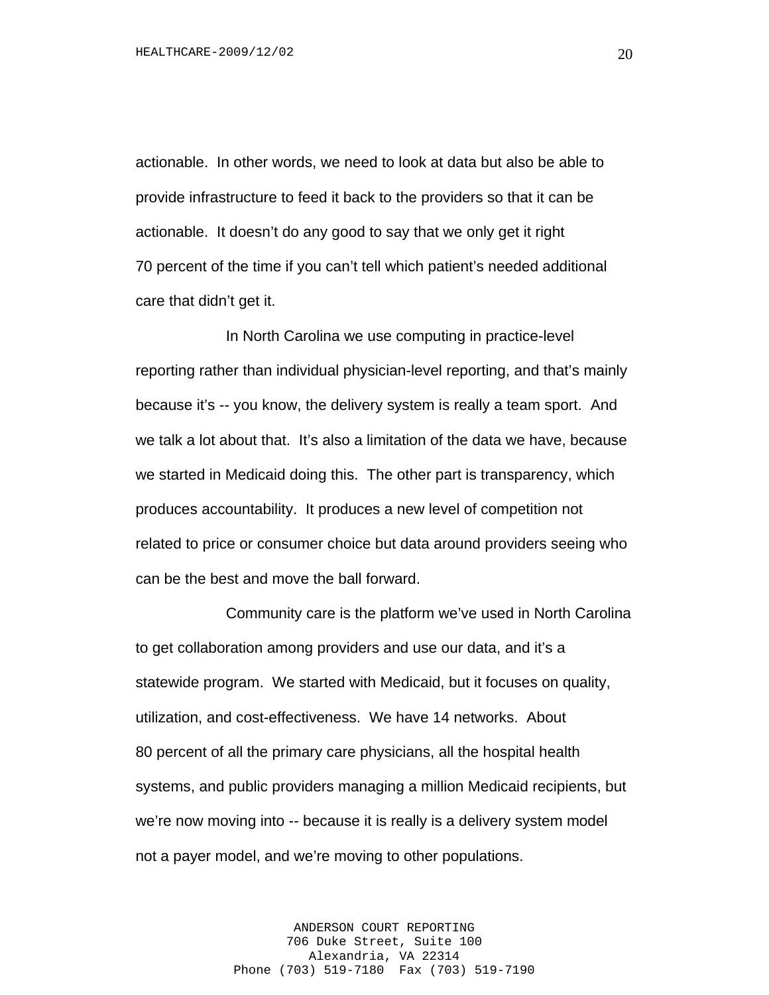actionable. In other words, we need to look at data but also be able to provide infrastructure to feed it back to the providers so that it can be actionable. It doesn't do any good to say that we only get it right 70 percent of the time if you can't tell which patient's needed additional care that didn't get it.

In North Carolina we use computing in practice-level reporting rather than individual physician-level reporting, and that's mainly because it's -- you know, the delivery system is really a team sport. And we talk a lot about that. It's also a limitation of the data we have, because we started in Medicaid doing this. The other part is transparency, which produces accountability. It produces a new level of competition not related to price or consumer choice but data around providers seeing who can be the best and move the ball forward.

Community care is the platform we've used in North Carolina to get collaboration among providers and use our data, and it's a statewide program. We started with Medicaid, but it focuses on quality, utilization, and cost-effectiveness. We have 14 networks. About 80 percent of all the primary care physicians, all the hospital health systems, and public providers managing a million Medicaid recipients, but we're now moving into -- because it is really is a delivery system model not a payer model, and we're moving to other populations.

> ANDERSON COURT REPORTING 706 Duke Street, Suite 100 Alexandria, VA 22314 Phone (703) 519-7180 Fax (703) 519-7190

20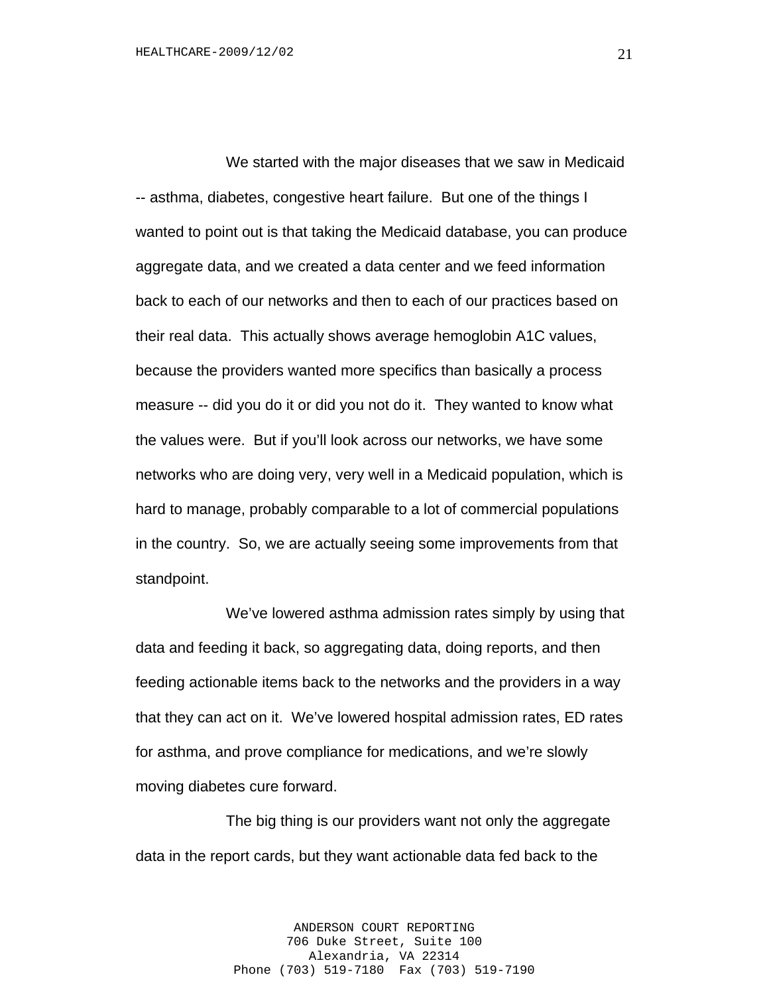We started with the major diseases that we saw in Medicaid -- asthma, diabetes, congestive heart failure. But one of the things I wanted to point out is that taking the Medicaid database, you can produce aggregate data, and we created a data center and we feed information back to each of our networks and then to each of our practices based on their real data. This actually shows average hemoglobin A1C values, because the providers wanted more specifics than basically a process measure -- did you do it or did you not do it. They wanted to know what the values were. But if you'll look across our networks, we have some networks who are doing very, very well in a Medicaid population, which is hard to manage, probably comparable to a lot of commercial populations in the country. So, we are actually seeing some improvements from that standpoint.

We've lowered asthma admission rates simply by using that data and feeding it back, so aggregating data, doing reports, and then feeding actionable items back to the networks and the providers in a way that they can act on it. We've lowered hospital admission rates, ED rates for asthma, and prove compliance for medications, and we're slowly moving diabetes cure forward.

The big thing is our providers want not only the aggregate data in the report cards, but they want actionable data fed back to the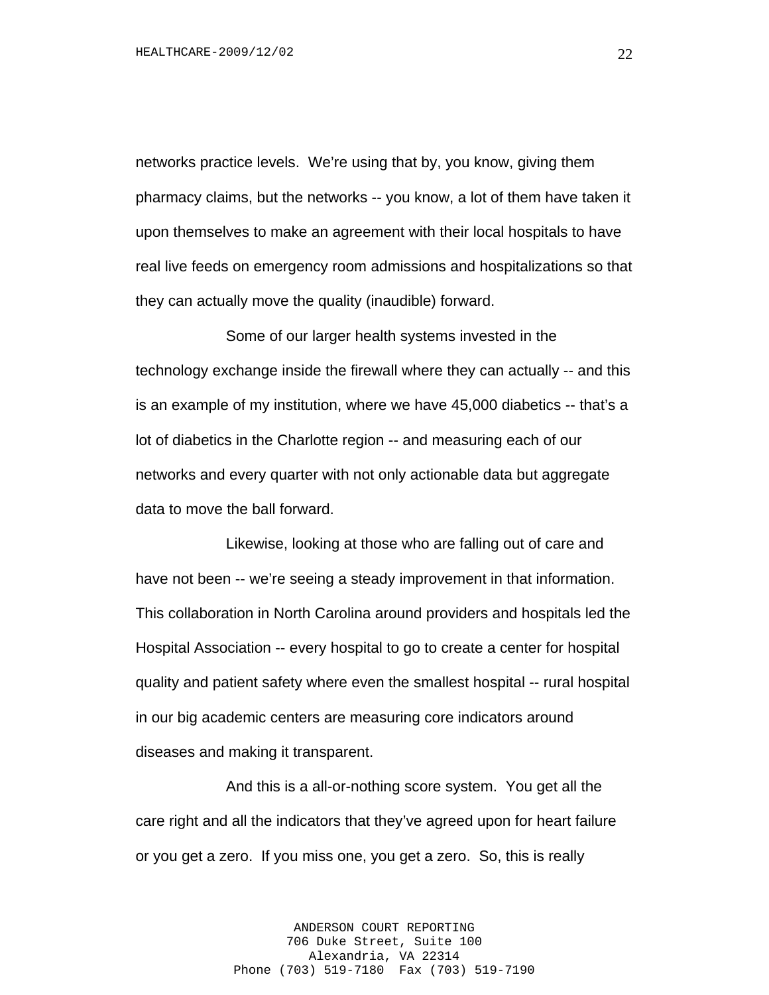networks practice levels. We're using that by, you know, giving them pharmacy claims, but the networks -- you know, a lot of them have taken it upon themselves to make an agreement with their local hospitals to have real live feeds on emergency room admissions and hospitalizations so that they can actually move the quality (inaudible) forward.

Some of our larger health systems invested in the technology exchange inside the firewall where they can actually -- and this is an example of my institution, where we have 45,000 diabetics -- that's a lot of diabetics in the Charlotte region -- and measuring each of our networks and every quarter with not only actionable data but aggregate data to move the ball forward.

Likewise, looking at those who are falling out of care and have not been -- we're seeing a steady improvement in that information. This collaboration in North Carolina around providers and hospitals led the Hospital Association -- every hospital to go to create a center for hospital quality and patient safety where even the smallest hospital -- rural hospital in our big academic centers are measuring core indicators around diseases and making it transparent.

And this is a all-or-nothing score system. You get all the care right and all the indicators that they've agreed upon for heart failure or you get a zero. If you miss one, you get a zero. So, this is really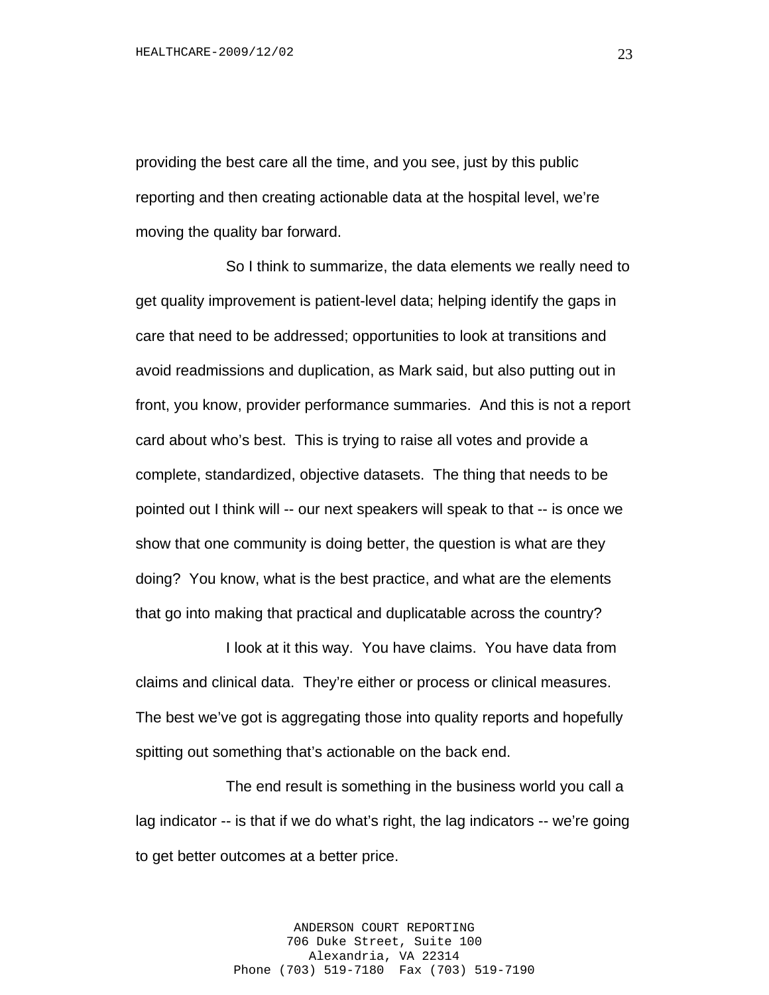providing the best care all the time, and you see, just by this public reporting and then creating actionable data at the hospital level, we're moving the quality bar forward.

So I think to summarize, the data elements we really need to get quality improvement is patient-level data; helping identify the gaps in care that need to be addressed; opportunities to look at transitions and avoid readmissions and duplication, as Mark said, but also putting out in front, you know, provider performance summaries. And this is not a report card about who's best. This is trying to raise all votes and provide a complete, standardized, objective datasets. The thing that needs to be pointed out I think will -- our next speakers will speak to that -- is once we show that one community is doing better, the question is what are they doing? You know, what is the best practice, and what are the elements that go into making that practical and duplicatable across the country?

I look at it this way. You have claims. You have data from claims and clinical data. They're either or process or clinical measures. The best we've got is aggregating those into quality reports and hopefully spitting out something that's actionable on the back end.

The end result is something in the business world you call a lag indicator -- is that if we do what's right, the lag indicators -- we're going to get better outcomes at a better price.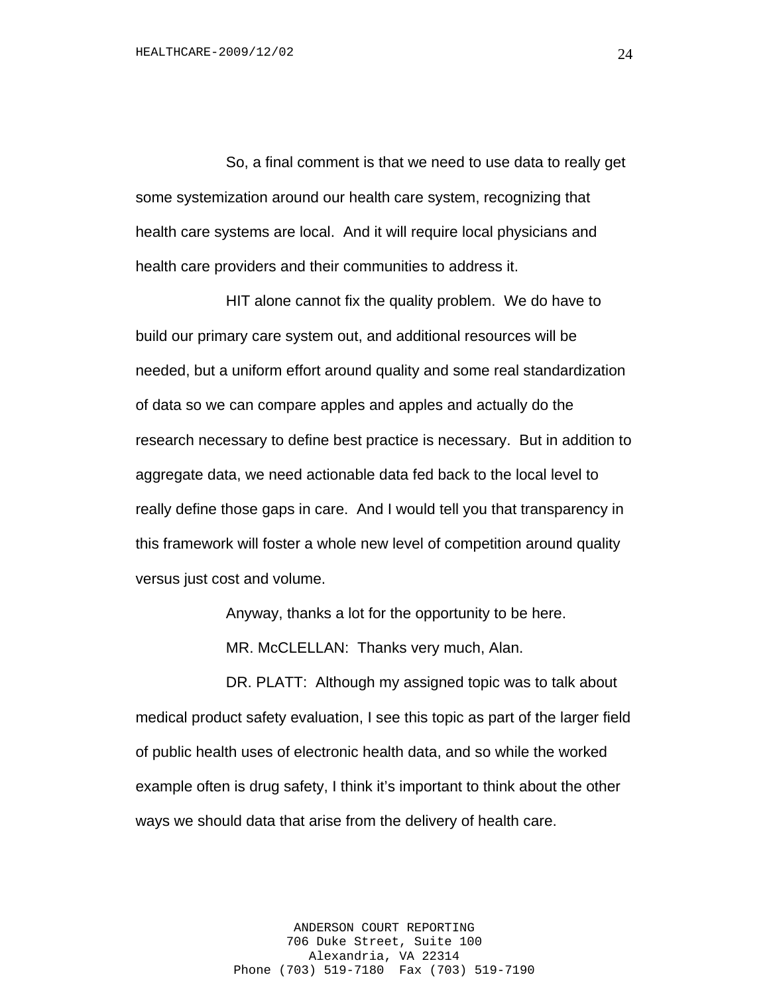So, a final comment is that we need to use data to really get some systemization around our health care system, recognizing that health care systems are local. And it will require local physicians and health care providers and their communities to address it.

HIT alone cannot fix the quality problem. We do have to build our primary care system out, and additional resources will be needed, but a uniform effort around quality and some real standardization of data so we can compare apples and apples and actually do the research necessary to define best practice is necessary. But in addition to aggregate data, we need actionable data fed back to the local level to really define those gaps in care. And I would tell you that transparency in this framework will foster a whole new level of competition around quality versus just cost and volume.

Anyway, thanks a lot for the opportunity to be here.

MR. McCLELLAN: Thanks very much, Alan.

DR. PLATT: Although my assigned topic was to talk about medical product safety evaluation, I see this topic as part of the larger field of public health uses of electronic health data, and so while the worked example often is drug safety, I think it's important to think about the other ways we should data that arise from the delivery of health care.

> ANDERSON COURT REPORTING 706 Duke Street, Suite 100 Alexandria, VA 22314 Phone (703) 519-7180 Fax (703) 519-7190

24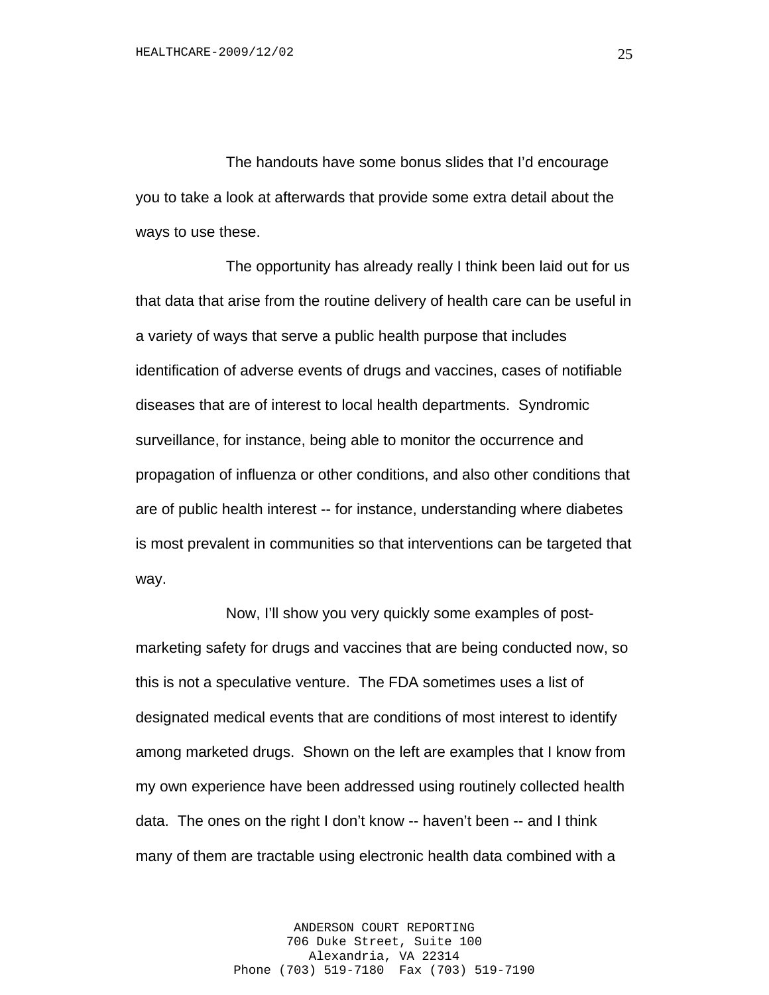The handouts have some bonus slides that I'd encourage you to take a look at afterwards that provide some extra detail about the ways to use these.

The opportunity has already really I think been laid out for us that data that arise from the routine delivery of health care can be useful in a variety of ways that serve a public health purpose that includes identification of adverse events of drugs and vaccines, cases of notifiable diseases that are of interest to local health departments. Syndromic surveillance, for instance, being able to monitor the occurrence and propagation of influenza or other conditions, and also other conditions that are of public health interest -- for instance, understanding where diabetes is most prevalent in communities so that interventions can be targeted that way.

Now, I'll show you very quickly some examples of postmarketing safety for drugs and vaccines that are being conducted now, so this is not a speculative venture. The FDA sometimes uses a list of designated medical events that are conditions of most interest to identify among marketed drugs. Shown on the left are examples that I know from my own experience have been addressed using routinely collected health data. The ones on the right I don't know -- haven't been -- and I think many of them are tractable using electronic health data combined with a

> ANDERSON COURT REPORTING 706 Duke Street, Suite 100 Alexandria, VA 22314 Phone (703) 519-7180 Fax (703) 519-7190

25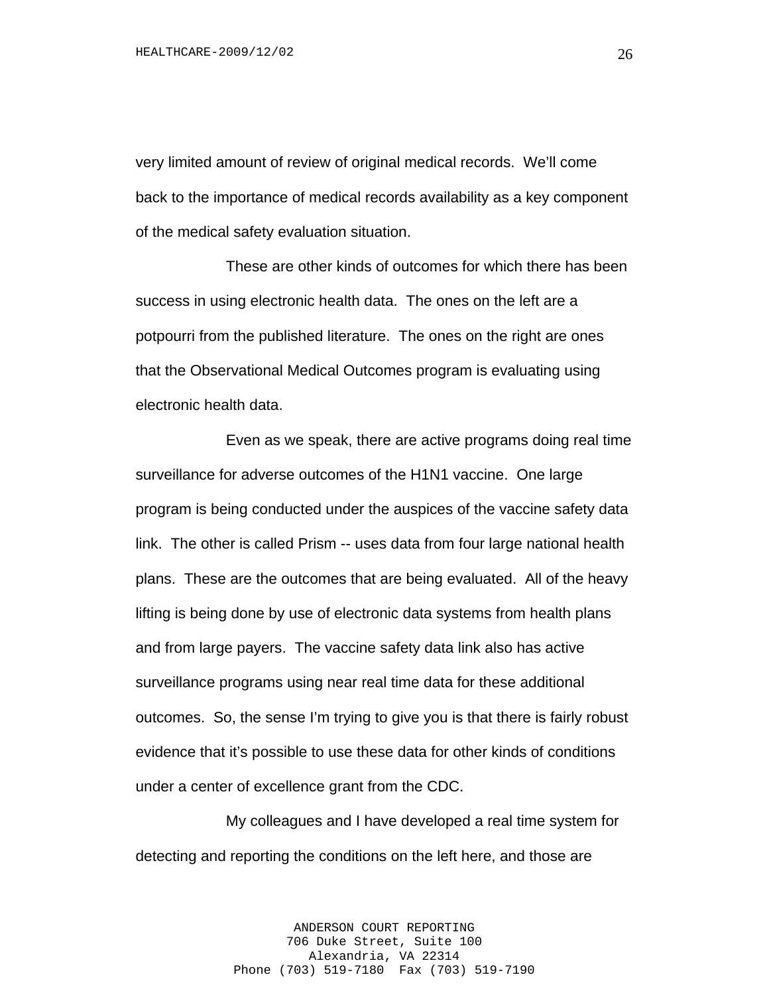very limited amount of review of original medical records. We'll come back to the importance of medical records availability as a key component of the medical safety evaluation situation.

These are other kinds of outcomes for which there has been success in using electronic health data. The ones on the left are a potpourri from the published literature. The ones on the right are ones that the Observational Medical Outcomes program is evaluating using electronic health data.

Even as we speak, there are active programs doing real time surveillance for adverse outcomes of the H1N1 vaccine. One large program is being conducted under the auspices of the vaccine safety data link. The other is called Prism -- uses data from four large national health plans. These are the outcomes that are being evaluated. All of the heavy lifting is being done by use of electronic data systems from health plans and from large payers. The vaccine safety data link also has active surveillance programs using near real time data for these additional outcomes. So, the sense I'm trying to give you is that there is fairly robust evidence that it's possible to use these data for other kinds of conditions under a center of excellence grant from the CDC.

My colleagues and I have developed a real time system for detecting and reporting the conditions on the left here, and those are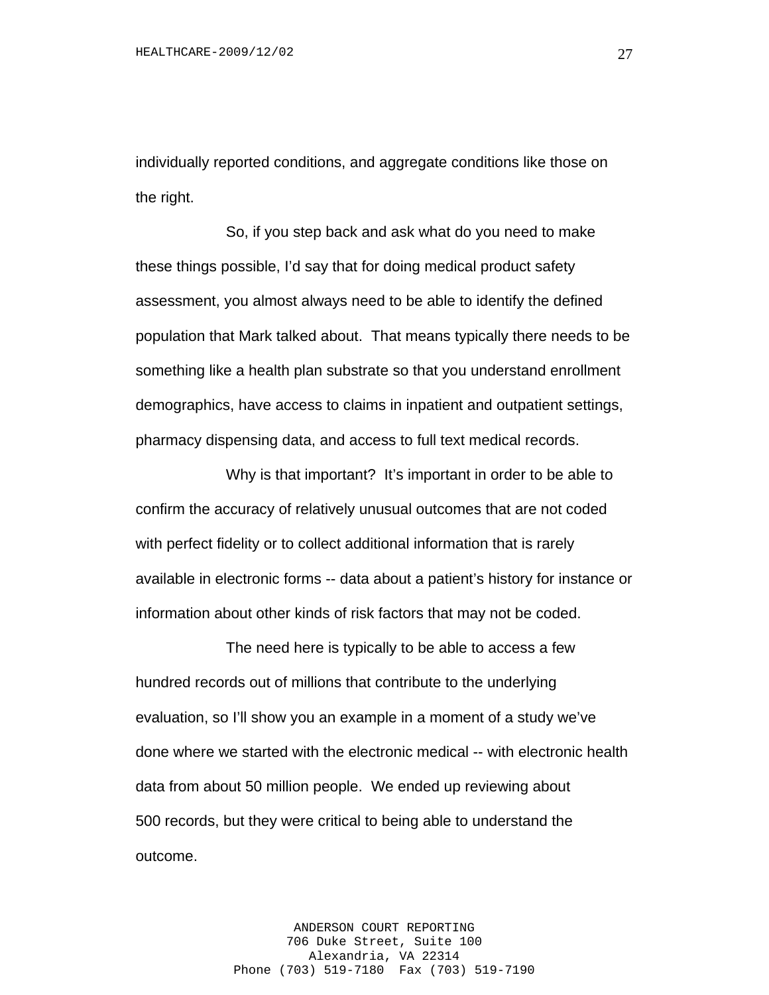individually reported conditions, and aggregate conditions like those on the right.

So, if you step back and ask what do you need to make these things possible, I'd say that for doing medical product safety assessment, you almost always need to be able to identify the defined population that Mark talked about. That means typically there needs to be something like a health plan substrate so that you understand enrollment demographics, have access to claims in inpatient and outpatient settings, pharmacy dispensing data, and access to full text medical records.

Why is that important? It's important in order to be able to confirm the accuracy of relatively unusual outcomes that are not coded with perfect fidelity or to collect additional information that is rarely available in electronic forms -- data about a patient's history for instance or information about other kinds of risk factors that may not be coded.

The need here is typically to be able to access a few hundred records out of millions that contribute to the underlying evaluation, so I'll show you an example in a moment of a study we've done where we started with the electronic medical -- with electronic health data from about 50 million people. We ended up reviewing about 500 records, but they were critical to being able to understand the outcome.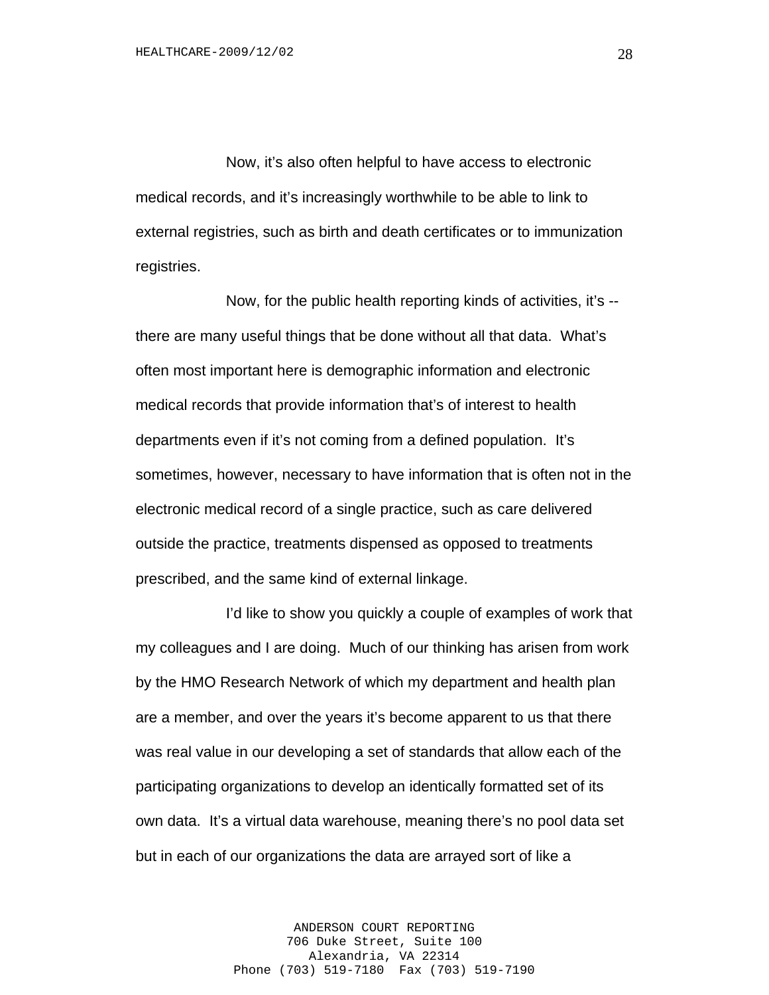Now, it's also often helpful to have access to electronic medical records, and it's increasingly worthwhile to be able to link to external registries, such as birth and death certificates or to immunization registries.

Now, for the public health reporting kinds of activities, it's - there are many useful things that be done without all that data. What's often most important here is demographic information and electronic medical records that provide information that's of interest to health departments even if it's not coming from a defined population. It's sometimes, however, necessary to have information that is often not in the electronic medical record of a single practice, such as care delivered outside the practice, treatments dispensed as opposed to treatments prescribed, and the same kind of external linkage.

I'd like to show you quickly a couple of examples of work that my colleagues and I are doing. Much of our thinking has arisen from work by the HMO Research Network of which my department and health plan are a member, and over the years it's become apparent to us that there was real value in our developing a set of standards that allow each of the participating organizations to develop an identically formatted set of its own data. It's a virtual data warehouse, meaning there's no pool data set but in each of our organizations the data are arrayed sort of like a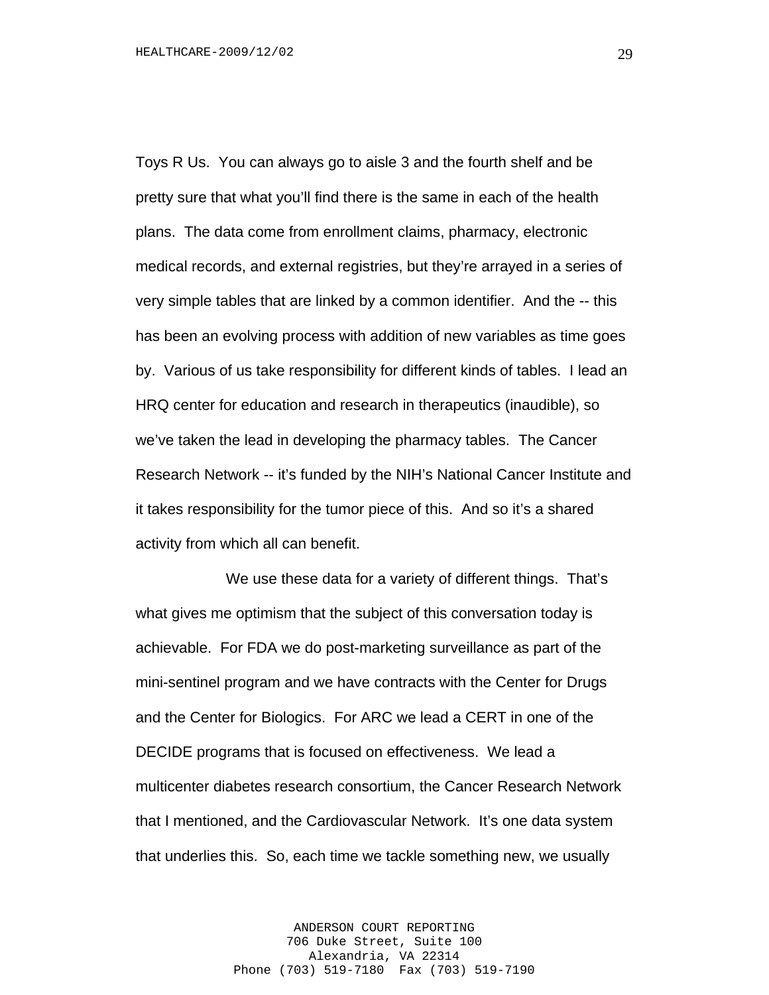Toys R Us. You can always go to aisle 3 and the fourth shelf and be pretty sure that what you'll find there is the same in each of the health plans. The data come from enrollment claims, pharmacy, electronic medical records, and external registries, but they're arrayed in a series of very simple tables that are linked by a common identifier. And the -- this has been an evolving process with addition of new variables as time goes by. Various of us take responsibility for different kinds of tables. I lead an HRQ center for education and research in therapeutics (inaudible), so we've taken the lead in developing the pharmacy tables. The Cancer Research Network -- it's funded by the NIH's National Cancer Institute and it takes responsibility for the tumor piece of this. And so it's a shared activity from which all can benefit.

We use these data for a variety of different things. That's what gives me optimism that the subject of this conversation today is achievable. For FDA we do post-marketing surveillance as part of the mini-sentinel program and we have contracts with the Center for Drugs and the Center for Biologics. For ARC we lead a CERT in one of the DECIDE programs that is focused on effectiveness. We lead a multicenter diabetes research consortium, the Cancer Research Network that I mentioned, and the Cardiovascular Network. It's one data system that underlies this. So, each time we tackle something new, we usually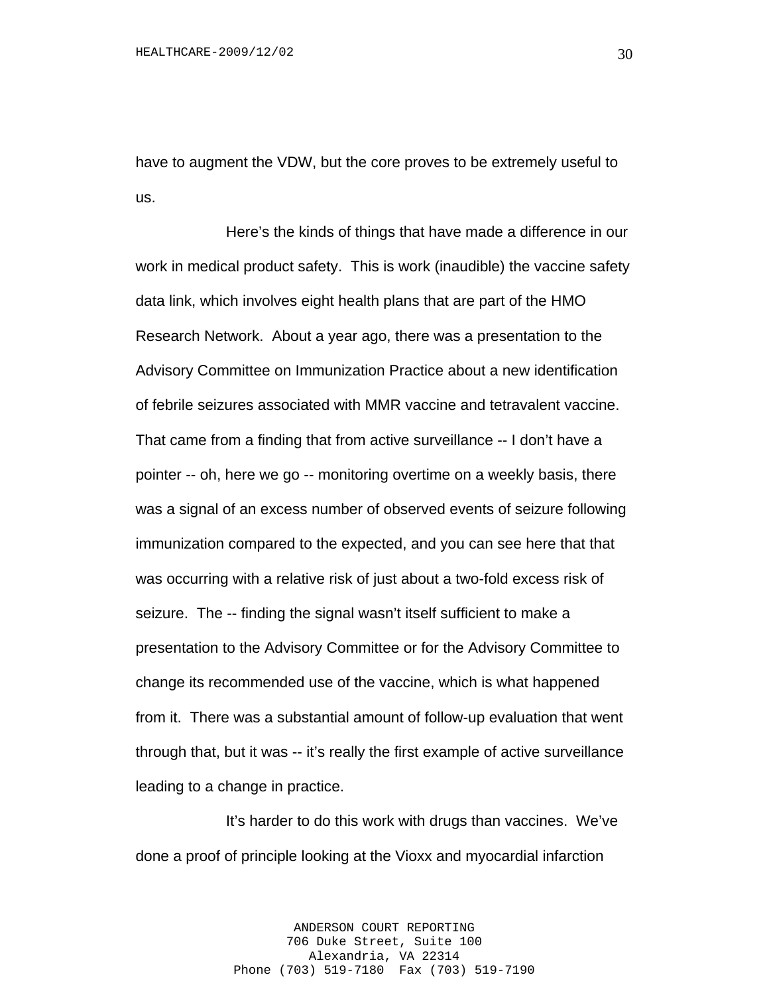have to augment the VDW, but the core proves to be extremely useful to us.

Here's the kinds of things that have made a difference in our work in medical product safety. This is work (inaudible) the vaccine safety data link, which involves eight health plans that are part of the HMO Research Network. About a year ago, there was a presentation to the Advisory Committee on Immunization Practice about a new identification of febrile seizures associated with MMR vaccine and tetravalent vaccine. That came from a finding that from active surveillance -- I don't have a pointer -- oh, here we go -- monitoring overtime on a weekly basis, there was a signal of an excess number of observed events of seizure following immunization compared to the expected, and you can see here that that was occurring with a relative risk of just about a two-fold excess risk of seizure. The -- finding the signal wasn't itself sufficient to make a presentation to the Advisory Committee or for the Advisory Committee to change its recommended use of the vaccine, which is what happened from it. There was a substantial amount of follow-up evaluation that went through that, but it was -- it's really the first example of active surveillance leading to a change in practice.

It's harder to do this work with drugs than vaccines. We've done a proof of principle looking at the Vioxx and myocardial infarction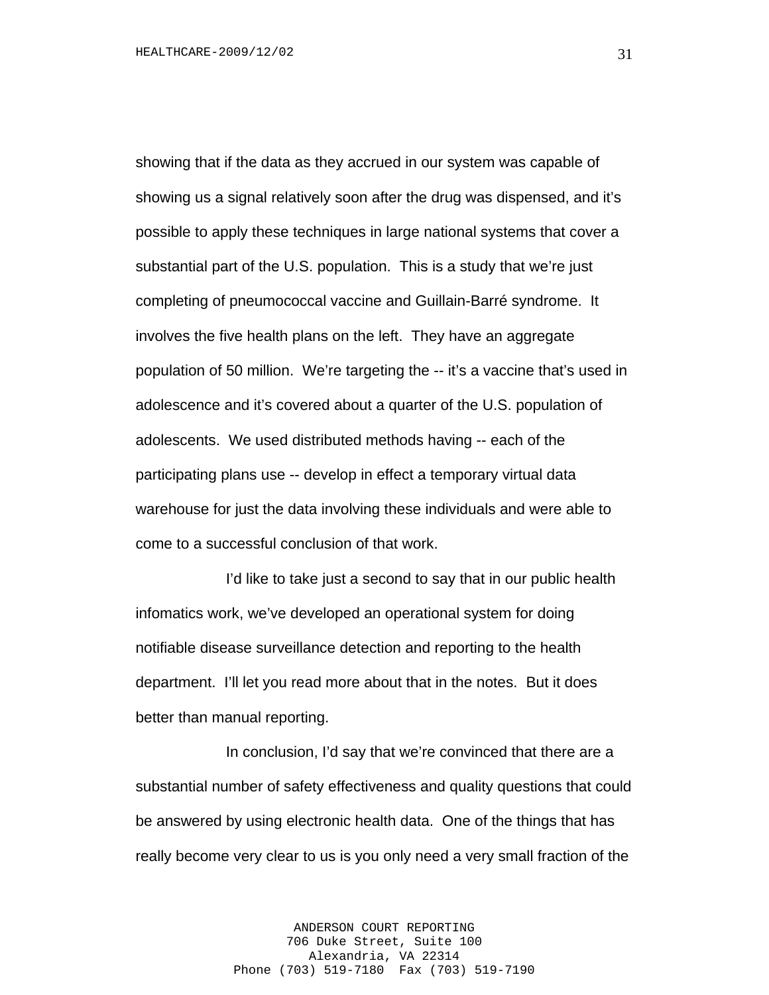showing that if the data as they accrued in our system was capable of showing us a signal relatively soon after the drug was dispensed, and it's possible to apply these techniques in large national systems that cover a substantial part of the U.S. population. This is a study that we're just completing of pneumococcal vaccine and Guillain-Barré syndrome. It involves the five health plans on the left. They have an aggregate population of 50 million. We're targeting the -- it's a vaccine that's used in adolescence and it's covered about a quarter of the U.S. population of adolescents. We used distributed methods having -- each of the participating plans use -- develop in effect a temporary virtual data warehouse for just the data involving these individuals and were able to come to a successful conclusion of that work.

I'd like to take just a second to say that in our public health infomatics work, we've developed an operational system for doing notifiable disease surveillance detection and reporting to the health department. I'll let you read more about that in the notes. But it does better than manual reporting.

In conclusion, I'd say that we're convinced that there are a substantial number of safety effectiveness and quality questions that could be answered by using electronic health data. One of the things that has really become very clear to us is you only need a very small fraction of the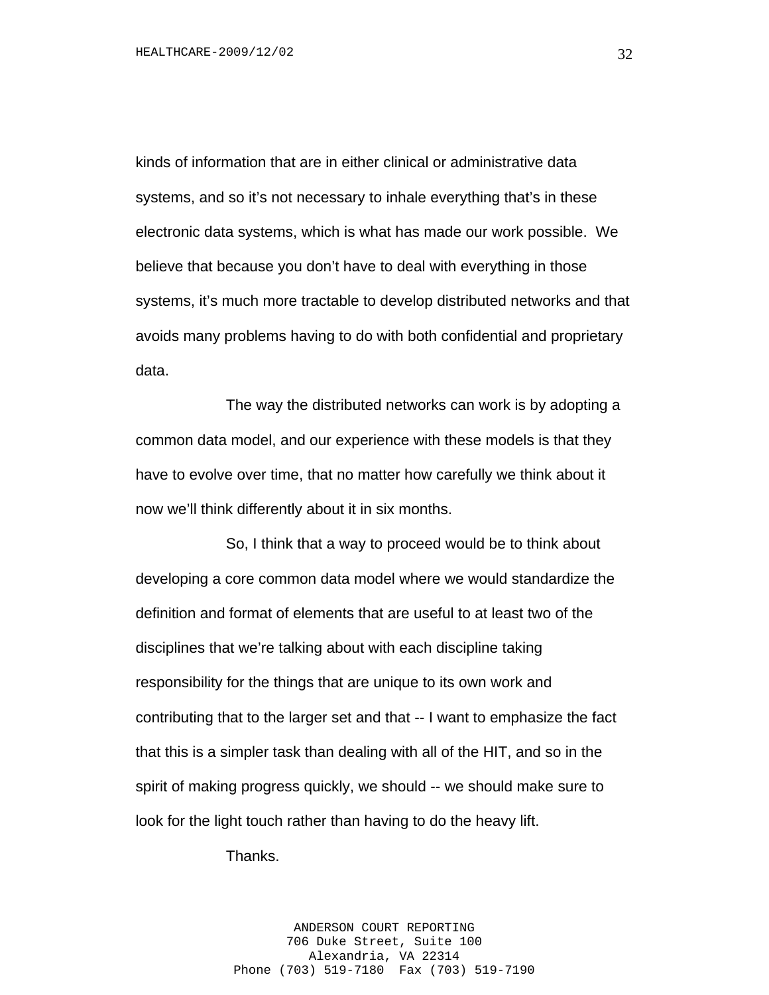kinds of information that are in either clinical or administrative data systems, and so it's not necessary to inhale everything that's in these electronic data systems, which is what has made our work possible. We believe that because you don't have to deal with everything in those systems, it's much more tractable to develop distributed networks and that avoids many problems having to do with both confidential and proprietary data.

The way the distributed networks can work is by adopting a common data model, and our experience with these models is that they have to evolve over time, that no matter how carefully we think about it now we'll think differently about it in six months.

So, I think that a way to proceed would be to think about developing a core common data model where we would standardize the definition and format of elements that are useful to at least two of the disciplines that we're talking about with each discipline taking responsibility for the things that are unique to its own work and contributing that to the larger set and that -- I want to emphasize the fact that this is a simpler task than dealing with all of the HIT, and so in the spirit of making progress quickly, we should -- we should make sure to look for the light touch rather than having to do the heavy lift.

Thanks.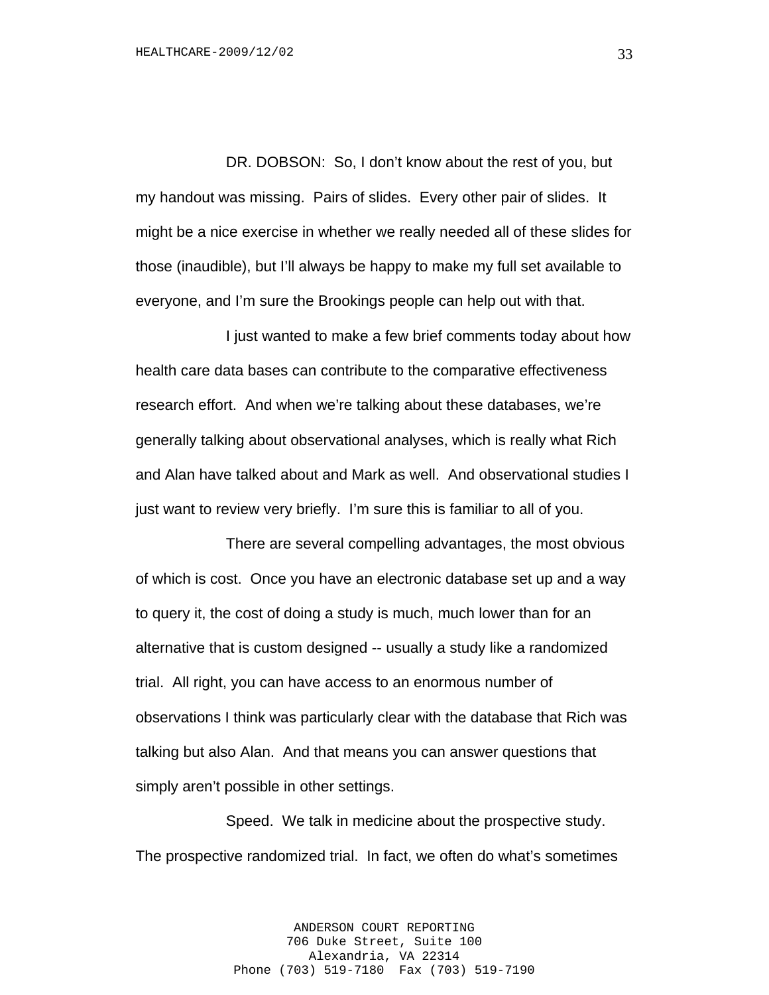DR. DOBSON: So, I don't know about the rest of you, but my handout was missing. Pairs of slides. Every other pair of slides. It might be a nice exercise in whether we really needed all of these slides for those (inaudible), but I'll always be happy to make my full set available to everyone, and I'm sure the Brookings people can help out with that.

I just wanted to make a few brief comments today about how health care data bases can contribute to the comparative effectiveness research effort. And when we're talking about these databases, we're generally talking about observational analyses, which is really what Rich and Alan have talked about and Mark as well. And observational studies I just want to review very briefly. I'm sure this is familiar to all of you.

There are several compelling advantages, the most obvious of which is cost. Once you have an electronic database set up and a way to query it, the cost of doing a study is much, much lower than for an alternative that is custom designed -- usually a study like a randomized trial. All right, you can have access to an enormous number of observations I think was particularly clear with the database that Rich was talking but also Alan. And that means you can answer questions that simply aren't possible in other settings.

Speed. We talk in medicine about the prospective study. The prospective randomized trial. In fact, we often do what's sometimes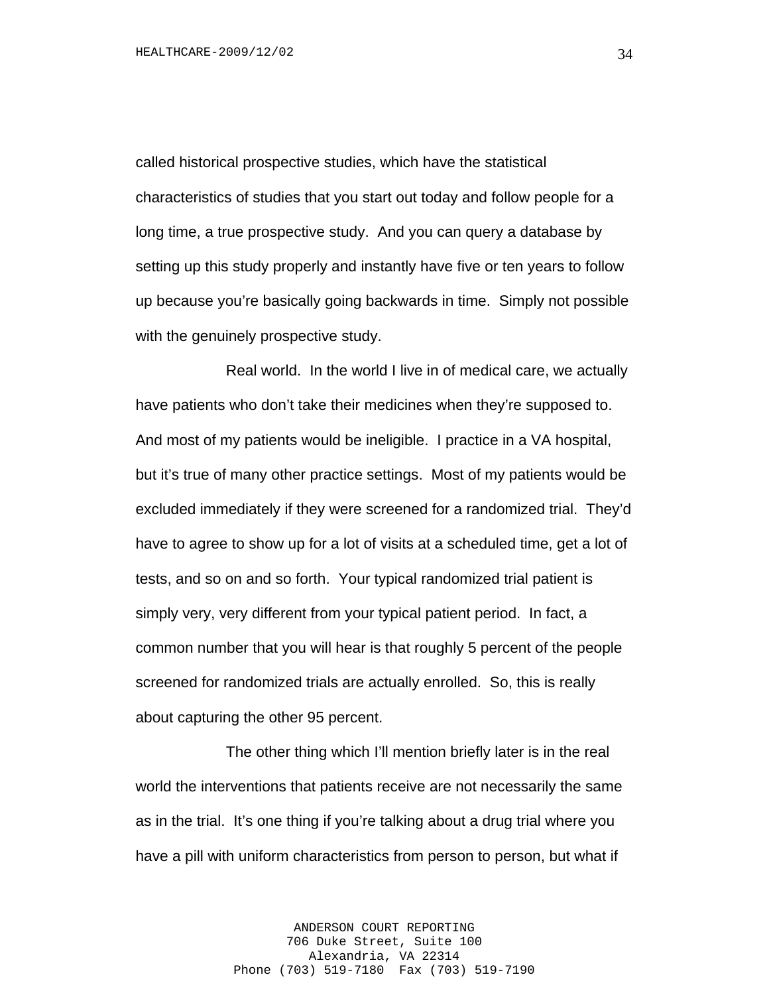called historical prospective studies, which have the statistical characteristics of studies that you start out today and follow people for a long time, a true prospective study. And you can query a database by setting up this study properly and instantly have five or ten years to follow up because you're basically going backwards in time. Simply not possible with the genuinely prospective study.

Real world. In the world I live in of medical care, we actually have patients who don't take their medicines when they're supposed to. And most of my patients would be ineligible. I practice in a VA hospital, but it's true of many other practice settings. Most of my patients would be excluded immediately if they were screened for a randomized trial. They'd have to agree to show up for a lot of visits at a scheduled time, get a lot of tests, and so on and so forth. Your typical randomized trial patient is simply very, very different from your typical patient period. In fact, a common number that you will hear is that roughly 5 percent of the people screened for randomized trials are actually enrolled. So, this is really about capturing the other 95 percent.

The other thing which I'll mention briefly later is in the real world the interventions that patients receive are not necessarily the same as in the trial. It's one thing if you're talking about a drug trial where you have a pill with uniform characteristics from person to person, but what if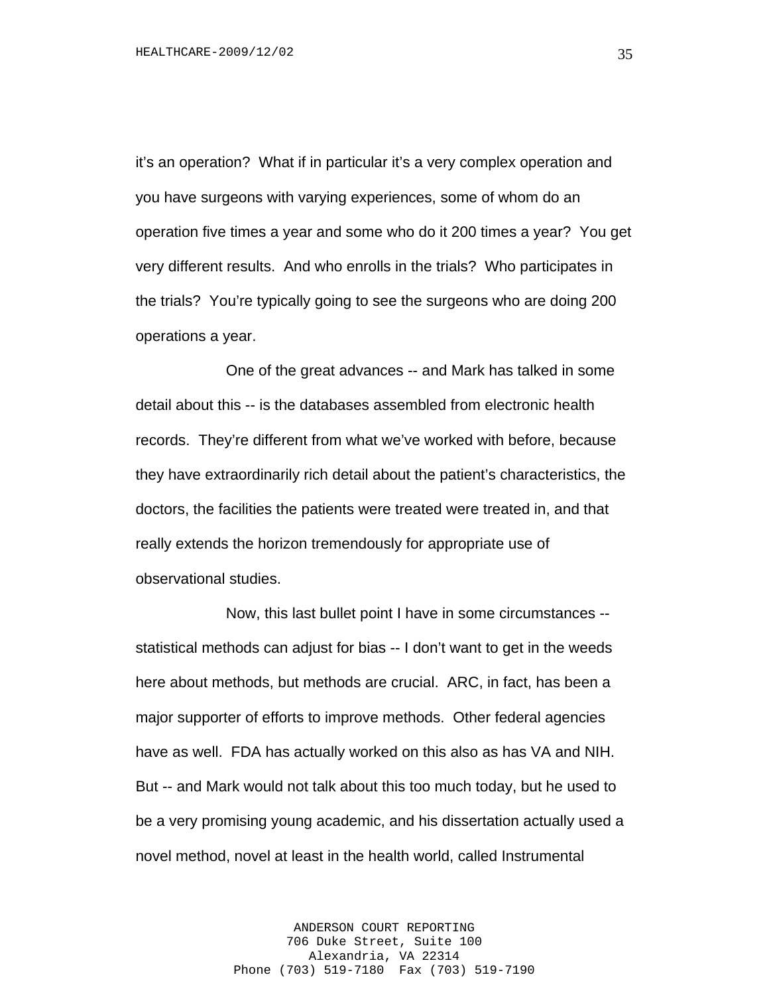it's an operation? What if in particular it's a very complex operation and you have surgeons with varying experiences, some of whom do an operation five times a year and some who do it 200 times a year? You get very different results. And who enrolls in the trials? Who participates in the trials? You're typically going to see the surgeons who are doing 200 operations a year.

One of the great advances -- and Mark has talked in some detail about this -- is the databases assembled from electronic health records. They're different from what we've worked with before, because they have extraordinarily rich detail about the patient's characteristics, the doctors, the facilities the patients were treated were treated in, and that really extends the horizon tremendously for appropriate use of observational studies.

Now, this last bullet point I have in some circumstances - statistical methods can adjust for bias -- I don't want to get in the weeds here about methods, but methods are crucial. ARC, in fact, has been a major supporter of efforts to improve methods. Other federal agencies have as well. FDA has actually worked on this also as has VA and NIH. But -- and Mark would not talk about this too much today, but he used to be a very promising young academic, and his dissertation actually used a novel method, novel at least in the health world, called Instrumental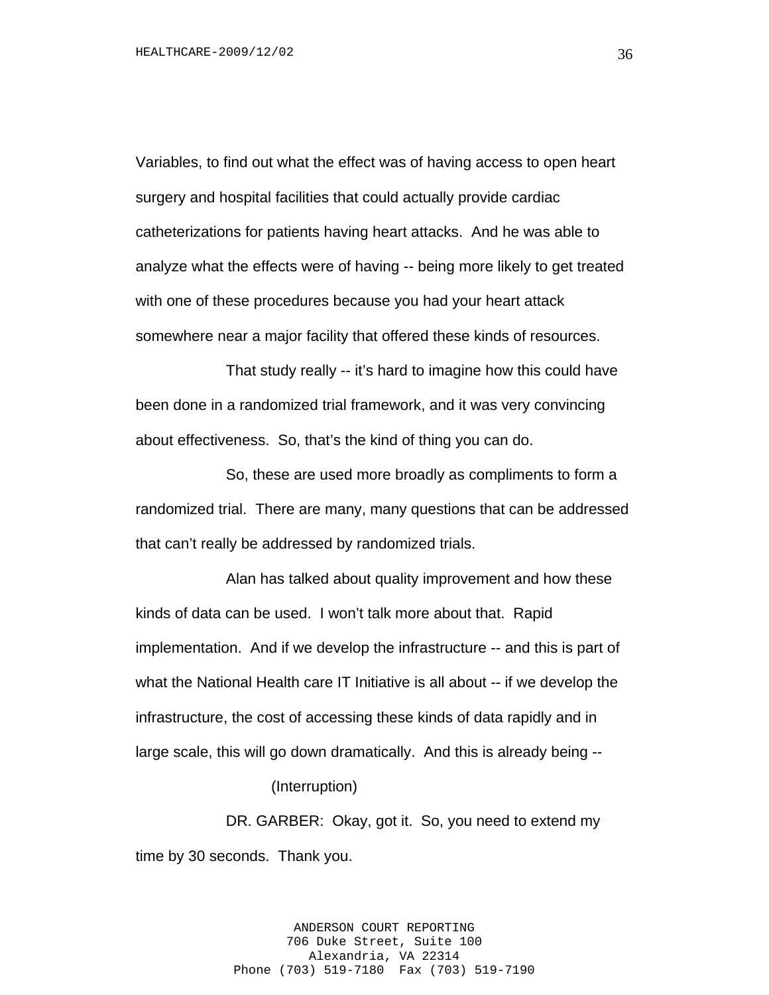Variables, to find out what the effect was of having access to open heart surgery and hospital facilities that could actually provide cardiac catheterizations for patients having heart attacks. And he was able to analyze what the effects were of having -- being more likely to get treated with one of these procedures because you had your heart attack somewhere near a major facility that offered these kinds of resources.

That study really -- it's hard to imagine how this could have been done in a randomized trial framework, and it was very convincing about effectiveness. So, that's the kind of thing you can do.

So, these are used more broadly as compliments to form a randomized trial. There are many, many questions that can be addressed that can't really be addressed by randomized trials.

Alan has talked about quality improvement and how these kinds of data can be used. I won't talk more about that. Rapid implementation. And if we develop the infrastructure -- and this is part of what the National Health care IT Initiative is all about -- if we develop the infrastructure, the cost of accessing these kinds of data rapidly and in large scale, this will go down dramatically. And this is already being --

(Interruption)

DR. GARBER: Okay, got it. So, you need to extend my time by 30 seconds. Thank you.

> ANDERSON COURT REPORTING 706 Duke Street, Suite 100 Alexandria, VA 22314 Phone (703) 519-7180 Fax (703) 519-7190

36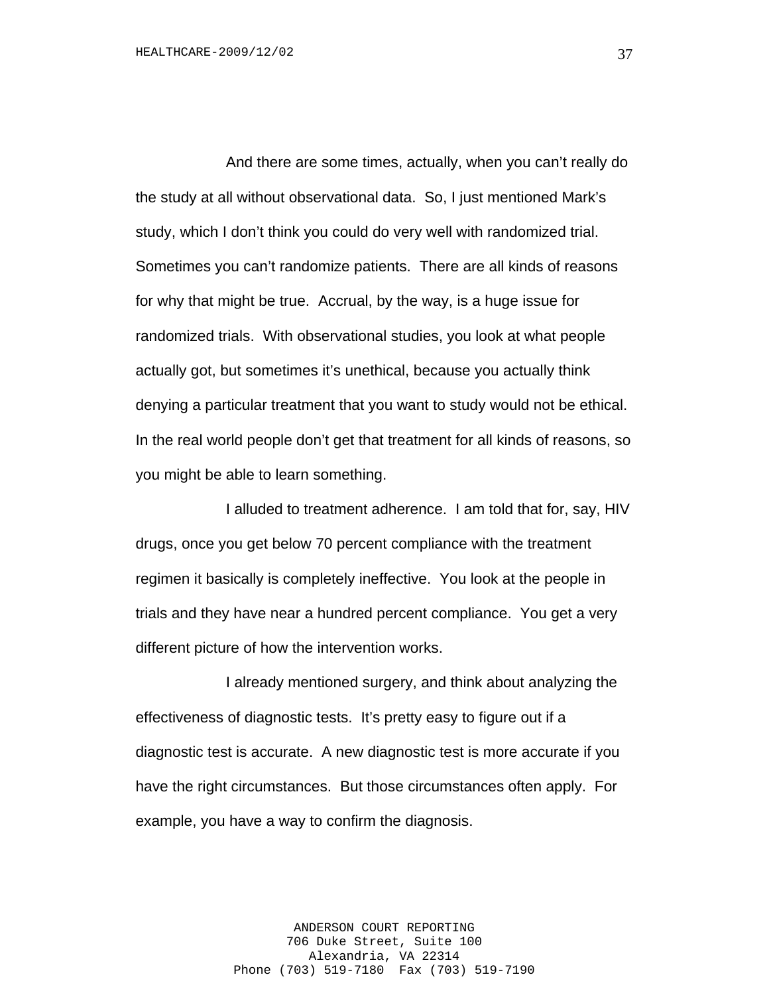And there are some times, actually, when you can't really do the study at all without observational data. So, I just mentioned Mark's study, which I don't think you could do very well with randomized trial. Sometimes you can't randomize patients. There are all kinds of reasons for why that might be true. Accrual, by the way, is a huge issue for randomized trials. With observational studies, you look at what people actually got, but sometimes it's unethical, because you actually think denying a particular treatment that you want to study would not be ethical. In the real world people don't get that treatment for all kinds of reasons, so you might be able to learn something.

I alluded to treatment adherence. I am told that for, say, HIV drugs, once you get below 70 percent compliance with the treatment regimen it basically is completely ineffective. You look at the people in trials and they have near a hundred percent compliance. You get a very different picture of how the intervention works.

I already mentioned surgery, and think about analyzing the effectiveness of diagnostic tests. It's pretty easy to figure out if a diagnostic test is accurate. A new diagnostic test is more accurate if you have the right circumstances. But those circumstances often apply. For example, you have a way to confirm the diagnosis.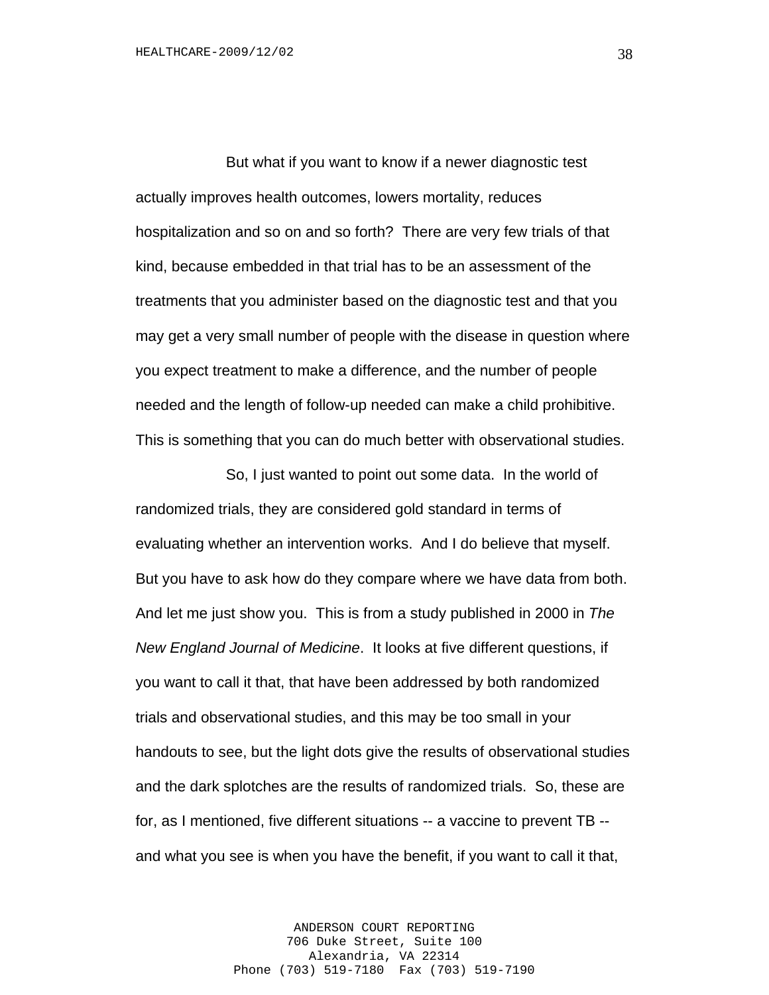But what if you want to know if a newer diagnostic test actually improves health outcomes, lowers mortality, reduces hospitalization and so on and so forth? There are very few trials of that kind, because embedded in that trial has to be an assessment of the treatments that you administer based on the diagnostic test and that you may get a very small number of people with the disease in question where you expect treatment to make a difference, and the number of people needed and the length of follow-up needed can make a child prohibitive. This is something that you can do much better with observational studies.

So, I just wanted to point out some data. In the world of randomized trials, they are considered gold standard in terms of evaluating whether an intervention works. And I do believe that myself. But you have to ask how do they compare where we have data from both. And let me just show you. This is from a study published in 2000 in *The New England Journal of Medicine*. It looks at five different questions, if you want to call it that, that have been addressed by both randomized trials and observational studies, and this may be too small in your handouts to see, but the light dots give the results of observational studies and the dark splotches are the results of randomized trials. So, these are for, as I mentioned, five different situations -- a vaccine to prevent TB - and what you see is when you have the benefit, if you want to call it that,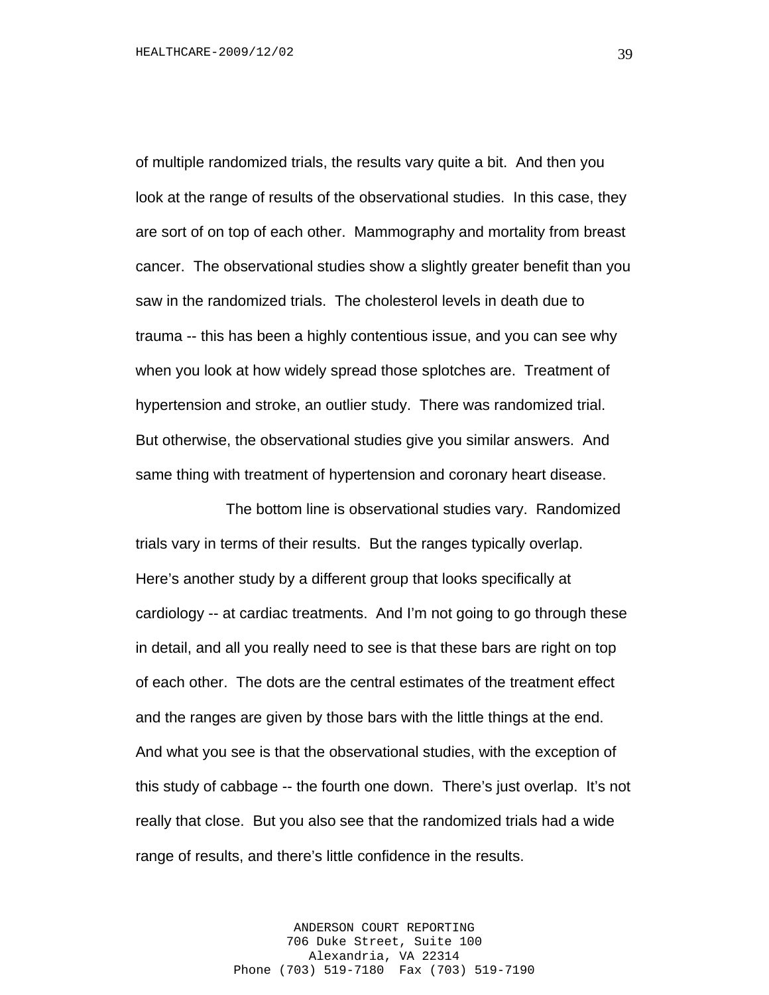of multiple randomized trials, the results vary quite a bit. And then you look at the range of results of the observational studies. In this case, they are sort of on top of each other. Mammography and mortality from breast cancer. The observational studies show a slightly greater benefit than you saw in the randomized trials. The cholesterol levels in death due to trauma -- this has been a highly contentious issue, and you can see why when you look at how widely spread those splotches are. Treatment of hypertension and stroke, an outlier study. There was randomized trial. But otherwise, the observational studies give you similar answers. And same thing with treatment of hypertension and coronary heart disease.

The bottom line is observational studies vary. Randomized trials vary in terms of their results. But the ranges typically overlap. Here's another study by a different group that looks specifically at cardiology -- at cardiac treatments. And I'm not going to go through these in detail, and all you really need to see is that these bars are right on top of each other. The dots are the central estimates of the treatment effect and the ranges are given by those bars with the little things at the end. And what you see is that the observational studies, with the exception of this study of cabbage -- the fourth one down. There's just overlap. It's not really that close. But you also see that the randomized trials had a wide range of results, and there's little confidence in the results.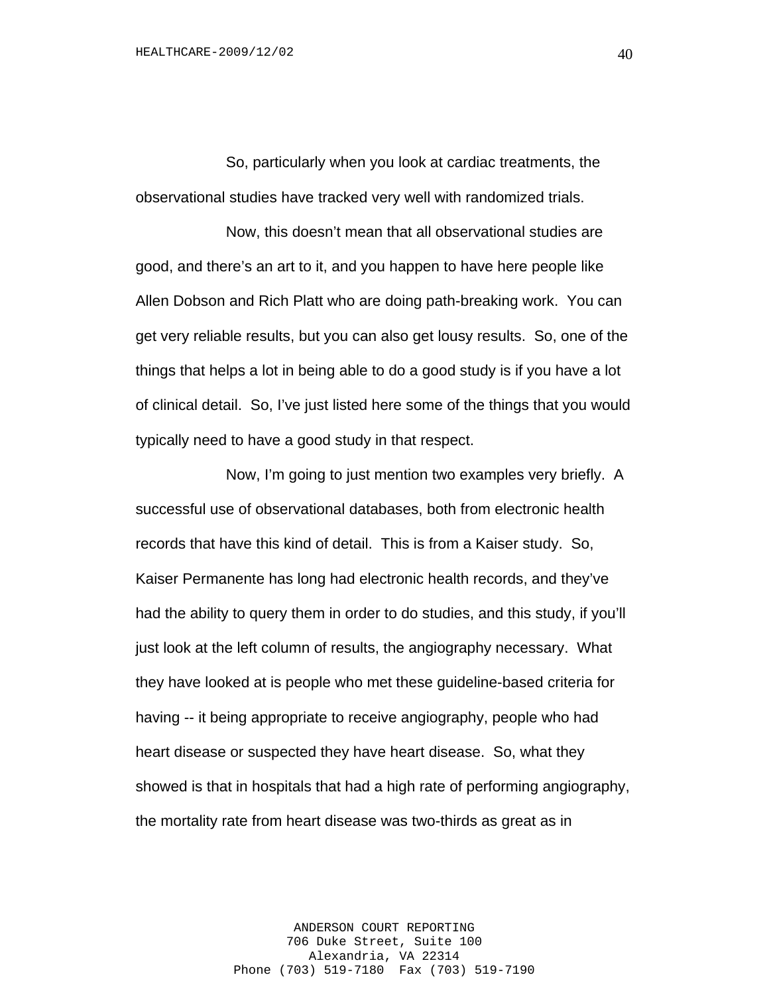So, particularly when you look at cardiac treatments, the observational studies have tracked very well with randomized trials.

Now, this doesn't mean that all observational studies are good, and there's an art to it, and you happen to have here people like Allen Dobson and Rich Platt who are doing path-breaking work. You can get very reliable results, but you can also get lousy results. So, one of the things that helps a lot in being able to do a good study is if you have a lot of clinical detail. So, I've just listed here some of the things that you would typically need to have a good study in that respect.

Now, I'm going to just mention two examples very briefly. A successful use of observational databases, both from electronic health records that have this kind of detail. This is from a Kaiser study. So, Kaiser Permanente has long had electronic health records, and they've had the ability to query them in order to do studies, and this study, if you'll just look at the left column of results, the angiography necessary. What they have looked at is people who met these guideline-based criteria for having -- it being appropriate to receive angiography, people who had heart disease or suspected they have heart disease. So, what they showed is that in hospitals that had a high rate of performing angiography, the mortality rate from heart disease was two-thirds as great as in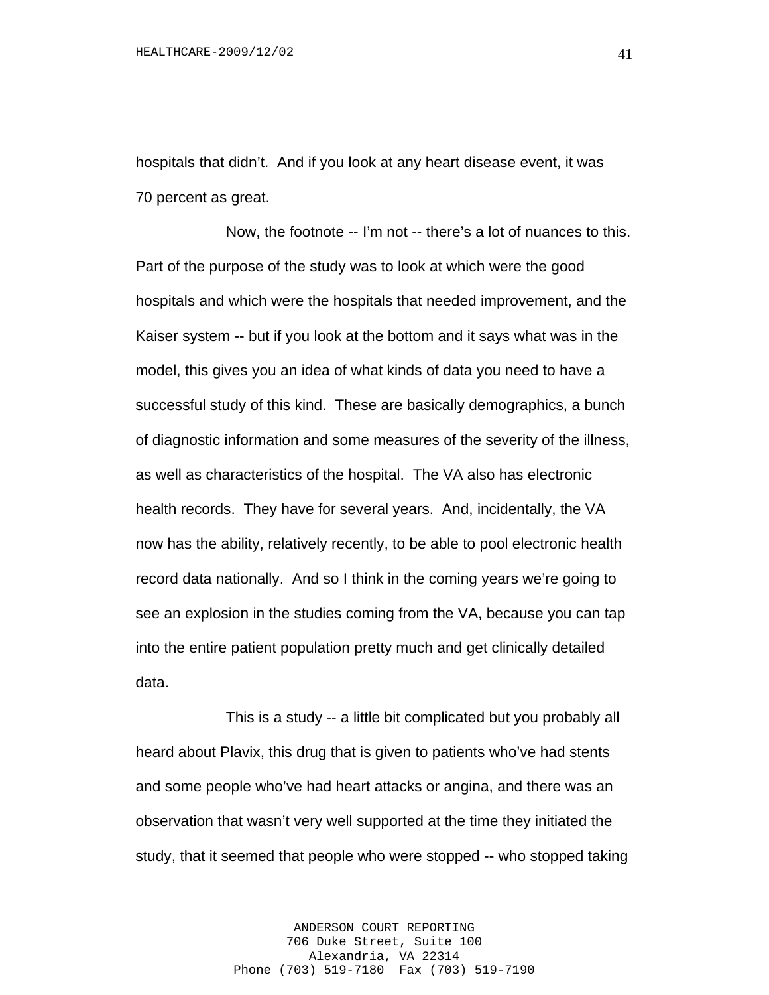hospitals that didn't. And if you look at any heart disease event, it was 70 percent as great.

Now, the footnote -- I'm not -- there's a lot of nuances to this. Part of the purpose of the study was to look at which were the good hospitals and which were the hospitals that needed improvement, and the Kaiser system -- but if you look at the bottom and it says what was in the model, this gives you an idea of what kinds of data you need to have a successful study of this kind. These are basically demographics, a bunch of diagnostic information and some measures of the severity of the illness, as well as characteristics of the hospital. The VA also has electronic health records. They have for several years. And, incidentally, the VA now has the ability, relatively recently, to be able to pool electronic health record data nationally. And so I think in the coming years we're going to see an explosion in the studies coming from the VA, because you can tap into the entire patient population pretty much and get clinically detailed data.

This is a study -- a little bit complicated but you probably all heard about Plavix, this drug that is given to patients who've had stents and some people who've had heart attacks or angina, and there was an observation that wasn't very well supported at the time they initiated the study, that it seemed that people who were stopped -- who stopped taking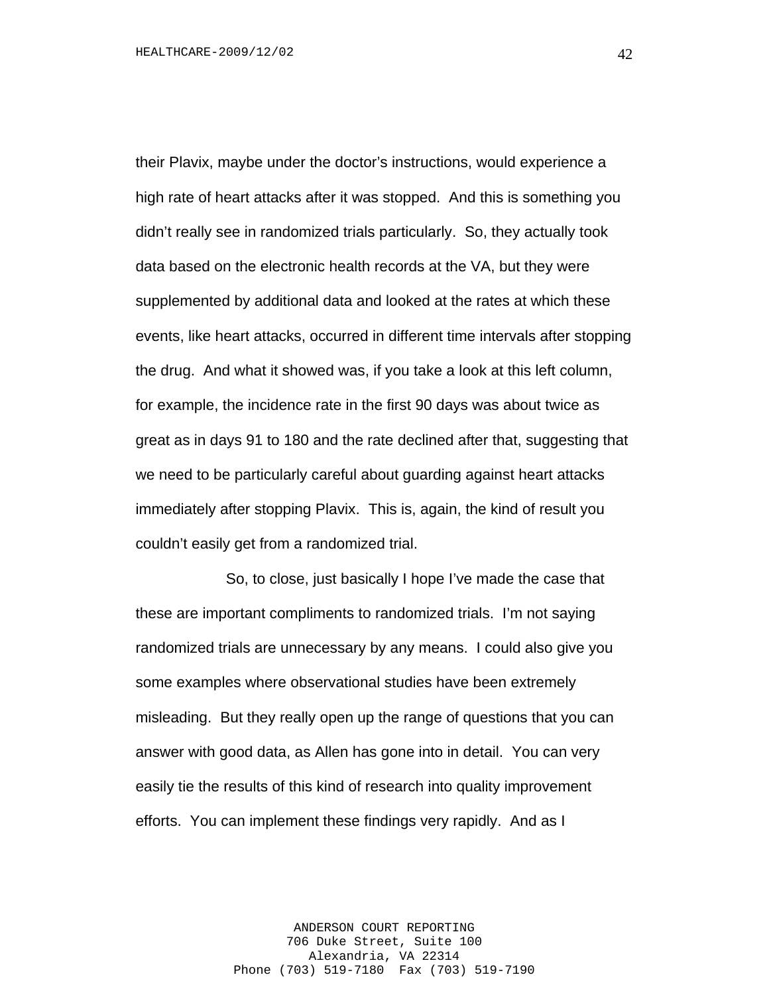their Plavix, maybe under the doctor's instructions, would experience a high rate of heart attacks after it was stopped. And this is something you didn't really see in randomized trials particularly. So, they actually took data based on the electronic health records at the VA, but they were supplemented by additional data and looked at the rates at which these events, like heart attacks, occurred in different time intervals after stopping the drug. And what it showed was, if you take a look at this left column, for example, the incidence rate in the first 90 days was about twice as great as in days 91 to 180 and the rate declined after that, suggesting that we need to be particularly careful about guarding against heart attacks immediately after stopping Plavix. This is, again, the kind of result you couldn't easily get from a randomized trial.

So, to close, just basically I hope I've made the case that these are important compliments to randomized trials. I'm not saying randomized trials are unnecessary by any means. I could also give you some examples where observational studies have been extremely misleading. But they really open up the range of questions that you can answer with good data, as Allen has gone into in detail. You can very easily tie the results of this kind of research into quality improvement efforts. You can implement these findings very rapidly. And as I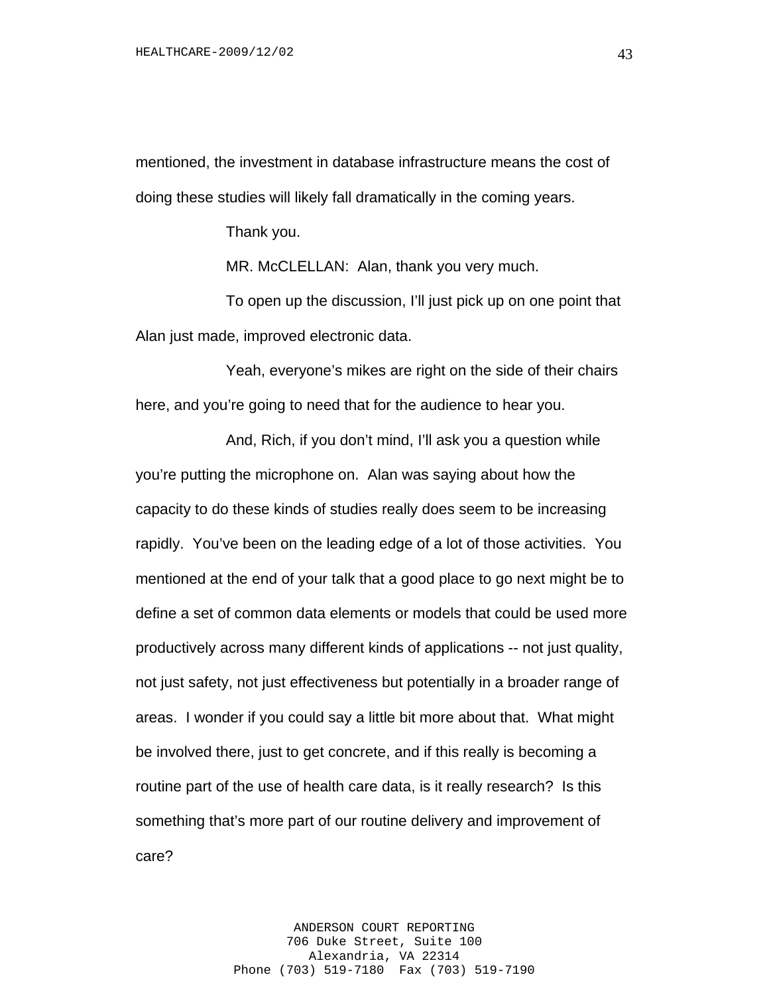mentioned, the investment in database infrastructure means the cost of doing these studies will likely fall dramatically in the coming years.

Thank you.

MR. McCLELLAN: Alan, thank you very much.

To open up the discussion, I'll just pick up on one point that Alan just made, improved electronic data.

Yeah, everyone's mikes are right on the side of their chairs here, and you're going to need that for the audience to hear you.

And, Rich, if you don't mind, I'll ask you a question while you're putting the microphone on. Alan was saying about how the capacity to do these kinds of studies really does seem to be increasing rapidly. You've been on the leading edge of a lot of those activities. You mentioned at the end of your talk that a good place to go next might be to define a set of common data elements or models that could be used more productively across many different kinds of applications -- not just quality, not just safety, not just effectiveness but potentially in a broader range of areas. I wonder if you could say a little bit more about that. What might be involved there, just to get concrete, and if this really is becoming a routine part of the use of health care data, is it really research? Is this something that's more part of our routine delivery and improvement of care?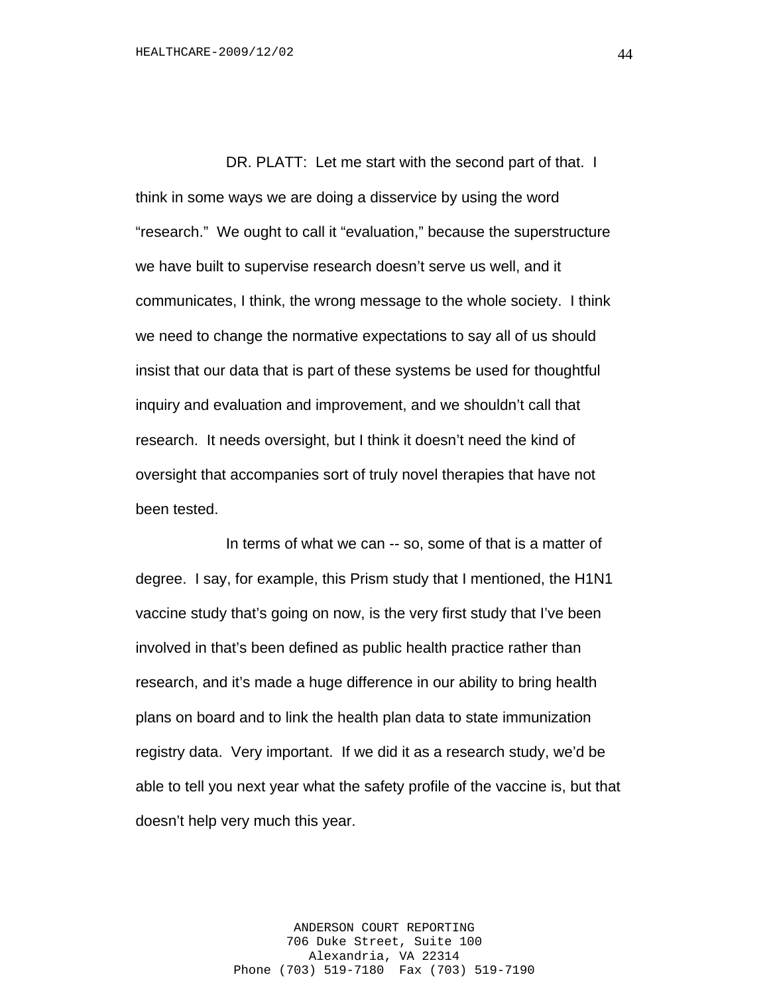DR. PLATT: Let me start with the second part of that. I think in some ways we are doing a disservice by using the word "research." We ought to call it "evaluation," because the superstructure we have built to supervise research doesn't serve us well, and it communicates, I think, the wrong message to the whole society. I think we need to change the normative expectations to say all of us should insist that our data that is part of these systems be used for thoughtful inquiry and evaluation and improvement, and we shouldn't call that research. It needs oversight, but I think it doesn't need the kind of oversight that accompanies sort of truly novel therapies that have not been tested.

In terms of what we can -- so, some of that is a matter of degree. I say, for example, this Prism study that I mentioned, the H1N1 vaccine study that's going on now, is the very first study that I've been involved in that's been defined as public health practice rather than research, and it's made a huge difference in our ability to bring health plans on board and to link the health plan data to state immunization registry data. Very important. If we did it as a research study, we'd be able to tell you next year what the safety profile of the vaccine is, but that doesn't help very much this year.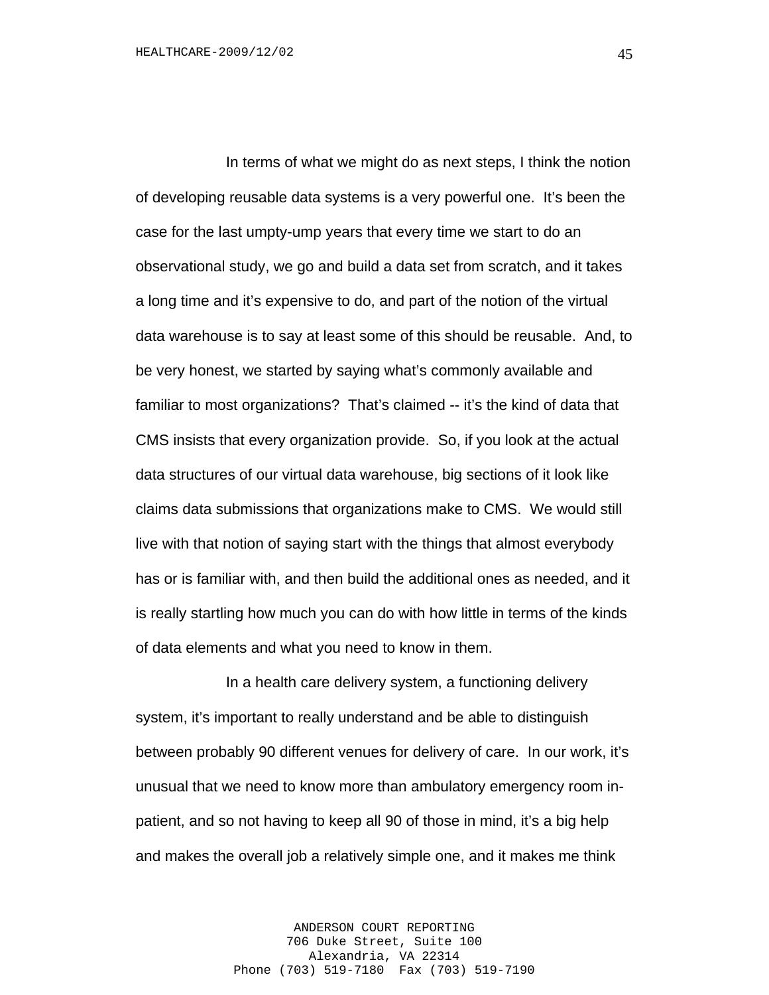In terms of what we might do as next steps, I think the notion of developing reusable data systems is a very powerful one. It's been the case for the last umpty-ump years that every time we start to do an observational study, we go and build a data set from scratch, and it takes a long time and it's expensive to do, and part of the notion of the virtual data warehouse is to say at least some of this should be reusable. And, to be very honest, we started by saying what's commonly available and familiar to most organizations? That's claimed -- it's the kind of data that CMS insists that every organization provide. So, if you look at the actual data structures of our virtual data warehouse, big sections of it look like claims data submissions that organizations make to CMS. We would still live with that notion of saying start with the things that almost everybody has or is familiar with, and then build the additional ones as needed, and it is really startling how much you can do with how little in terms of the kinds of data elements and what you need to know in them.

In a health care delivery system, a functioning delivery system, it's important to really understand and be able to distinguish between probably 90 different venues for delivery of care. In our work, it's unusual that we need to know more than ambulatory emergency room inpatient, and so not having to keep all 90 of those in mind, it's a big help and makes the overall job a relatively simple one, and it makes me think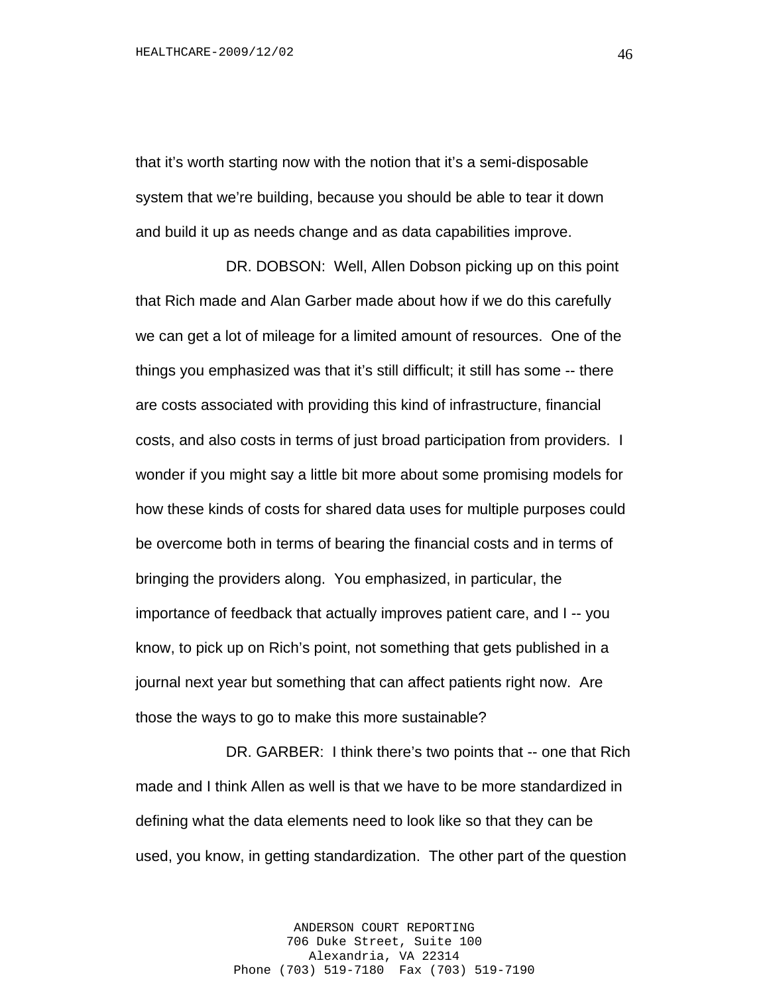that it's worth starting now with the notion that it's a semi-disposable system that we're building, because you should be able to tear it down and build it up as needs change and as data capabilities improve.

DR. DOBSON: Well, Allen Dobson picking up on this point that Rich made and Alan Garber made about how if we do this carefully we can get a lot of mileage for a limited amount of resources. One of the things you emphasized was that it's still difficult; it still has some -- there are costs associated with providing this kind of infrastructure, financial costs, and also costs in terms of just broad participation from providers. I wonder if you might say a little bit more about some promising models for how these kinds of costs for shared data uses for multiple purposes could be overcome both in terms of bearing the financial costs and in terms of bringing the providers along. You emphasized, in particular, the importance of feedback that actually improves patient care, and I -- you know, to pick up on Rich's point, not something that gets published in a journal next year but something that can affect patients right now. Are those the ways to go to make this more sustainable?

DR. GARBER: I think there's two points that -- one that Rich made and I think Allen as well is that we have to be more standardized in defining what the data elements need to look like so that they can be used, you know, in getting standardization. The other part of the question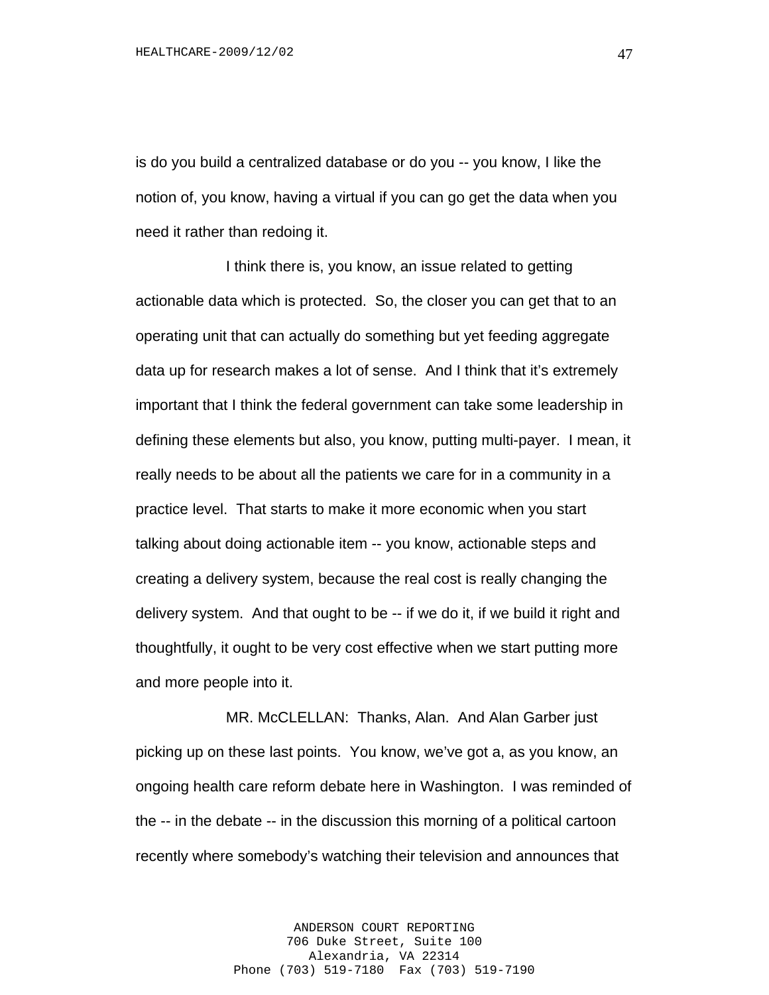is do you build a centralized database or do you -- you know, I like the notion of, you know, having a virtual if you can go get the data when you need it rather than redoing it.

I think there is, you know, an issue related to getting actionable data which is protected. So, the closer you can get that to an operating unit that can actually do something but yet feeding aggregate data up for research makes a lot of sense. And I think that it's extremely important that I think the federal government can take some leadership in defining these elements but also, you know, putting multi-payer. I mean, it really needs to be about all the patients we care for in a community in a practice level. That starts to make it more economic when you start talking about doing actionable item -- you know, actionable steps and creating a delivery system, because the real cost is really changing the delivery system. And that ought to be -- if we do it, if we build it right and thoughtfully, it ought to be very cost effective when we start putting more and more people into it.

MR. McCLELLAN: Thanks, Alan. And Alan Garber just picking up on these last points. You know, we've got a, as you know, an ongoing health care reform debate here in Washington. I was reminded of the -- in the debate -- in the discussion this morning of a political cartoon recently where somebody's watching their television and announces that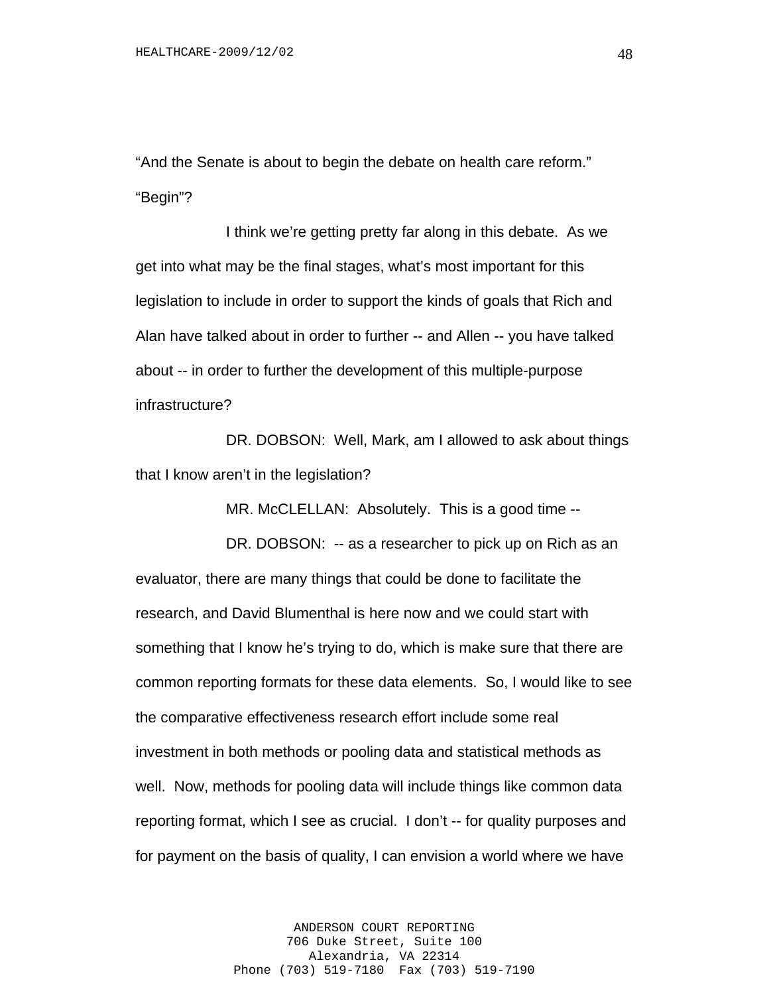"And the Senate is about to begin the debate on health care reform." "Begin"?

I think we're getting pretty far along in this debate. As we get into what may be the final stages, what's most important for this legislation to include in order to support the kinds of goals that Rich and Alan have talked about in order to further -- and Allen -- you have talked about -- in order to further the development of this multiple-purpose infrastructure?

DR. DOBSON: Well, Mark, am I allowed to ask about things that I know aren't in the legislation?

MR. McCLELLAN: Absolutely. This is a good time --

DR. DOBSON: -- as a researcher to pick up on Rich as an evaluator, there are many things that could be done to facilitate the research, and David Blumenthal is here now and we could start with something that I know he's trying to do, which is make sure that there are common reporting formats for these data elements. So, I would like to see the comparative effectiveness research effort include some real investment in both methods or pooling data and statistical methods as well. Now, methods for pooling data will include things like common data reporting format, which I see as crucial. I don't -- for quality purposes and for payment on the basis of quality, I can envision a world where we have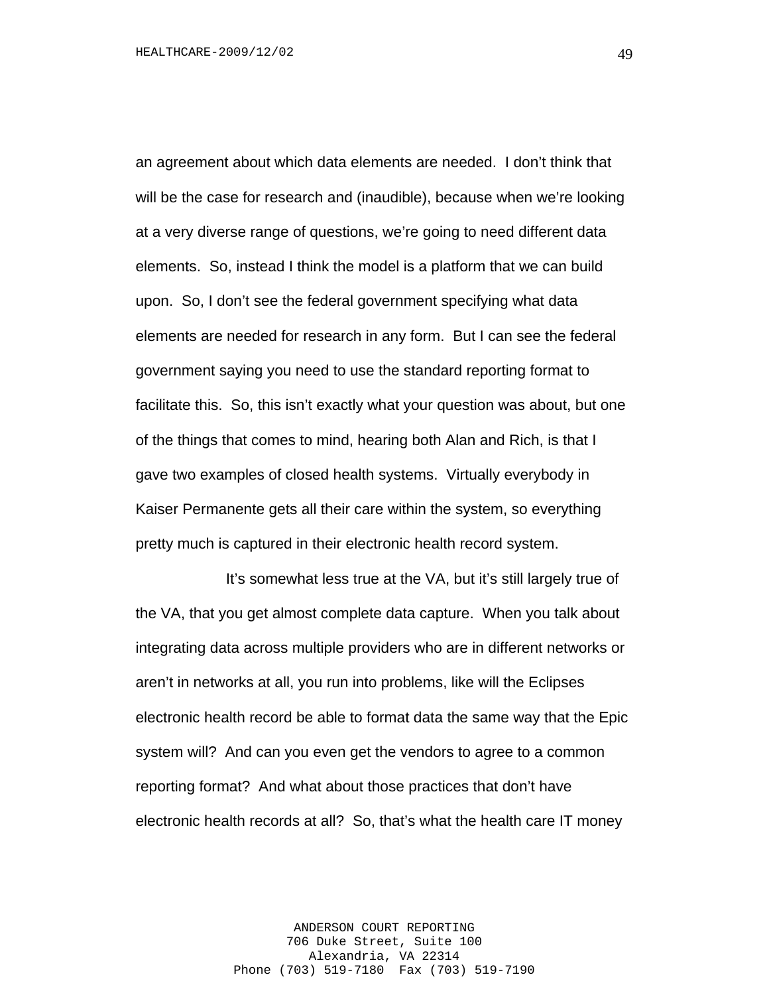an agreement about which data elements are needed. I don't think that will be the case for research and (inaudible), because when we're looking at a very diverse range of questions, we're going to need different data elements. So, instead I think the model is a platform that we can build upon. So, I don't see the federal government specifying what data elements are needed for research in any form. But I can see the federal government saying you need to use the standard reporting format to facilitate this. So, this isn't exactly what your question was about, but one of the things that comes to mind, hearing both Alan and Rich, is that I gave two examples of closed health systems. Virtually everybody in Kaiser Permanente gets all their care within the system, so everything pretty much is captured in their electronic health record system.

It's somewhat less true at the VA, but it's still largely true of the VA, that you get almost complete data capture. When you talk about integrating data across multiple providers who are in different networks or aren't in networks at all, you run into problems, like will the Eclipses electronic health record be able to format data the same way that the Epic system will? And can you even get the vendors to agree to a common reporting format? And what about those practices that don't have electronic health records at all? So, that's what the health care IT money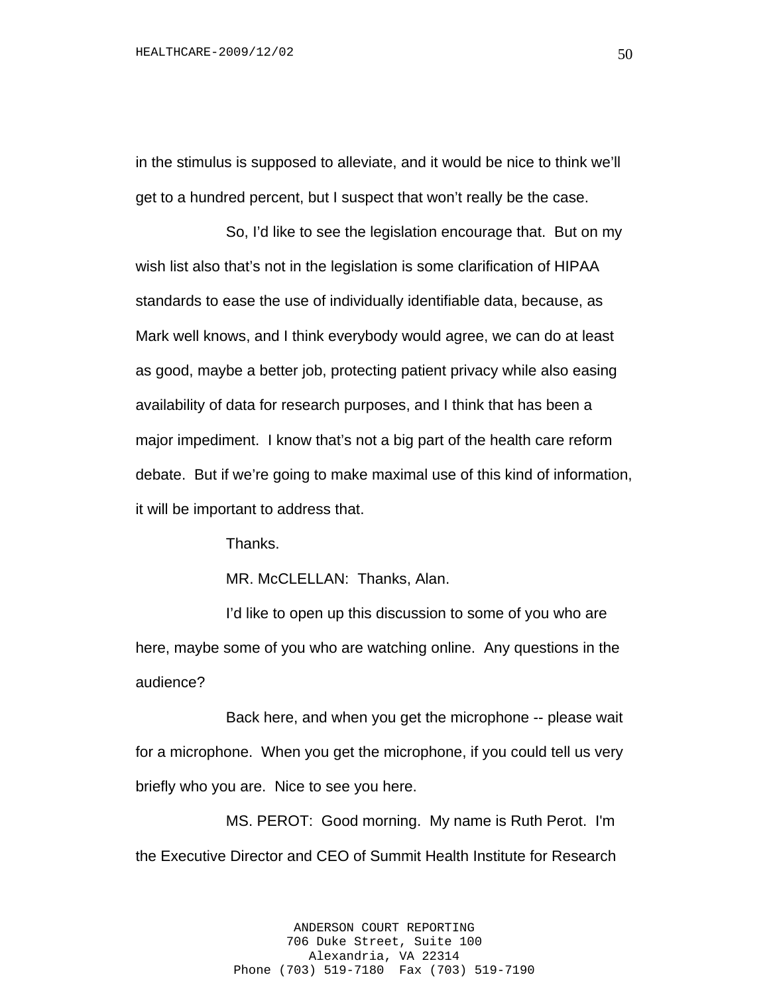in the stimulus is supposed to alleviate, and it would be nice to think we'll get to a hundred percent, but I suspect that won't really be the case.

So, I'd like to see the legislation encourage that. But on my wish list also that's not in the legislation is some clarification of HIPAA standards to ease the use of individually identifiable data, because, as Mark well knows, and I think everybody would agree, we can do at least as good, maybe a better job, protecting patient privacy while also easing availability of data for research purposes, and I think that has been a major impediment. I know that's not a big part of the health care reform debate. But if we're going to make maximal use of this kind of information, it will be important to address that.

Thanks.

MR. McCLELLAN: Thanks, Alan.

I'd like to open up this discussion to some of you who are here, maybe some of you who are watching online. Any questions in the audience?

Back here, and when you get the microphone -- please wait for a microphone. When you get the microphone, if you could tell us very briefly who you are. Nice to see you here.

MS. PEROT: Good morning. My name is Ruth Perot. I'm the Executive Director and CEO of Summit Health Institute for Research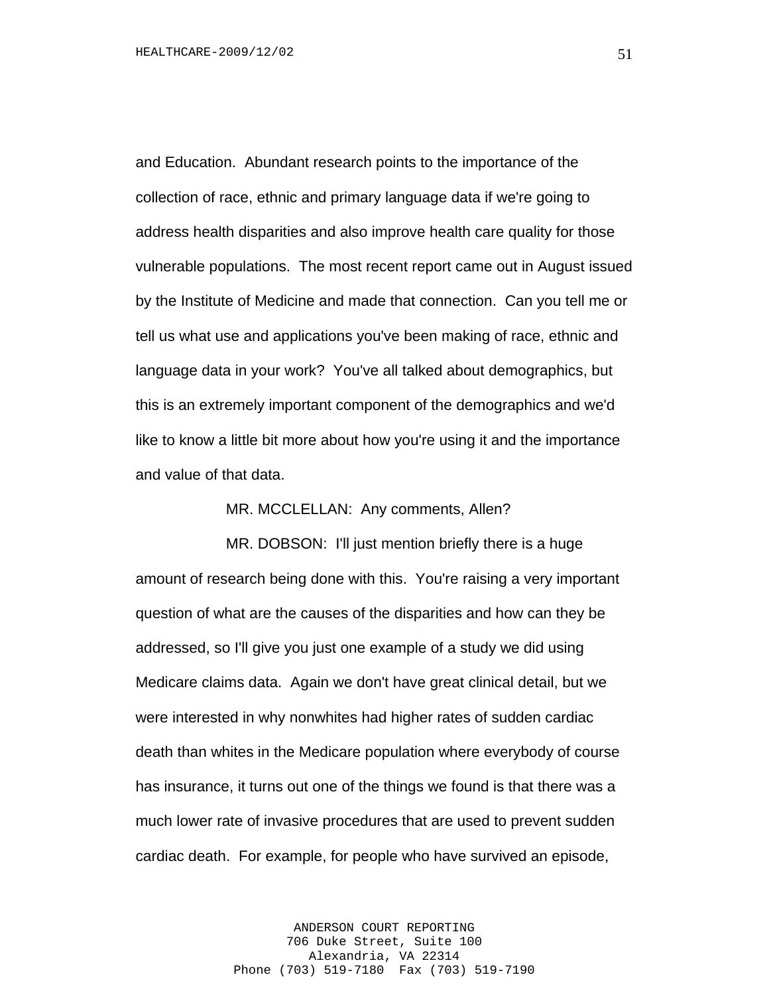and Education. Abundant research points to the importance of the collection of race, ethnic and primary language data if we're going to address health disparities and also improve health care quality for those vulnerable populations. The most recent report came out in August issued by the Institute of Medicine and made that connection. Can you tell me or tell us what use and applications you've been making of race, ethnic and language data in your work? You've all talked about demographics, but this is an extremely important component of the demographics and we'd like to know a little bit more about how you're using it and the importance and value of that data.

MR. MCCLELLAN: Any comments, Allen?

MR. DOBSON: I'll just mention briefly there is a huge amount of research being done with this. You're raising a very important question of what are the causes of the disparities and how can they be addressed, so I'll give you just one example of a study we did using Medicare claims data. Again we don't have great clinical detail, but we were interested in why nonwhites had higher rates of sudden cardiac death than whites in the Medicare population where everybody of course has insurance, it turns out one of the things we found is that there was a much lower rate of invasive procedures that are used to prevent sudden cardiac death. For example, for people who have survived an episode,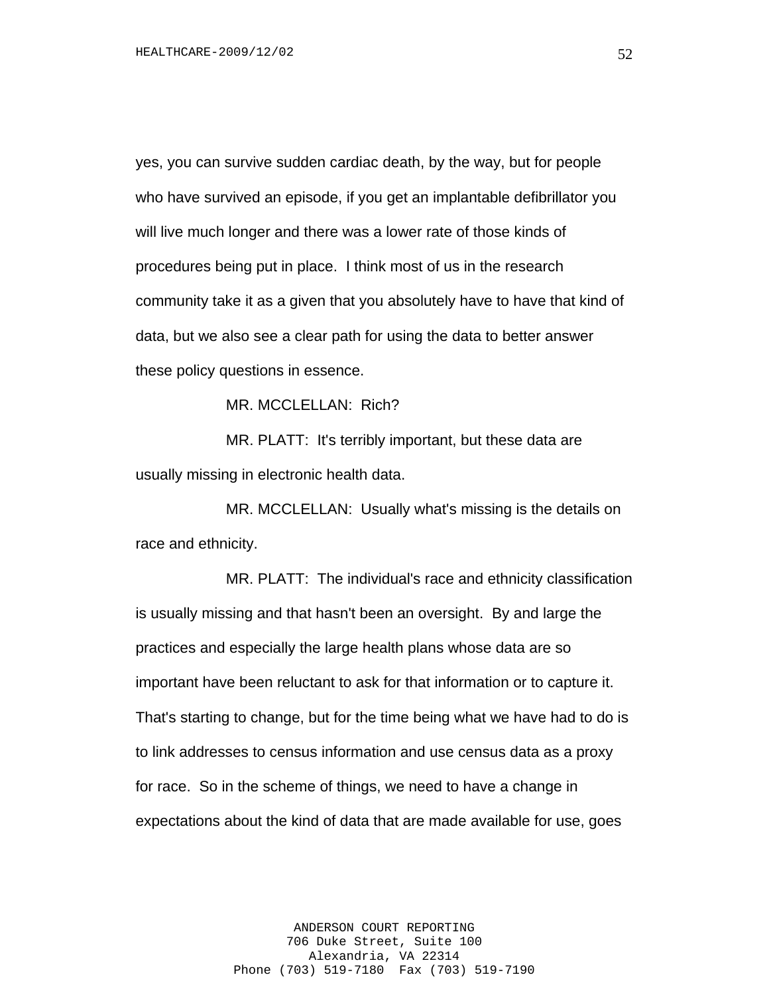yes, you can survive sudden cardiac death, by the way, but for people who have survived an episode, if you get an implantable defibrillator you will live much longer and there was a lower rate of those kinds of procedures being put in place. I think most of us in the research community take it as a given that you absolutely have to have that kind of data, but we also see a clear path for using the data to better answer these policy questions in essence.

MR. MCCLELLAN: Rich?

MR. PLATT: It's terribly important, but these data are usually missing in electronic health data.

MR. MCCLELLAN: Usually what's missing is the details on race and ethnicity.

MR. PLATT: The individual's race and ethnicity classification is usually missing and that hasn't been an oversight. By and large the practices and especially the large health plans whose data are so important have been reluctant to ask for that information or to capture it. That's starting to change, but for the time being what we have had to do is to link addresses to census information and use census data as a proxy for race. So in the scheme of things, we need to have a change in expectations about the kind of data that are made available for use, goes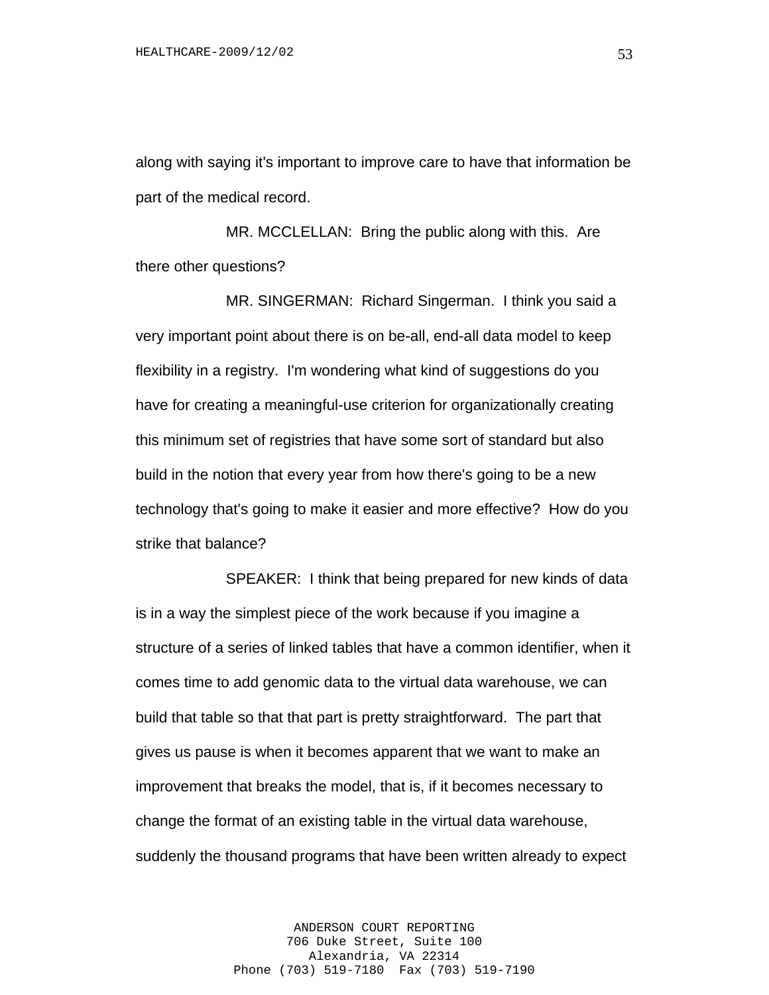along with saying it's important to improve care to have that information be part of the medical record.

MR. MCCLELLAN: Bring the public along with this. Are there other questions?

MR. SINGERMAN: Richard Singerman. I think you said a very important point about there is on be-all, end-all data model to keep flexibility in a registry. I'm wondering what kind of suggestions do you have for creating a meaningful-use criterion for organizationally creating this minimum set of registries that have some sort of standard but also build in the notion that every year from how there's going to be a new technology that's going to make it easier and more effective? How do you strike that balance?

SPEAKER: I think that being prepared for new kinds of data is in a way the simplest piece of the work because if you imagine a structure of a series of linked tables that have a common identifier, when it comes time to add genomic data to the virtual data warehouse, we can build that table so that that part is pretty straightforward. The part that gives us pause is when it becomes apparent that we want to make an improvement that breaks the model, that is, if it becomes necessary to change the format of an existing table in the virtual data warehouse, suddenly the thousand programs that have been written already to expect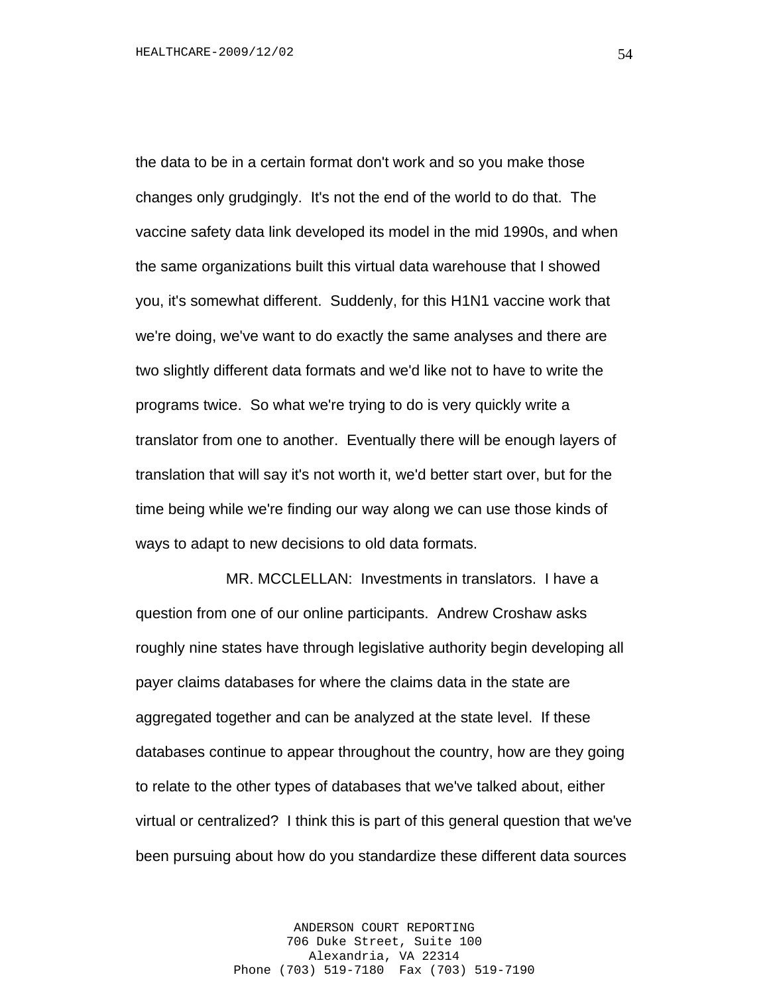the data to be in a certain format don't work and so you make those changes only grudgingly. It's not the end of the world to do that. The vaccine safety data link developed its model in the mid 1990s, and when the same organizations built this virtual data warehouse that I showed you, it's somewhat different. Suddenly, for this H1N1 vaccine work that we're doing, we've want to do exactly the same analyses and there are two slightly different data formats and we'd like not to have to write the programs twice. So what we're trying to do is very quickly write a translator from one to another. Eventually there will be enough layers of translation that will say it's not worth it, we'd better start over, but for the time being while we're finding our way along we can use those kinds of ways to adapt to new decisions to old data formats.

MR. MCCLELLAN: Investments in translators. I have a question from one of our online participants. Andrew Croshaw asks roughly nine states have through legislative authority begin developing all payer claims databases for where the claims data in the state are aggregated together and can be analyzed at the state level. If these databases continue to appear throughout the country, how are they going to relate to the other types of databases that we've talked about, either virtual or centralized? I think this is part of this general question that we've been pursuing about how do you standardize these different data sources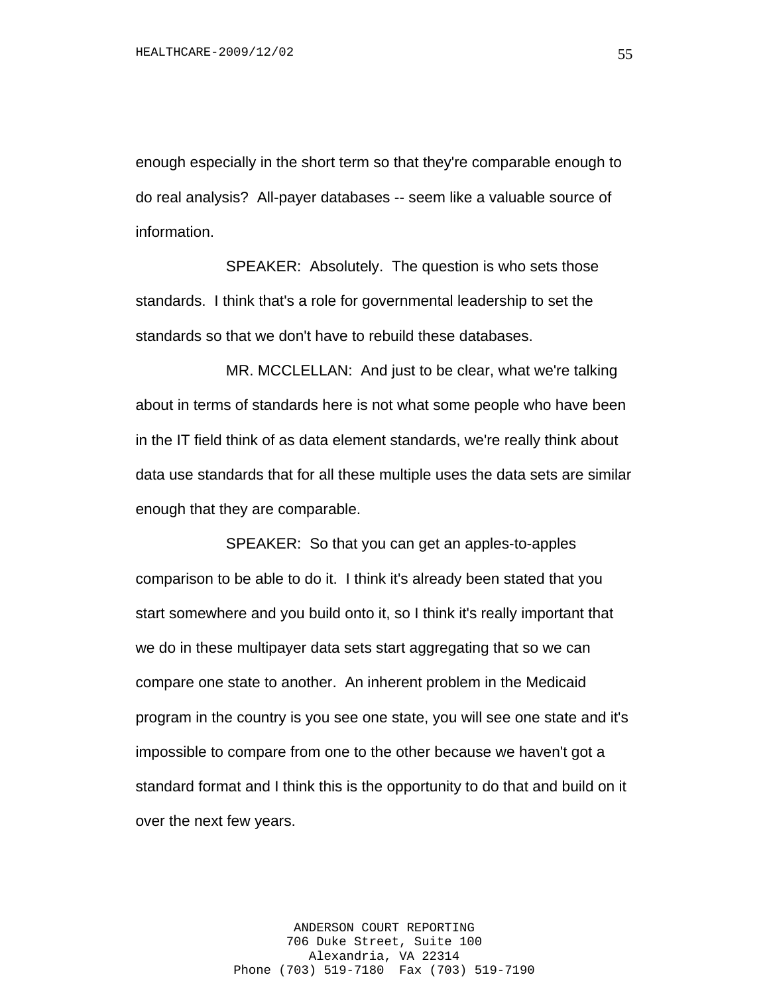enough especially in the short term so that they're comparable enough to do real analysis? All-payer databases -- seem like a valuable source of information.

SPEAKER: Absolutely. The question is who sets those standards. I think that's a role for governmental leadership to set the standards so that we don't have to rebuild these databases.

MR. MCCLELLAN: And just to be clear, what we're talking about in terms of standards here is not what some people who have been in the IT field think of as data element standards, we're really think about data use standards that for all these multiple uses the data sets are similar enough that they are comparable.

SPEAKER: So that you can get an apples-to-apples comparison to be able to do it. I think it's already been stated that you start somewhere and you build onto it, so I think it's really important that we do in these multipayer data sets start aggregating that so we can compare one state to another. An inherent problem in the Medicaid program in the country is you see one state, you will see one state and it's impossible to compare from one to the other because we haven't got a standard format and I think this is the opportunity to do that and build on it over the next few years.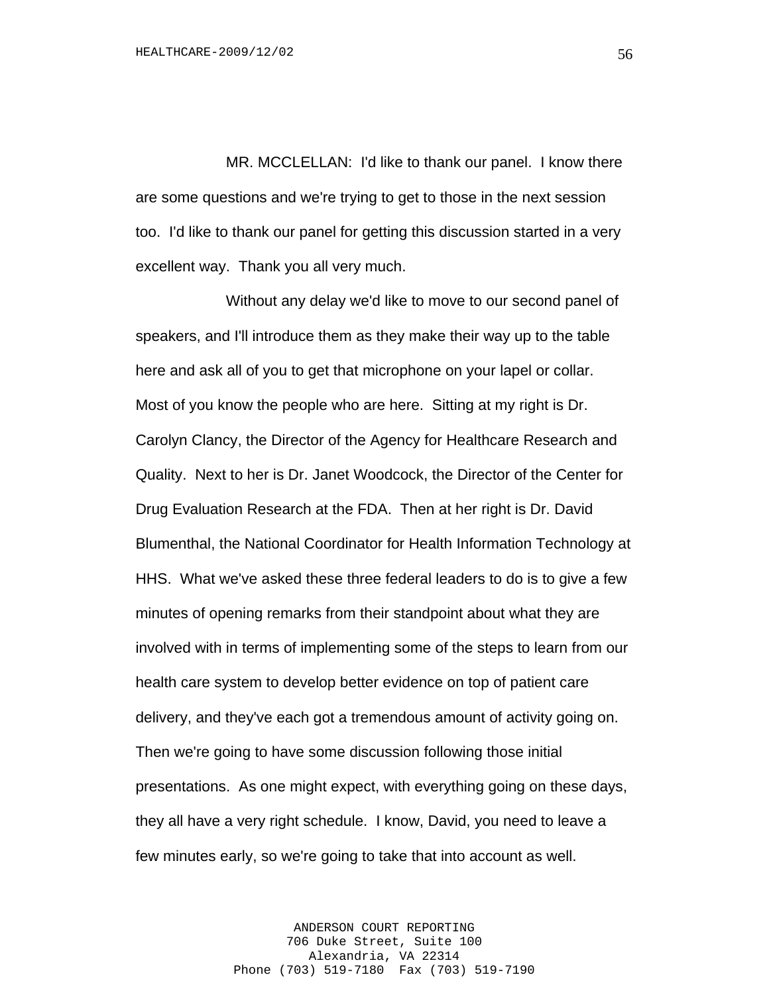MR. MCCLELLAN: I'd like to thank our panel. I know there are some questions and we're trying to get to those in the next session too. I'd like to thank our panel for getting this discussion started in a very excellent way. Thank you all very much.

Without any delay we'd like to move to our second panel of speakers, and I'll introduce them as they make their way up to the table here and ask all of you to get that microphone on your lapel or collar. Most of you know the people who are here. Sitting at my right is Dr. Carolyn Clancy, the Director of the Agency for Healthcare Research and Quality. Next to her is Dr. Janet Woodcock, the Director of the Center for Drug Evaluation Research at the FDA. Then at her right is Dr. David Blumenthal, the National Coordinator for Health Information Technology at HHS. What we've asked these three federal leaders to do is to give a few minutes of opening remarks from their standpoint about what they are involved with in terms of implementing some of the steps to learn from our health care system to develop better evidence on top of patient care delivery, and they've each got a tremendous amount of activity going on. Then we're going to have some discussion following those initial presentations. As one might expect, with everything going on these days, they all have a very right schedule. I know, David, you need to leave a few minutes early, so we're going to take that into account as well.

> ANDERSON COURT REPORTING 706 Duke Street, Suite 100 Alexandria, VA 22314 Phone (703) 519-7180 Fax (703) 519-7190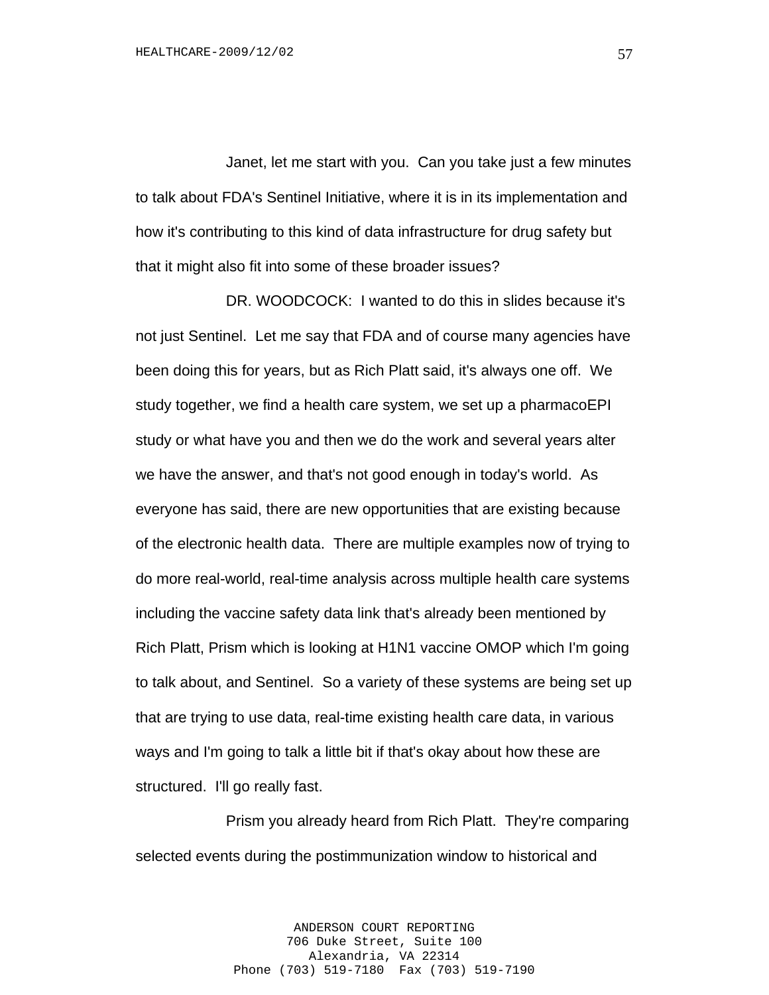Janet, let me start with you. Can you take just a few minutes to talk about FDA's Sentinel Initiative, where it is in its implementation and how it's contributing to this kind of data infrastructure for drug safety but that it might also fit into some of these broader issues?

DR. WOODCOCK: I wanted to do this in slides because it's not just Sentinel. Let me say that FDA and of course many agencies have been doing this for years, but as Rich Platt said, it's always one off. We study together, we find a health care system, we set up a pharmacoEPI study or what have you and then we do the work and several years alter we have the answer, and that's not good enough in today's world. As everyone has said, there are new opportunities that are existing because of the electronic health data. There are multiple examples now of trying to do more real-world, real-time analysis across multiple health care systems including the vaccine safety data link that's already been mentioned by Rich Platt, Prism which is looking at H1N1 vaccine OMOP which I'm going to talk about, and Sentinel. So a variety of these systems are being set up that are trying to use data, real-time existing health care data, in various ways and I'm going to talk a little bit if that's okay about how these are structured. I'll go really fast.

Prism you already heard from Rich Platt. They're comparing selected events during the postimmunization window to historical and

> ANDERSON COURT REPORTING 706 Duke Street, Suite 100 Alexandria, VA 22314 Phone (703) 519-7180 Fax (703) 519-7190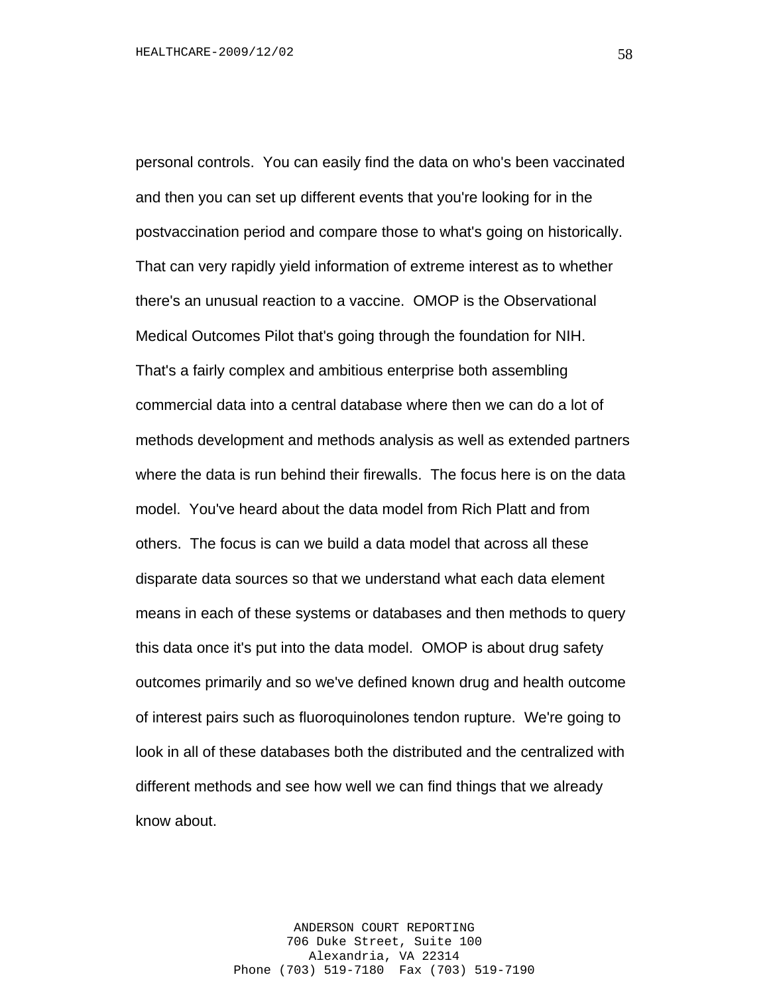personal controls. You can easily find the data on who's been vaccinated and then you can set up different events that you're looking for in the postvaccination period and compare those to what's going on historically. That can very rapidly yield information of extreme interest as to whether there's an unusual reaction to a vaccine. OMOP is the Observational Medical Outcomes Pilot that's going through the foundation for NIH. That's a fairly complex and ambitious enterprise both assembling commercial data into a central database where then we can do a lot of methods development and methods analysis as well as extended partners where the data is run behind their firewalls. The focus here is on the data model. You've heard about the data model from Rich Platt and from others. The focus is can we build a data model that across all these disparate data sources so that we understand what each data element means in each of these systems or databases and then methods to query this data once it's put into the data model. OMOP is about drug safety outcomes primarily and so we've defined known drug and health outcome of interest pairs such as fluoroquinolones tendon rupture. We're going to look in all of these databases both the distributed and the centralized with different methods and see how well we can find things that we already know about.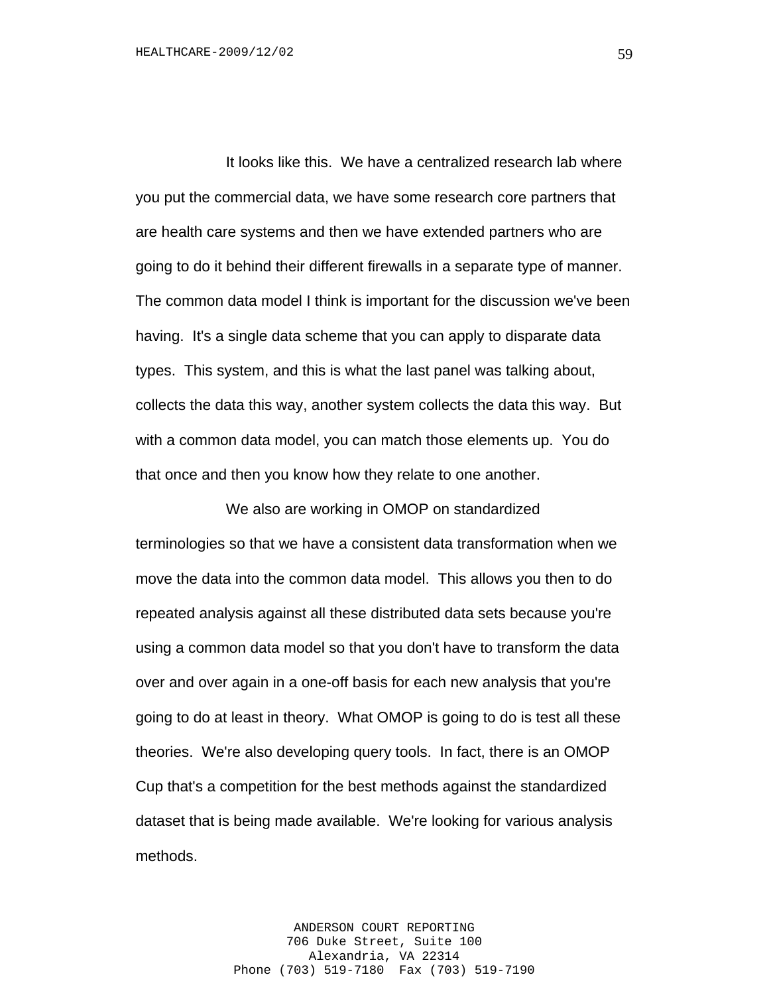It looks like this. We have a centralized research lab where you put the commercial data, we have some research core partners that are health care systems and then we have extended partners who are going to do it behind their different firewalls in a separate type of manner. The common data model I think is important for the discussion we've been having. It's a single data scheme that you can apply to disparate data types. This system, and this is what the last panel was talking about, collects the data this way, another system collects the data this way. But with a common data model, you can match those elements up. You do that once and then you know how they relate to one another.

We also are working in OMOP on standardized terminologies so that we have a consistent data transformation when we move the data into the common data model. This allows you then to do repeated analysis against all these distributed data sets because you're using a common data model so that you don't have to transform the data over and over again in a one-off basis for each new analysis that you're going to do at least in theory. What OMOP is going to do is test all these theories. We're also developing query tools. In fact, there is an OMOP Cup that's a competition for the best methods against the standardized dataset that is being made available. We're looking for various analysis methods.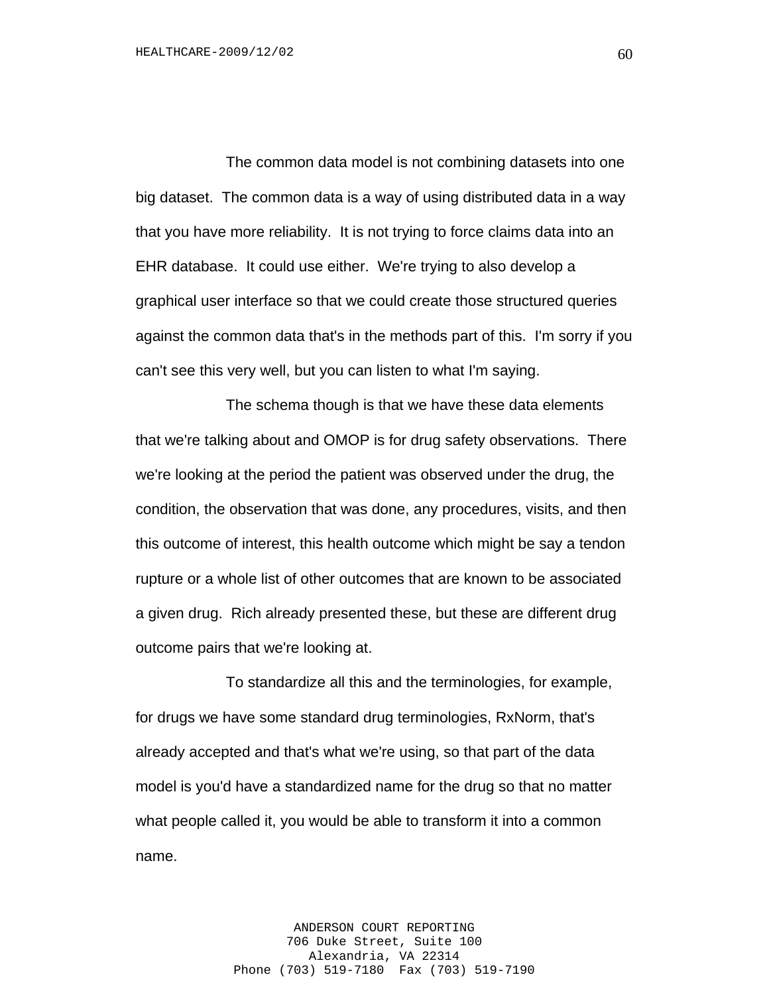The common data model is not combining datasets into one big dataset. The common data is a way of using distributed data in a way that you have more reliability. It is not trying to force claims data into an EHR database. It could use either. We're trying to also develop a graphical user interface so that we could create those structured queries against the common data that's in the methods part of this. I'm sorry if you can't see this very well, but you can listen to what I'm saying.

The schema though is that we have these data elements that we're talking about and OMOP is for drug safety observations. There we're looking at the period the patient was observed under the drug, the condition, the observation that was done, any procedures, visits, and then this outcome of interest, this health outcome which might be say a tendon rupture or a whole list of other outcomes that are known to be associated a given drug. Rich already presented these, but these are different drug outcome pairs that we're looking at.

To standardize all this and the terminologies, for example, for drugs we have some standard drug terminologies, RxNorm, that's already accepted and that's what we're using, so that part of the data model is you'd have a standardized name for the drug so that no matter what people called it, you would be able to transform it into a common name.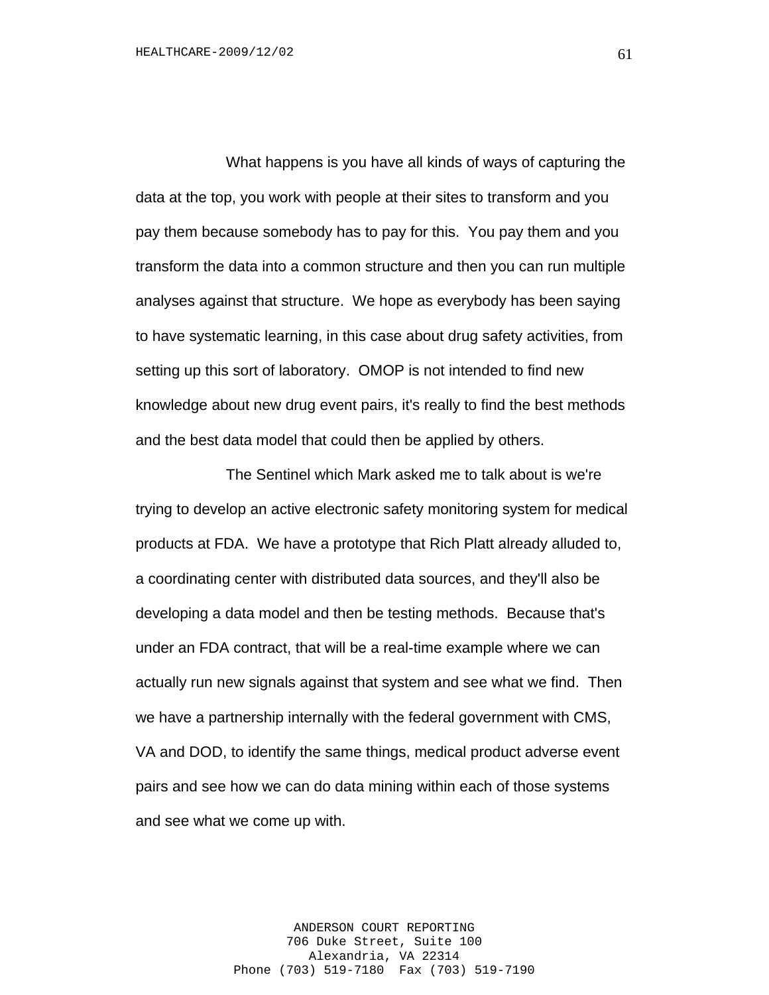What happens is you have all kinds of ways of capturing the data at the top, you work with people at their sites to transform and you pay them because somebody has to pay for this. You pay them and you transform the data into a common structure and then you can run multiple analyses against that structure. We hope as everybody has been saying to have systematic learning, in this case about drug safety activities, from setting up this sort of laboratory. OMOP is not intended to find new knowledge about new drug event pairs, it's really to find the best methods and the best data model that could then be applied by others.

The Sentinel which Mark asked me to talk about is we're trying to develop an active electronic safety monitoring system for medical products at FDA. We have a prototype that Rich Platt already alluded to, a coordinating center with distributed data sources, and they'll also be developing a data model and then be testing methods. Because that's under an FDA contract, that will be a real-time example where we can actually run new signals against that system and see what we find. Then we have a partnership internally with the federal government with CMS, VA and DOD, to identify the same things, medical product adverse event pairs and see how we can do data mining within each of those systems and see what we come up with.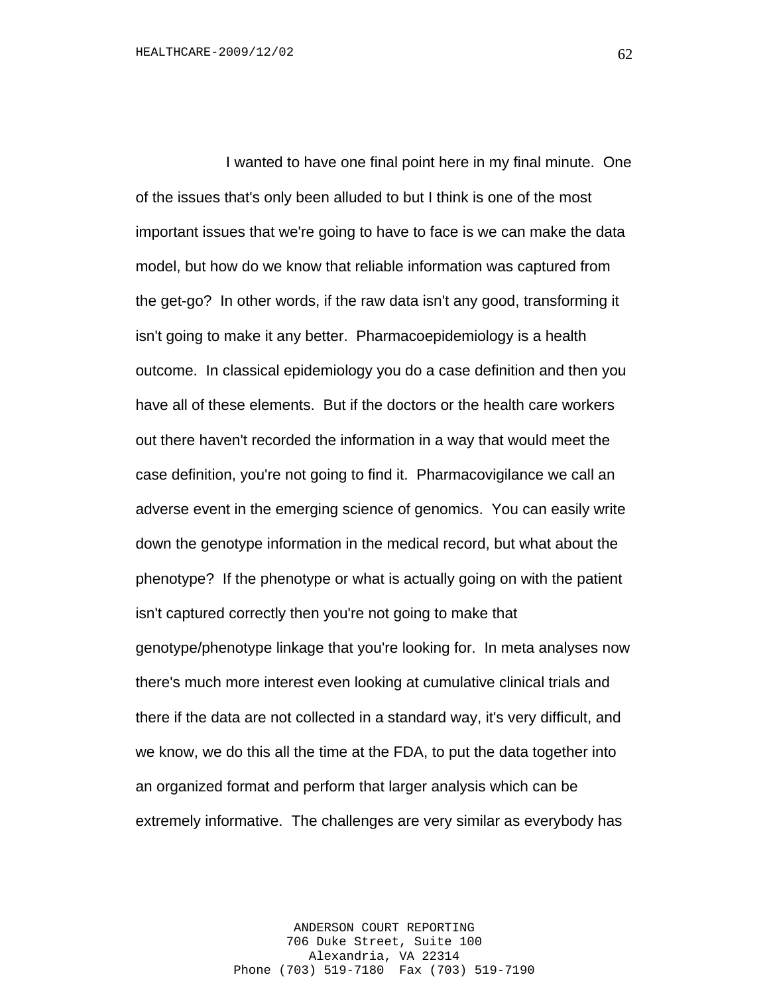I wanted to have one final point here in my final minute. One of the issues that's only been alluded to but I think is one of the most important issues that we're going to have to face is we can make the data model, but how do we know that reliable information was captured from the get-go? In other words, if the raw data isn't any good, transforming it isn't going to make it any better. Pharmacoepidemiology is a health outcome. In classical epidemiology you do a case definition and then you have all of these elements. But if the doctors or the health care workers out there haven't recorded the information in a way that would meet the case definition, you're not going to find it. Pharmacovigilance we call an adverse event in the emerging science of genomics. You can easily write down the genotype information in the medical record, but what about the phenotype? If the phenotype or what is actually going on with the patient isn't captured correctly then you're not going to make that genotype/phenotype linkage that you're looking for. In meta analyses now there's much more interest even looking at cumulative clinical trials and there if the data are not collected in a standard way, it's very difficult, and we know, we do this all the time at the FDA, to put the data together into an organized format and perform that larger analysis which can be extremely informative. The challenges are very similar as everybody has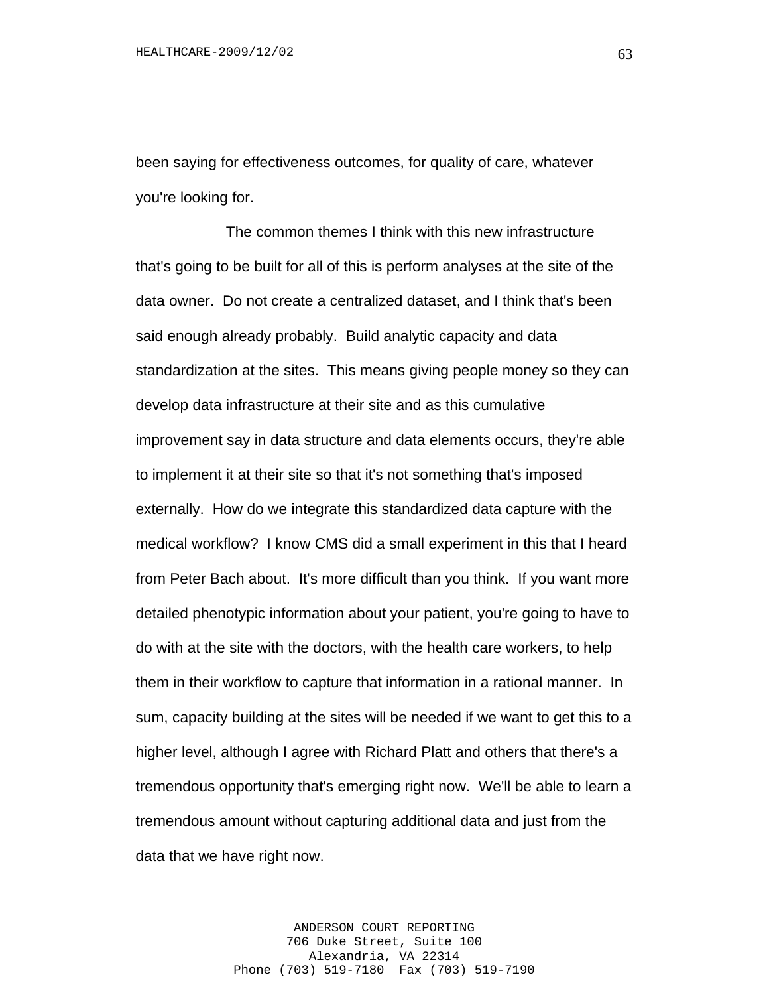been saying for effectiveness outcomes, for quality of care, whatever you're looking for.

The common themes I think with this new infrastructure that's going to be built for all of this is perform analyses at the site of the data owner. Do not create a centralized dataset, and I think that's been said enough already probably. Build analytic capacity and data standardization at the sites. This means giving people money so they can develop data infrastructure at their site and as this cumulative improvement say in data structure and data elements occurs, they're able to implement it at their site so that it's not something that's imposed externally. How do we integrate this standardized data capture with the medical workflow? I know CMS did a small experiment in this that I heard from Peter Bach about. It's more difficult than you think. If you want more detailed phenotypic information about your patient, you're going to have to do with at the site with the doctors, with the health care workers, to help them in their workflow to capture that information in a rational manner. In sum, capacity building at the sites will be needed if we want to get this to a higher level, although I agree with Richard Platt and others that there's a tremendous opportunity that's emerging right now. We'll be able to learn a tremendous amount without capturing additional data and just from the data that we have right now.

> ANDERSON COURT REPORTING 706 Duke Street, Suite 100 Alexandria, VA 22314 Phone (703) 519-7180 Fax (703) 519-7190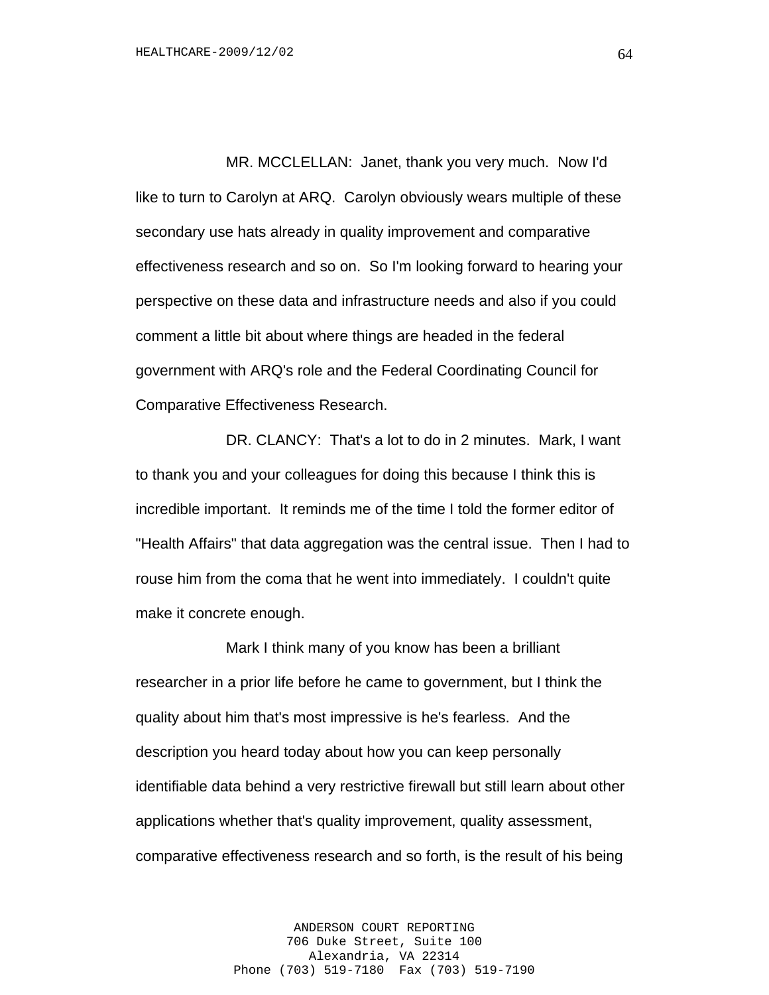MR. MCCLELLAN: Janet, thank you very much. Now I'd like to turn to Carolyn at ARQ. Carolyn obviously wears multiple of these secondary use hats already in quality improvement and comparative effectiveness research and so on. So I'm looking forward to hearing your perspective on these data and infrastructure needs and also if you could comment a little bit about where things are headed in the federal government with ARQ's role and the Federal Coordinating Council for Comparative Effectiveness Research.

DR. CLANCY: That's a lot to do in 2 minutes. Mark, I want to thank you and your colleagues for doing this because I think this is incredible important. It reminds me of the time I told the former editor of "Health Affairs" that data aggregation was the central issue. Then I had to rouse him from the coma that he went into immediately. I couldn't quite make it concrete enough.

Mark I think many of you know has been a brilliant researcher in a prior life before he came to government, but I think the quality about him that's most impressive is he's fearless. And the description you heard today about how you can keep personally identifiable data behind a very restrictive firewall but still learn about other applications whether that's quality improvement, quality assessment, comparative effectiveness research and so forth, is the result of his being

> ANDERSON COURT REPORTING 706 Duke Street, Suite 100 Alexandria, VA 22314 Phone (703) 519-7180 Fax (703) 519-7190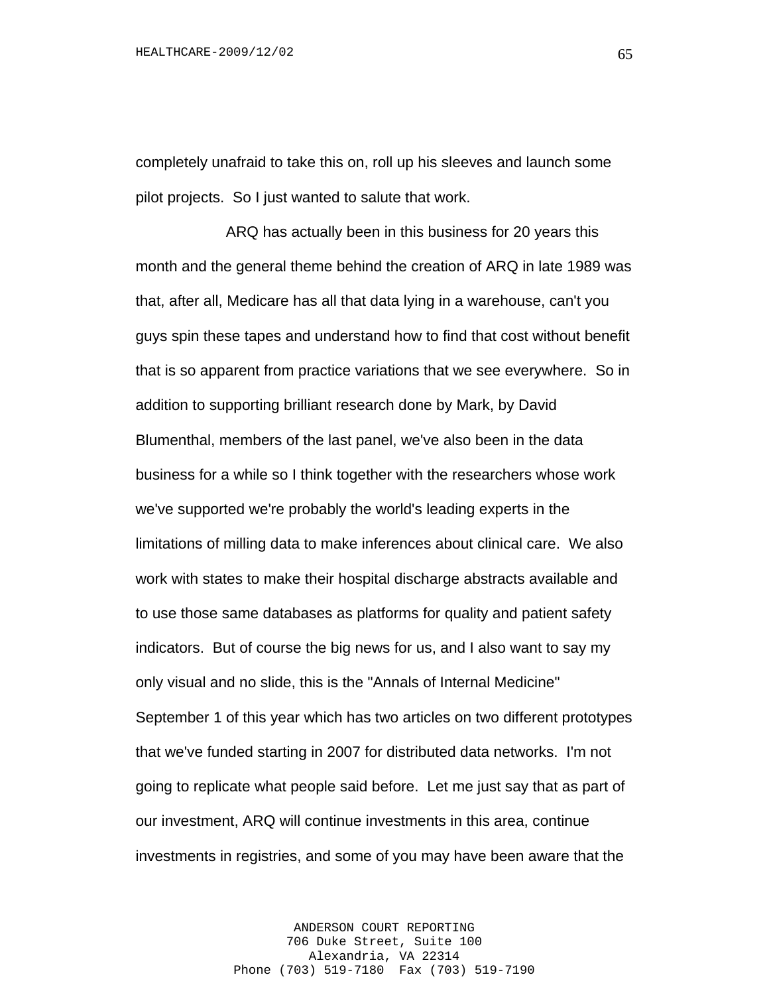completely unafraid to take this on, roll up his sleeves and launch some pilot projects. So I just wanted to salute that work.

ARQ has actually been in this business for 20 years this month and the general theme behind the creation of ARQ in late 1989 was that, after all, Medicare has all that data lying in a warehouse, can't you guys spin these tapes and understand how to find that cost without benefit that is so apparent from practice variations that we see everywhere. So in addition to supporting brilliant research done by Mark, by David Blumenthal, members of the last panel, we've also been in the data business for a while so I think together with the researchers whose work we've supported we're probably the world's leading experts in the limitations of milling data to make inferences about clinical care. We also work with states to make their hospital discharge abstracts available and to use those same databases as platforms for quality and patient safety indicators. But of course the big news for us, and I also want to say my only visual and no slide, this is the "Annals of Internal Medicine" September 1 of this year which has two articles on two different prototypes that we've funded starting in 2007 for distributed data networks. I'm not going to replicate what people said before. Let me just say that as part of our investment, ARQ will continue investments in this area, continue investments in registries, and some of you may have been aware that the

> ANDERSON COURT REPORTING 706 Duke Street, Suite 100 Alexandria, VA 22314 Phone (703) 519-7180 Fax (703) 519-7190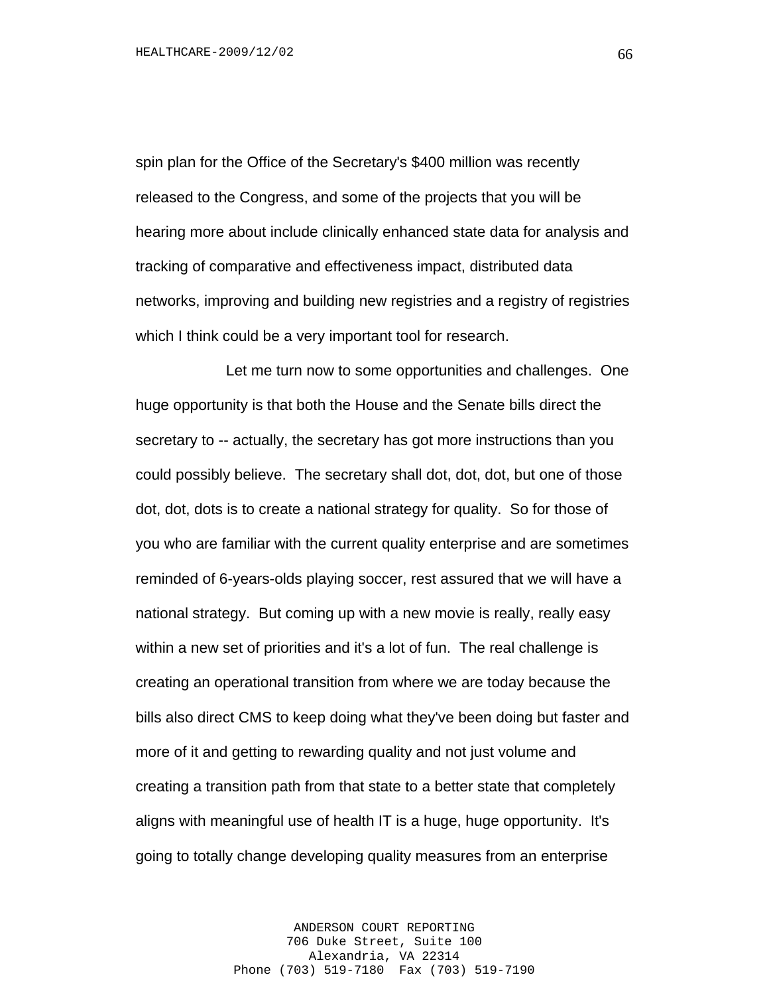spin plan for the Office of the Secretary's \$400 million was recently released to the Congress, and some of the projects that you will be hearing more about include clinically enhanced state data for analysis and tracking of comparative and effectiveness impact, distributed data networks, improving and building new registries and a registry of registries which I think could be a very important tool for research.

Let me turn now to some opportunities and challenges. One huge opportunity is that both the House and the Senate bills direct the secretary to -- actually, the secretary has got more instructions than you could possibly believe. The secretary shall dot, dot, dot, but one of those dot, dot, dots is to create a national strategy for quality. So for those of you who are familiar with the current quality enterprise and are sometimes reminded of 6-years-olds playing soccer, rest assured that we will have a national strategy. But coming up with a new movie is really, really easy within a new set of priorities and it's a lot of fun. The real challenge is creating an operational transition from where we are today because the bills also direct CMS to keep doing what they've been doing but faster and more of it and getting to rewarding quality and not just volume and creating a transition path from that state to a better state that completely aligns with meaningful use of health IT is a huge, huge opportunity. It's going to totally change developing quality measures from an enterprise

> ANDERSON COURT REPORTING 706 Duke Street, Suite 100 Alexandria, VA 22314 Phone (703) 519-7180 Fax (703) 519-7190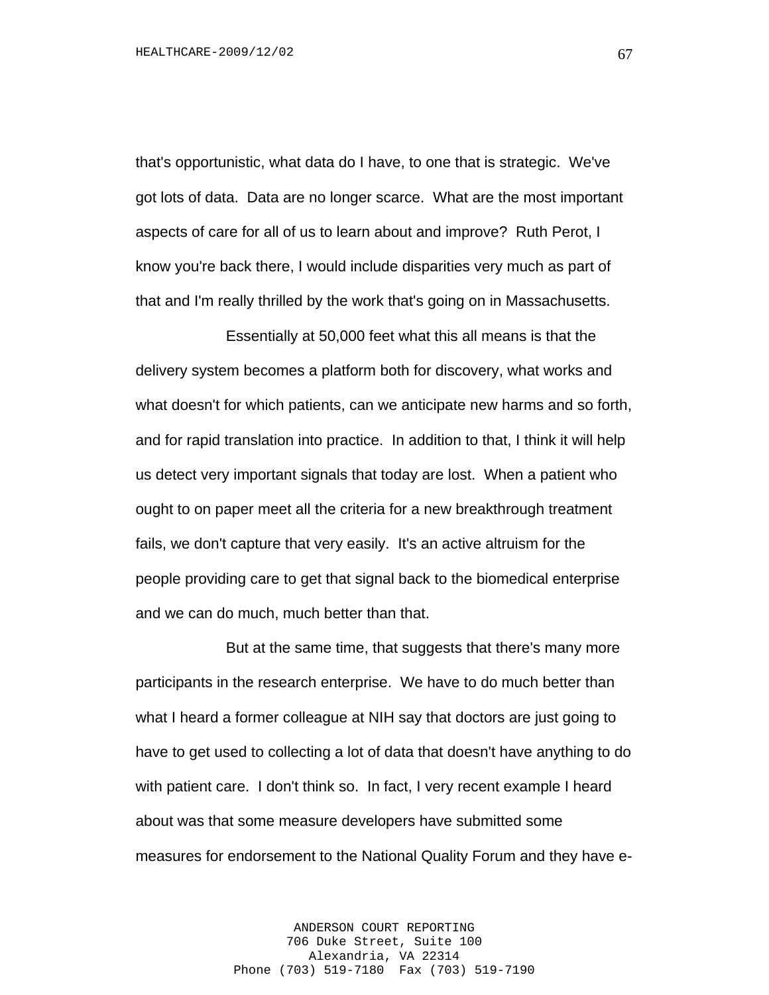that's opportunistic, what data do I have, to one that is strategic. We've got lots of data. Data are no longer scarce. What are the most important aspects of care for all of us to learn about and improve? Ruth Perot, I know you're back there, I would include disparities very much as part of that and I'm really thrilled by the work that's going on in Massachusetts.

Essentially at 50,000 feet what this all means is that the delivery system becomes a platform both for discovery, what works and what doesn't for which patients, can we anticipate new harms and so forth, and for rapid translation into practice. In addition to that, I think it will help us detect very important signals that today are lost. When a patient who ought to on paper meet all the criteria for a new breakthrough treatment fails, we don't capture that very easily. It's an active altruism for the people providing care to get that signal back to the biomedical enterprise and we can do much, much better than that.

But at the same time, that suggests that there's many more participants in the research enterprise. We have to do much better than what I heard a former colleague at NIH say that doctors are just going to have to get used to collecting a lot of data that doesn't have anything to do with patient care. I don't think so. In fact, I very recent example I heard about was that some measure developers have submitted some measures for endorsement to the National Quality Forum and they have e-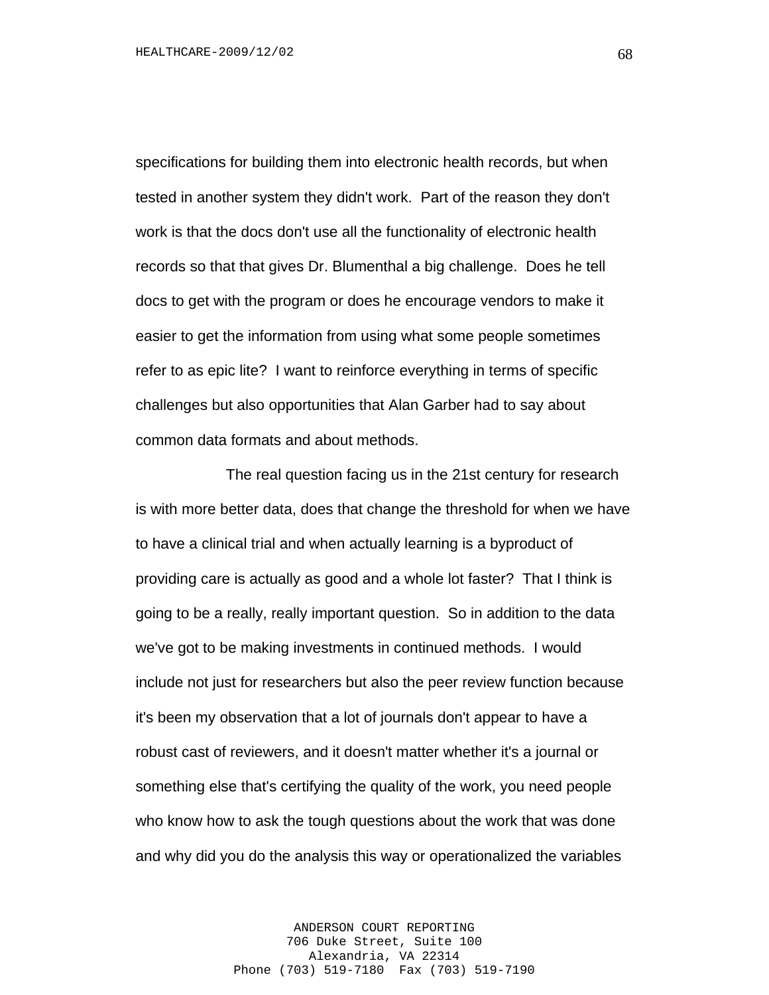specifications for building them into electronic health records, but when tested in another system they didn't work. Part of the reason they don't work is that the docs don't use all the functionality of electronic health records so that that gives Dr. Blumenthal a big challenge. Does he tell docs to get with the program or does he encourage vendors to make it easier to get the information from using what some people sometimes refer to as epic lite? I want to reinforce everything in terms of specific challenges but also opportunities that Alan Garber had to say about common data formats and about methods.

The real question facing us in the 21st century for research is with more better data, does that change the threshold for when we have to have a clinical trial and when actually learning is a byproduct of providing care is actually as good and a whole lot faster? That I think is going to be a really, really important question. So in addition to the data we've got to be making investments in continued methods. I would include not just for researchers but also the peer review function because it's been my observation that a lot of journals don't appear to have a robust cast of reviewers, and it doesn't matter whether it's a journal or something else that's certifying the quality of the work, you need people who know how to ask the tough questions about the work that was done and why did you do the analysis this way or operationalized the variables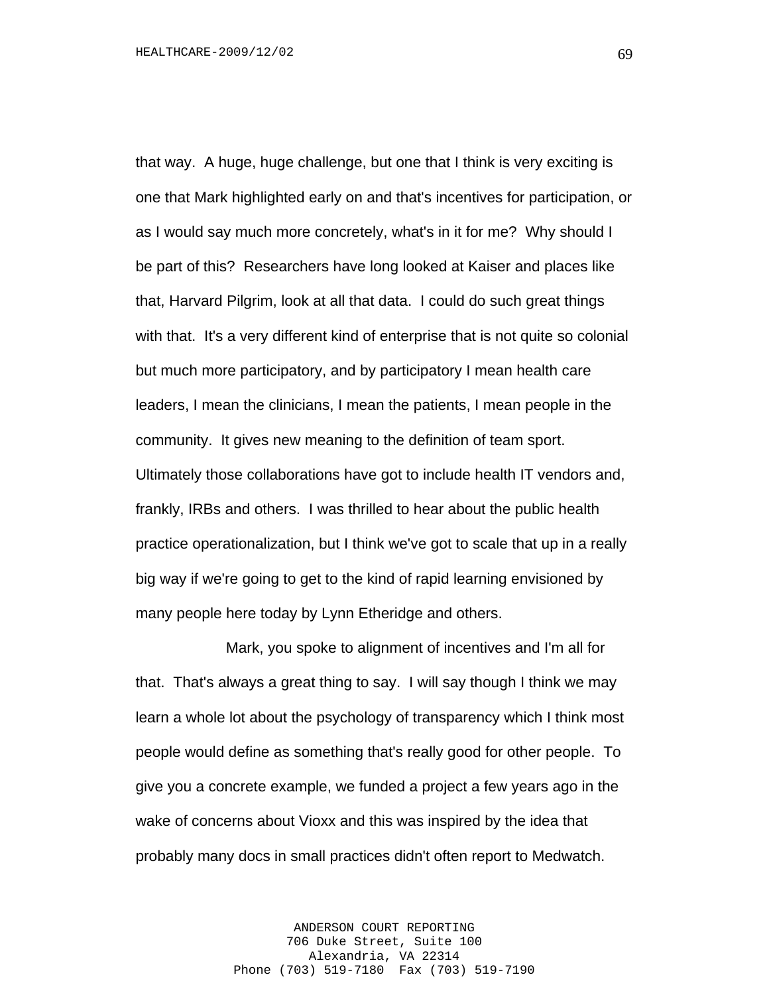that way. A huge, huge challenge, but one that I think is very exciting is one that Mark highlighted early on and that's incentives for participation, or as I would say much more concretely, what's in it for me? Why should I be part of this? Researchers have long looked at Kaiser and places like that, Harvard Pilgrim, look at all that data. I could do such great things with that. It's a very different kind of enterprise that is not quite so colonial but much more participatory, and by participatory I mean health care leaders, I mean the clinicians, I mean the patients, I mean people in the community. It gives new meaning to the definition of team sport. Ultimately those collaborations have got to include health IT vendors and, frankly, IRBs and others. I was thrilled to hear about the public health practice operationalization, but I think we've got to scale that up in a really big way if we're going to get to the kind of rapid learning envisioned by many people here today by Lynn Etheridge and others.

Mark, you spoke to alignment of incentives and I'm all for that. That's always a great thing to say. I will say though I think we may learn a whole lot about the psychology of transparency which I think most people would define as something that's really good for other people. To give you a concrete example, we funded a project a few years ago in the wake of concerns about Vioxx and this was inspired by the idea that probably many docs in small practices didn't often report to Medwatch.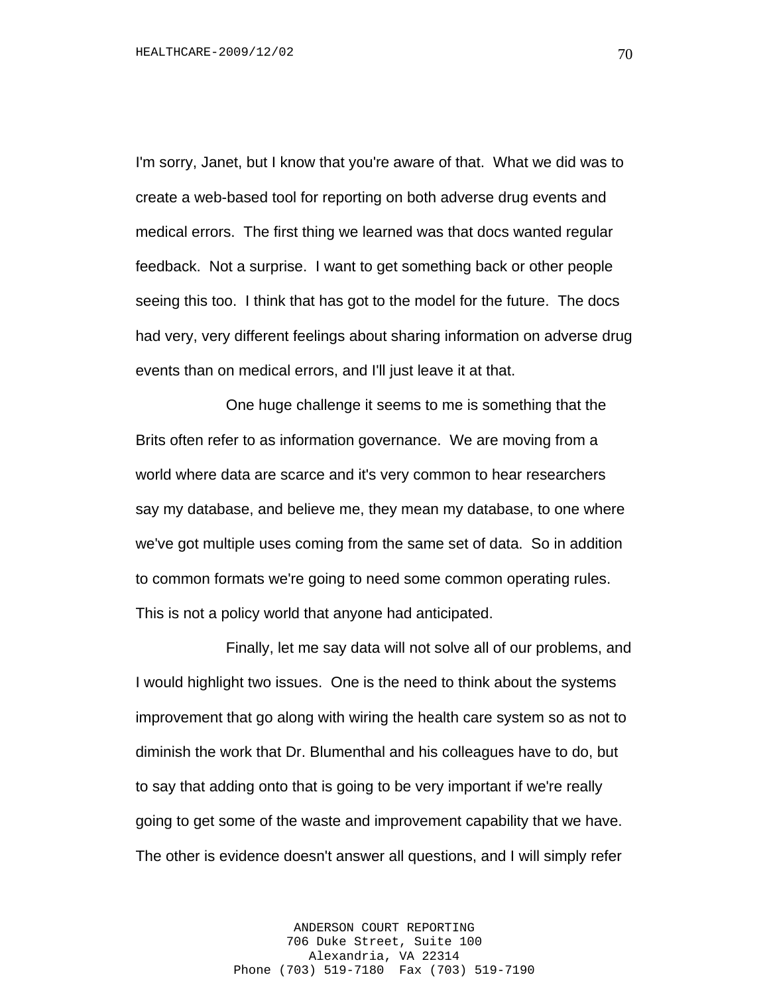I'm sorry, Janet, but I know that you're aware of that. What we did was to create a web-based tool for reporting on both adverse drug events and medical errors. The first thing we learned was that docs wanted regular feedback. Not a surprise. I want to get something back or other people seeing this too. I think that has got to the model for the future. The docs had very, very different feelings about sharing information on adverse drug events than on medical errors, and I'll just leave it at that.

One huge challenge it seems to me is something that the Brits often refer to as information governance. We are moving from a world where data are scarce and it's very common to hear researchers say my database, and believe me, they mean my database, to one where we've got multiple uses coming from the same set of data. So in addition to common formats we're going to need some common operating rules. This is not a policy world that anyone had anticipated.

Finally, let me say data will not solve all of our problems, and I would highlight two issues. One is the need to think about the systems improvement that go along with wiring the health care system so as not to diminish the work that Dr. Blumenthal and his colleagues have to do, but to say that adding onto that is going to be very important if we're really going to get some of the waste and improvement capability that we have. The other is evidence doesn't answer all questions, and I will simply refer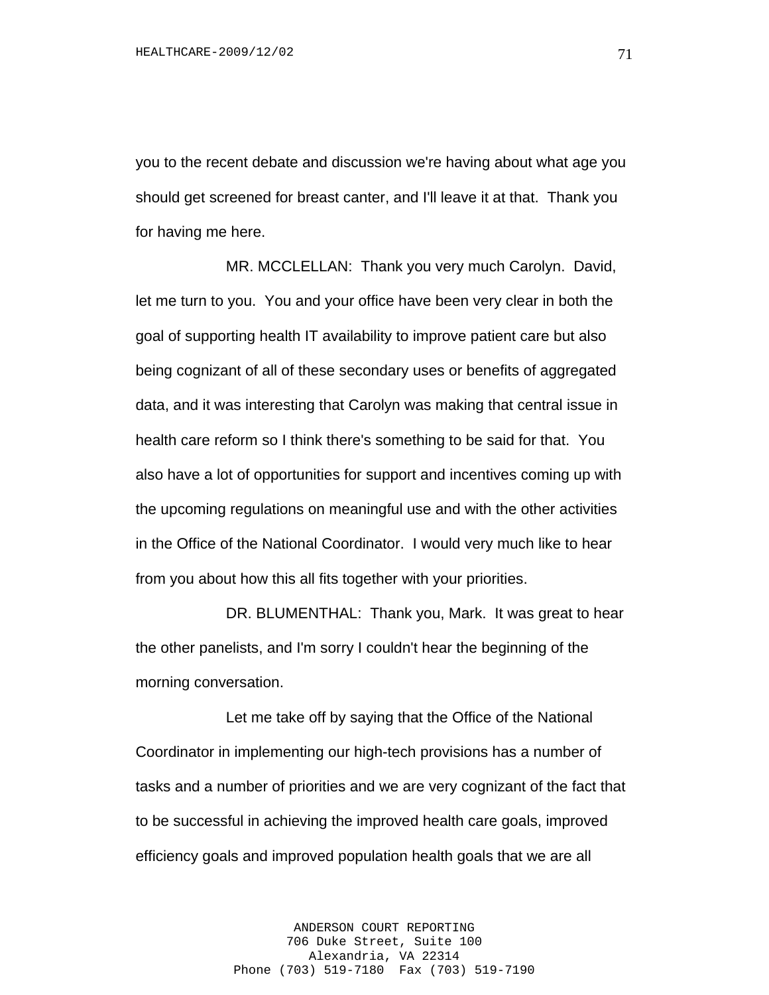you to the recent debate and discussion we're having about what age you should get screened for breast canter, and I'll leave it at that. Thank you for having me here.

MR. MCCLELLAN: Thank you very much Carolyn. David, let me turn to you. You and your office have been very clear in both the goal of supporting health IT availability to improve patient care but also being cognizant of all of these secondary uses or benefits of aggregated data, and it was interesting that Carolyn was making that central issue in health care reform so I think there's something to be said for that. You also have a lot of opportunities for support and incentives coming up with the upcoming regulations on meaningful use and with the other activities in the Office of the National Coordinator. I would very much like to hear from you about how this all fits together with your priorities.

DR. BLUMENTHAL: Thank you, Mark. It was great to hear the other panelists, and I'm sorry I couldn't hear the beginning of the morning conversation.

Let me take off by saying that the Office of the National Coordinator in implementing our high-tech provisions has a number of tasks and a number of priorities and we are very cognizant of the fact that to be successful in achieving the improved health care goals, improved efficiency goals and improved population health goals that we are all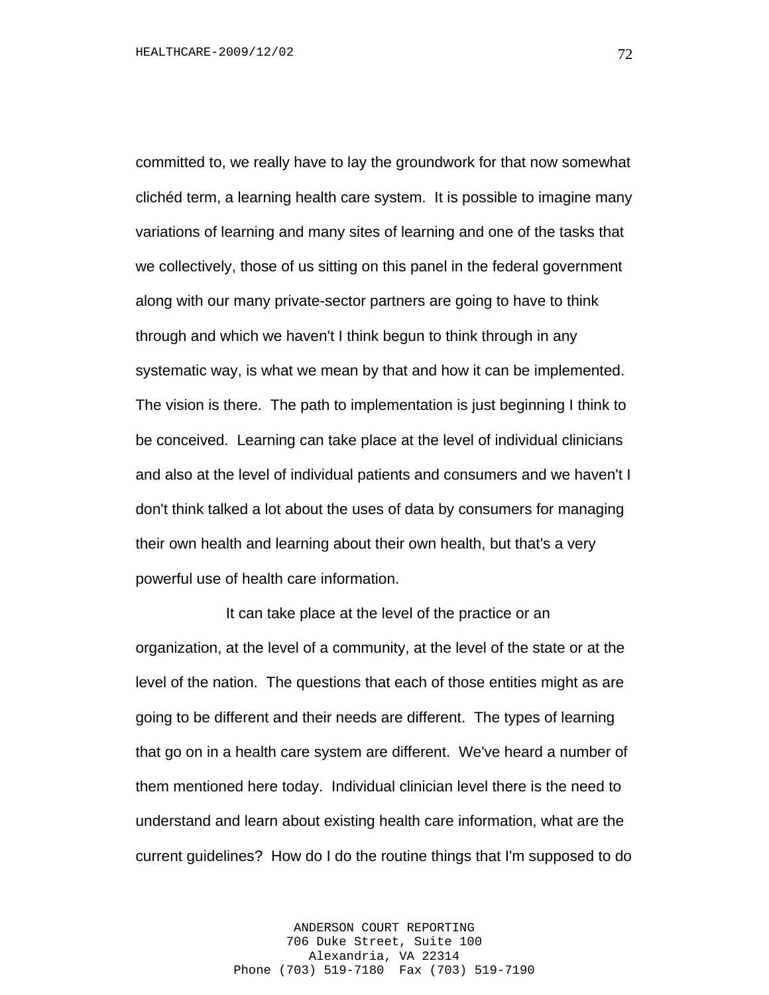committed to, we really have to lay the groundwork for that now somewhat clichéd term, a learning health care system. It is possible to imagine many variations of learning and many sites of learning and one of the tasks that we collectively, those of us sitting on this panel in the federal government along with our many private-sector partners are going to have to think through and which we haven't I think begun to think through in any systematic way, is what we mean by that and how it can be implemented. The vision is there. The path to implementation is just beginning I think to be conceived. Learning can take place at the level of individual clinicians and also at the level of individual patients and consumers and we haven't I don't think talked a lot about the uses of data by consumers for managing their own health and learning about their own health, but that's a very powerful use of health care information.

It can take place at the level of the practice or an organization, at the level of a community, at the level of the state or at the level of the nation. The questions that each of those entities might as are going to be different and their needs are different. The types of learning that go on in a health care system are different. We've heard a number of them mentioned here today. Individual clinician level there is the need to understand and learn about existing health care information, what are the current guidelines? How do I do the routine things that I'm supposed to do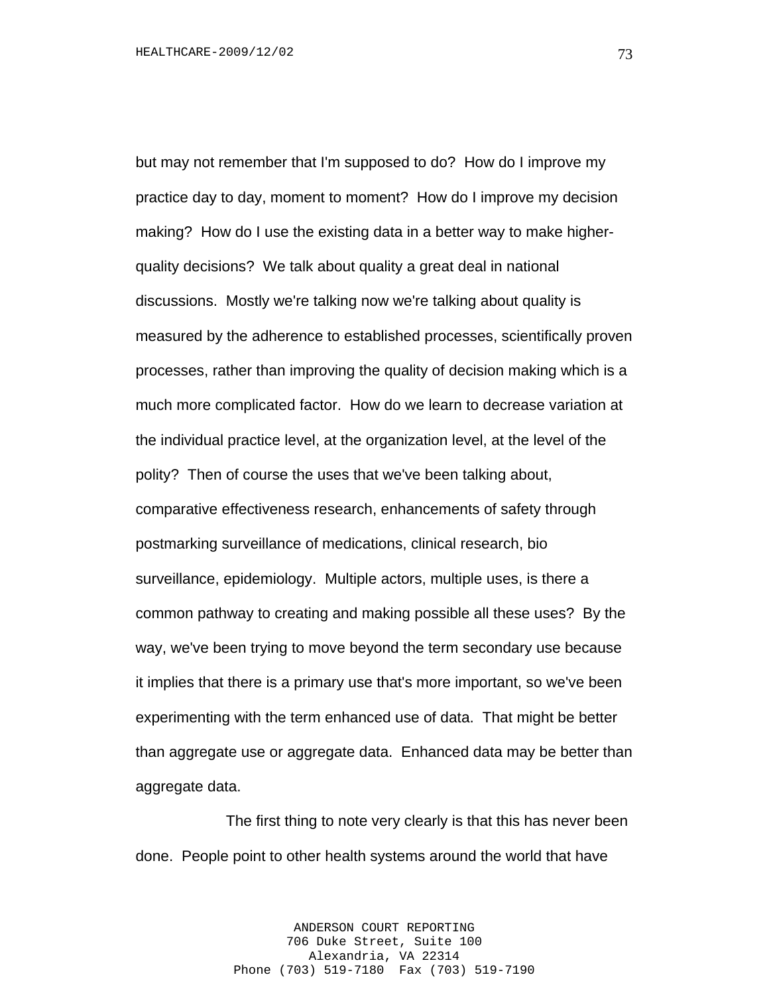but may not remember that I'm supposed to do? How do I improve my practice day to day, moment to moment? How do I improve my decision making? How do I use the existing data in a better way to make higherquality decisions? We talk about quality a great deal in national discussions. Mostly we're talking now we're talking about quality is measured by the adherence to established processes, scientifically proven processes, rather than improving the quality of decision making which is a much more complicated factor. How do we learn to decrease variation at the individual practice level, at the organization level, at the level of the polity? Then of course the uses that we've been talking about, comparative effectiveness research, enhancements of safety through postmarking surveillance of medications, clinical research, bio surveillance, epidemiology. Multiple actors, multiple uses, is there a common pathway to creating and making possible all these uses? By the way, we've been trying to move beyond the term secondary use because it implies that there is a primary use that's more important, so we've been experimenting with the term enhanced use of data. That might be better than aggregate use or aggregate data. Enhanced data may be better than aggregate data.

The first thing to note very clearly is that this has never been done. People point to other health systems around the world that have

> ANDERSON COURT REPORTING 706 Duke Street, Suite 100 Alexandria, VA 22314 Phone (703) 519-7180 Fax (703) 519-7190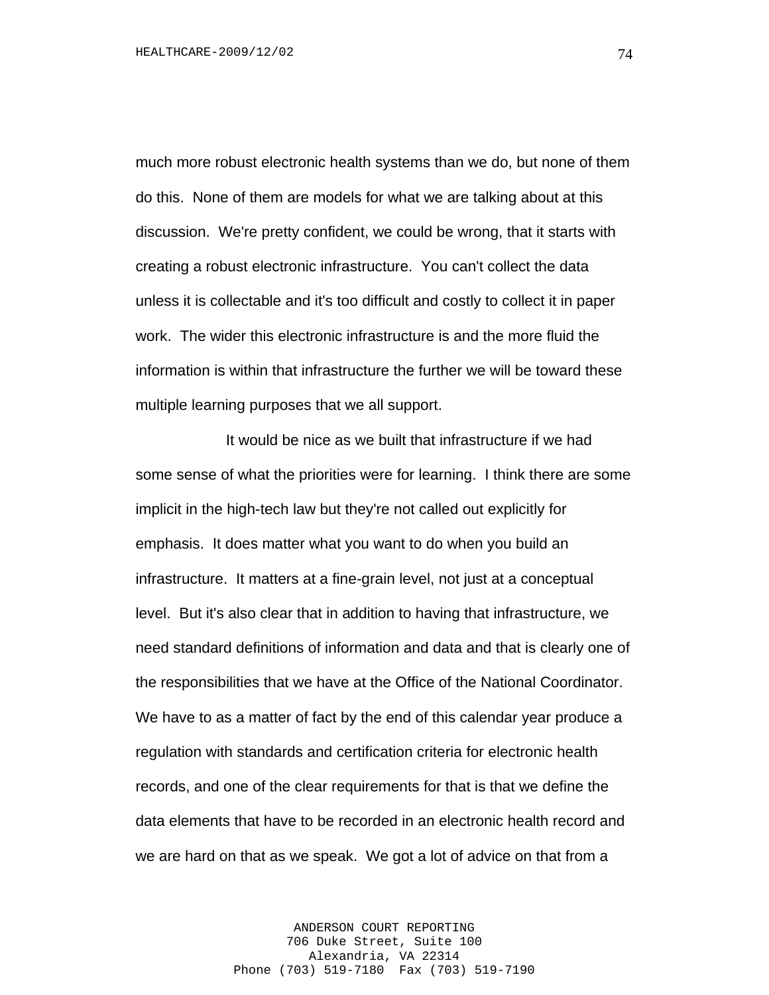much more robust electronic health systems than we do, but none of them do this. None of them are models for what we are talking about at this discussion. We're pretty confident, we could be wrong, that it starts with creating a robust electronic infrastructure. You can't collect the data unless it is collectable and it's too difficult and costly to collect it in paper work. The wider this electronic infrastructure is and the more fluid the information is within that infrastructure the further we will be toward these multiple learning purposes that we all support.

It would be nice as we built that infrastructure if we had some sense of what the priorities were for learning. I think there are some implicit in the high-tech law but they're not called out explicitly for emphasis. It does matter what you want to do when you build an infrastructure. It matters at a fine-grain level, not just at a conceptual level. But it's also clear that in addition to having that infrastructure, we need standard definitions of information and data and that is clearly one of the responsibilities that we have at the Office of the National Coordinator. We have to as a matter of fact by the end of this calendar year produce a regulation with standards and certification criteria for electronic health records, and one of the clear requirements for that is that we define the data elements that have to be recorded in an electronic health record and we are hard on that as we speak. We got a lot of advice on that from a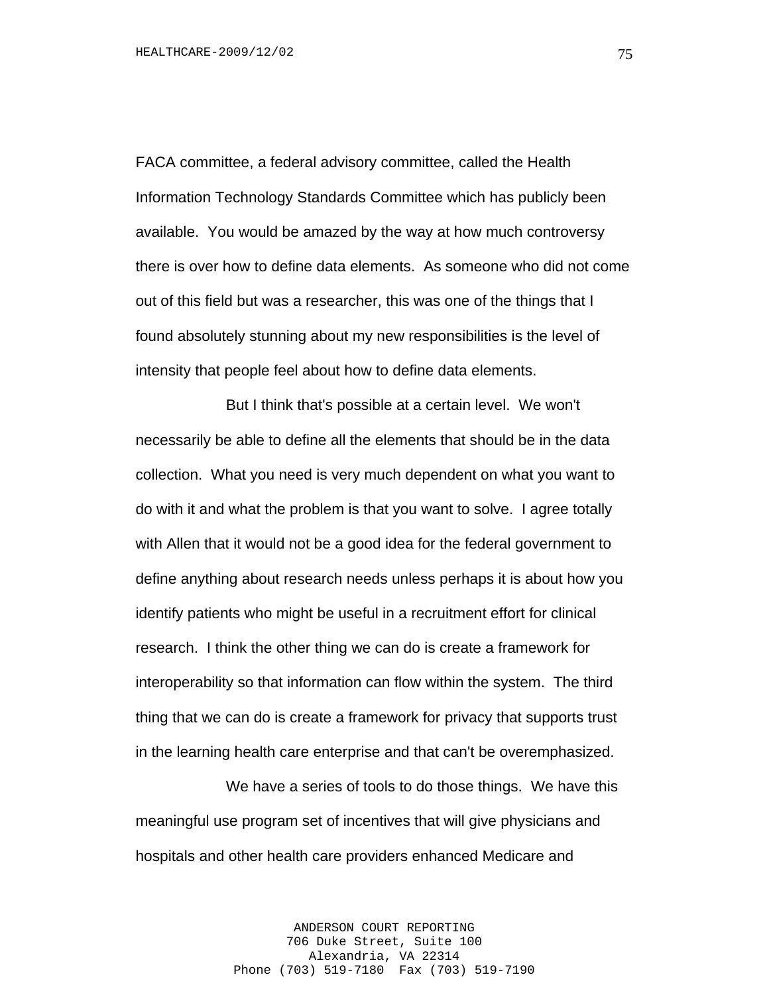FACA committee, a federal advisory committee, called the Health Information Technology Standards Committee which has publicly been available. You would be amazed by the way at how much controversy there is over how to define data elements. As someone who did not come out of this field but was a researcher, this was one of the things that I found absolutely stunning about my new responsibilities is the level of intensity that people feel about how to define data elements.

But I think that's possible at a certain level. We won't necessarily be able to define all the elements that should be in the data collection. What you need is very much dependent on what you want to do with it and what the problem is that you want to solve. I agree totally with Allen that it would not be a good idea for the federal government to define anything about research needs unless perhaps it is about how you identify patients who might be useful in a recruitment effort for clinical research. I think the other thing we can do is create a framework for interoperability so that information can flow within the system. The third thing that we can do is create a framework for privacy that supports trust in the learning health care enterprise and that can't be overemphasized.

We have a series of tools to do those things. We have this meaningful use program set of incentives that will give physicians and hospitals and other health care providers enhanced Medicare and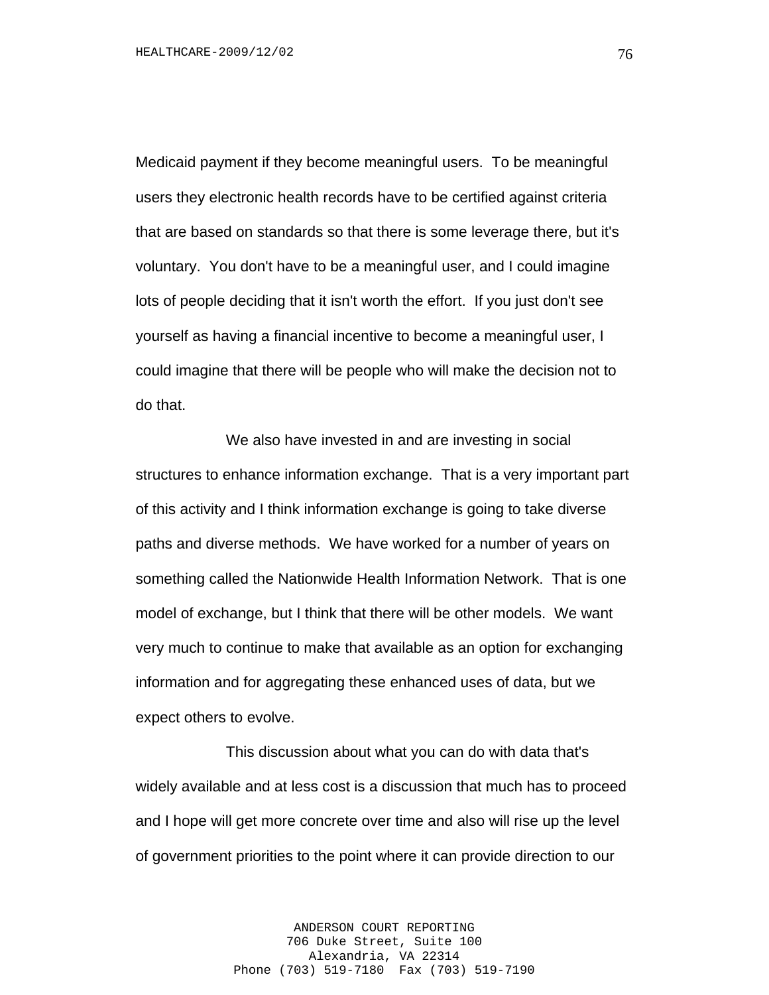Medicaid payment if they become meaningful users. To be meaningful users they electronic health records have to be certified against criteria that are based on standards so that there is some leverage there, but it's voluntary. You don't have to be a meaningful user, and I could imagine lots of people deciding that it isn't worth the effort. If you just don't see yourself as having a financial incentive to become a meaningful user, I could imagine that there will be people who will make the decision not to do that.

We also have invested in and are investing in social structures to enhance information exchange. That is a very important part of this activity and I think information exchange is going to take diverse paths and diverse methods. We have worked for a number of years on something called the Nationwide Health Information Network. That is one model of exchange, but I think that there will be other models. We want very much to continue to make that available as an option for exchanging information and for aggregating these enhanced uses of data, but we expect others to evolve.

This discussion about what you can do with data that's widely available and at less cost is a discussion that much has to proceed and I hope will get more concrete over time and also will rise up the level of government priorities to the point where it can provide direction to our

> ANDERSON COURT REPORTING 706 Duke Street, Suite 100 Alexandria, VA 22314 Phone (703) 519-7180 Fax (703) 519-7190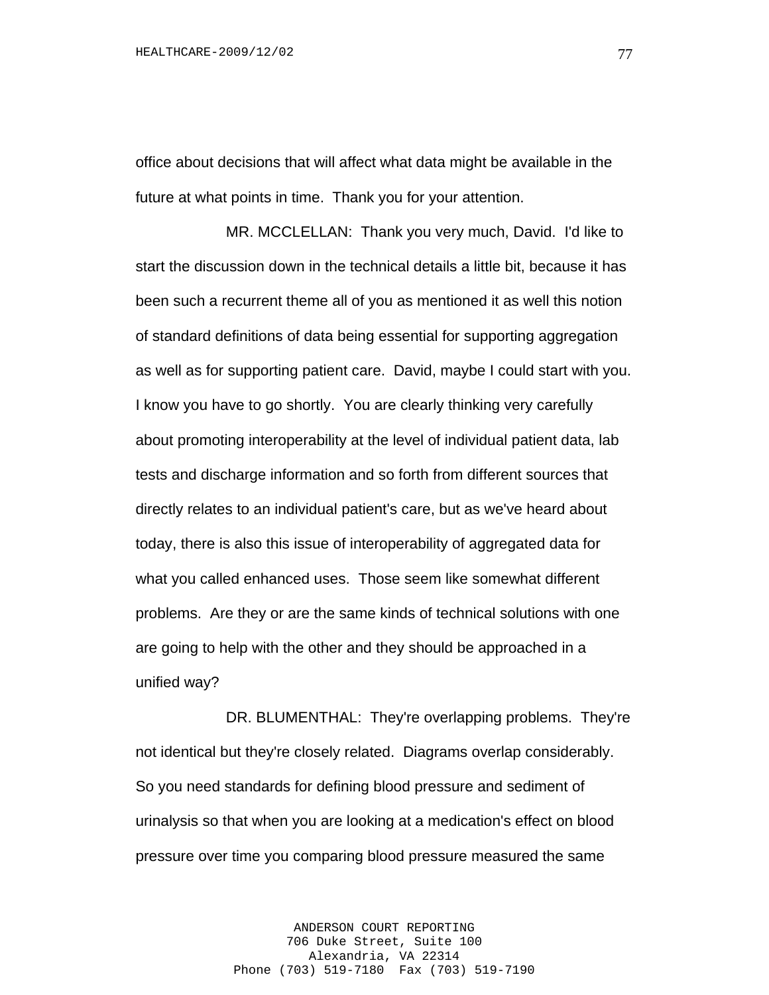office about decisions that will affect what data might be available in the future at what points in time. Thank you for your attention.

MR. MCCLELLAN: Thank you very much, David. I'd like to start the discussion down in the technical details a little bit, because it has been such a recurrent theme all of you as mentioned it as well this notion of standard definitions of data being essential for supporting aggregation as well as for supporting patient care. David, maybe I could start with you. I know you have to go shortly. You are clearly thinking very carefully about promoting interoperability at the level of individual patient data, lab tests and discharge information and so forth from different sources that directly relates to an individual patient's care, but as we've heard about today, there is also this issue of interoperability of aggregated data for what you called enhanced uses. Those seem like somewhat different problems. Are they or are the same kinds of technical solutions with one are going to help with the other and they should be approached in a unified way?

DR. BLUMENTHAL: They're overlapping problems. They're not identical but they're closely related. Diagrams overlap considerably. So you need standards for defining blood pressure and sediment of urinalysis so that when you are looking at a medication's effect on blood pressure over time you comparing blood pressure measured the same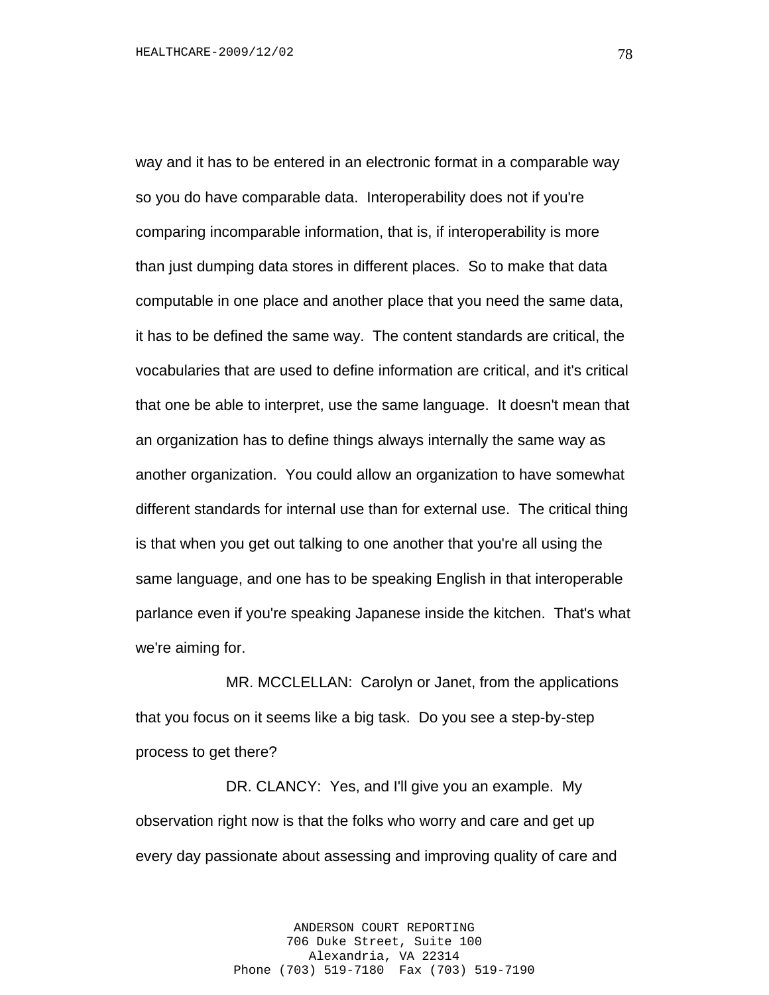way and it has to be entered in an electronic format in a comparable way so you do have comparable data. Interoperability does not if you're comparing incomparable information, that is, if interoperability is more than just dumping data stores in different places. So to make that data computable in one place and another place that you need the same data, it has to be defined the same way. The content standards are critical, the vocabularies that are used to define information are critical, and it's critical that one be able to interpret, use the same language. It doesn't mean that an organization has to define things always internally the same way as another organization. You could allow an organization to have somewhat different standards for internal use than for external use. The critical thing is that when you get out talking to one another that you're all using the same language, and one has to be speaking English in that interoperable parlance even if you're speaking Japanese inside the kitchen. That's what we're aiming for.

MR. MCCLELLAN: Carolyn or Janet, from the applications that you focus on it seems like a big task. Do you see a step-by-step process to get there?

DR. CLANCY: Yes, and I'll give you an example. My observation right now is that the folks who worry and care and get up every day passionate about assessing and improving quality of care and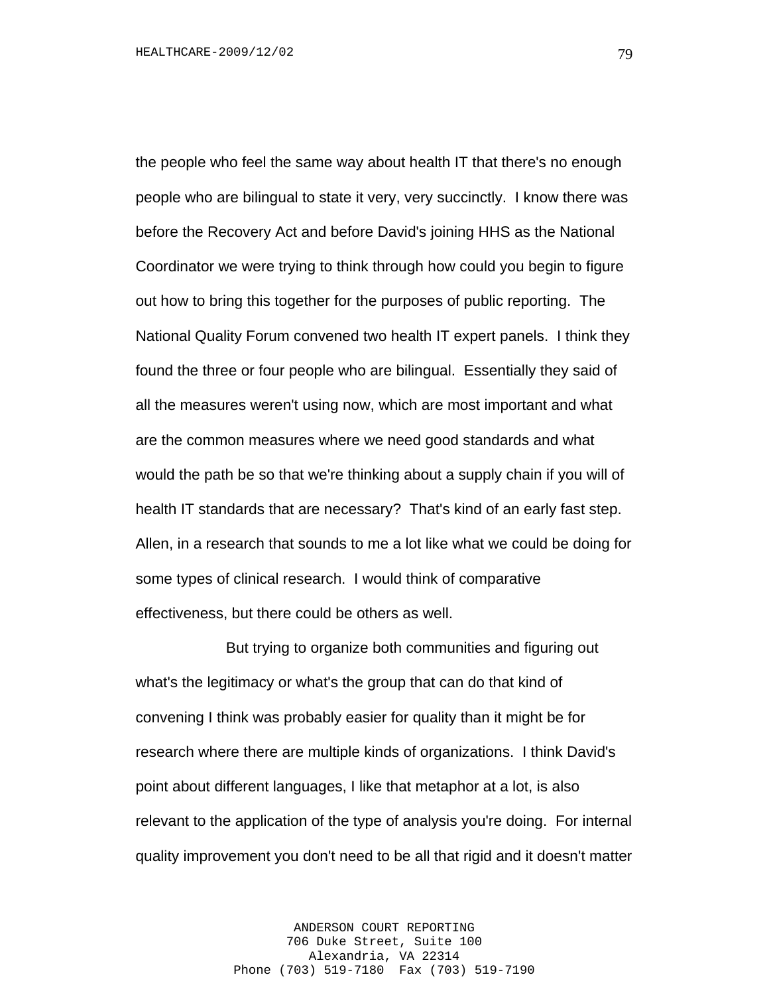the people who feel the same way about health IT that there's no enough people who are bilingual to state it very, very succinctly. I know there was before the Recovery Act and before David's joining HHS as the National Coordinator we were trying to think through how could you begin to figure out how to bring this together for the purposes of public reporting. The National Quality Forum convened two health IT expert panels. I think they found the three or four people who are bilingual. Essentially they said of all the measures weren't using now, which are most important and what are the common measures where we need good standards and what would the path be so that we're thinking about a supply chain if you will of health IT standards that are necessary? That's kind of an early fast step. Allen, in a research that sounds to me a lot like what we could be doing for some types of clinical research. I would think of comparative effectiveness, but there could be others as well.

But trying to organize both communities and figuring out what's the legitimacy or what's the group that can do that kind of convening I think was probably easier for quality than it might be for research where there are multiple kinds of organizations. I think David's point about different languages, I like that metaphor at a lot, is also relevant to the application of the type of analysis you're doing. For internal quality improvement you don't need to be all that rigid and it doesn't matter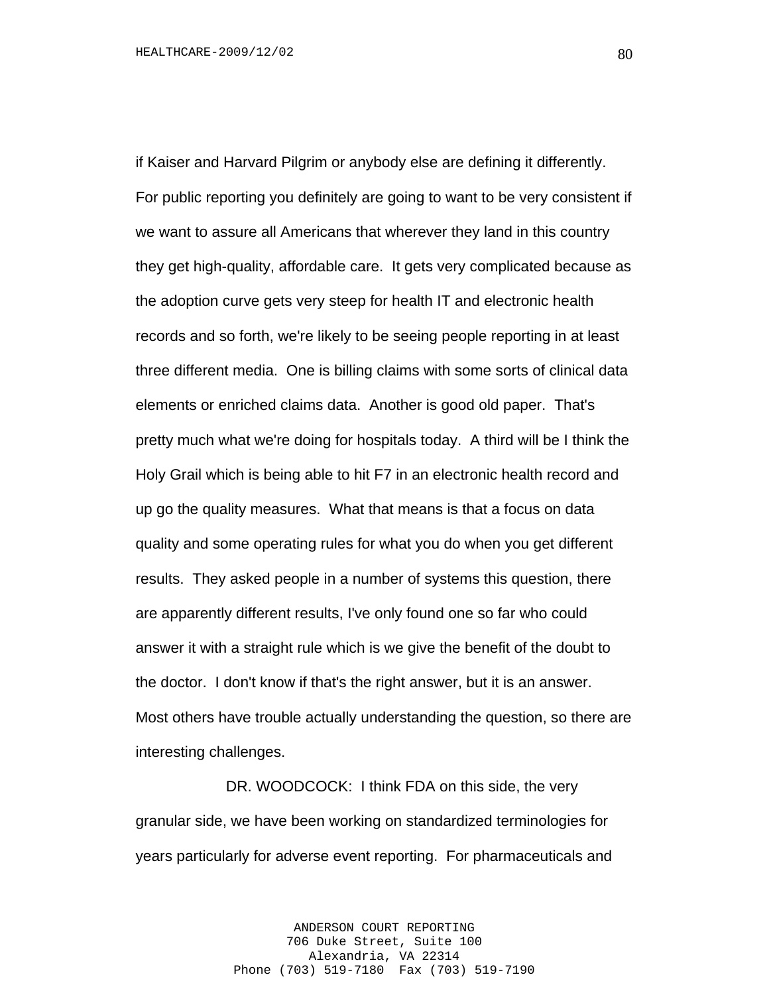if Kaiser and Harvard Pilgrim or anybody else are defining it differently. For public reporting you definitely are going to want to be very consistent if we want to assure all Americans that wherever they land in this country they get high-quality, affordable care. It gets very complicated because as the adoption curve gets very steep for health IT and electronic health records and so forth, we're likely to be seeing people reporting in at least three different media. One is billing claims with some sorts of clinical data elements or enriched claims data. Another is good old paper. That's pretty much what we're doing for hospitals today. A third will be I think the Holy Grail which is being able to hit F7 in an electronic health record and up go the quality measures. What that means is that a focus on data quality and some operating rules for what you do when you get different results. They asked people in a number of systems this question, there are apparently different results, I've only found one so far who could answer it with a straight rule which is we give the benefit of the doubt to the doctor. I don't know if that's the right answer, but it is an answer. Most others have trouble actually understanding the question, so there are interesting challenges.

DR. WOODCOCK: I think FDA on this side, the very granular side, we have been working on standardized terminologies for years particularly for adverse event reporting. For pharmaceuticals and

> ANDERSON COURT REPORTING 706 Duke Street, Suite 100 Alexandria, VA 22314 Phone (703) 519-7180 Fax (703) 519-7190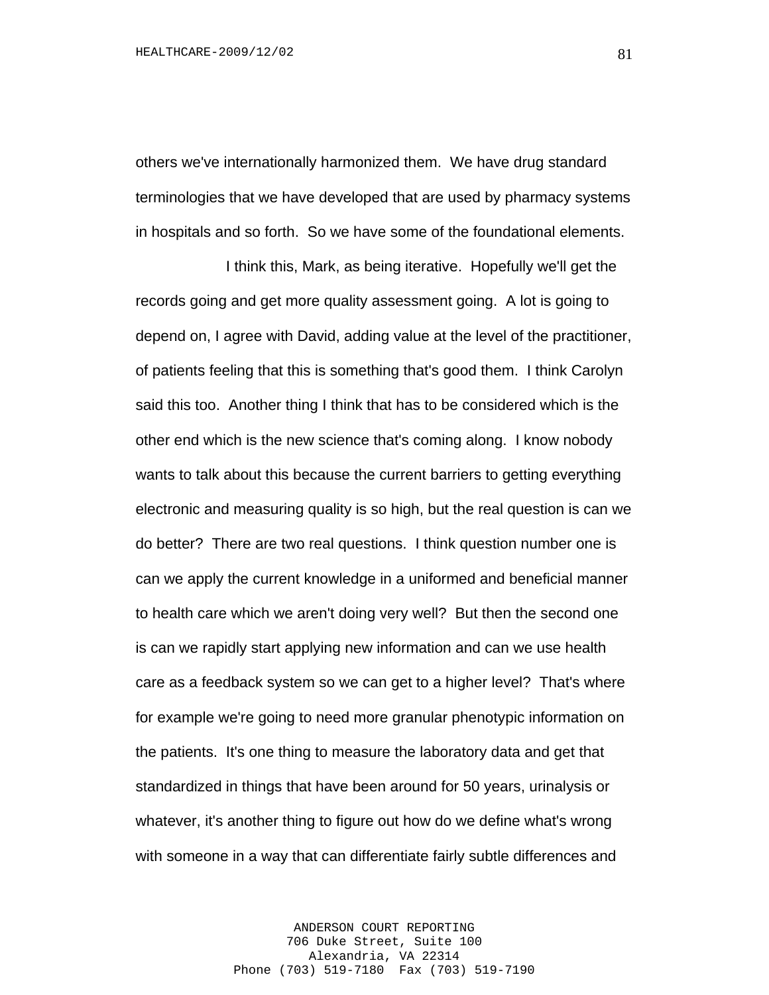others we've internationally harmonized them. We have drug standard terminologies that we have developed that are used by pharmacy systems in hospitals and so forth. So we have some of the foundational elements.

I think this, Mark, as being iterative. Hopefully we'll get the records going and get more quality assessment going. A lot is going to depend on, I agree with David, adding value at the level of the practitioner, of patients feeling that this is something that's good them. I think Carolyn said this too. Another thing I think that has to be considered which is the other end which is the new science that's coming along. I know nobody wants to talk about this because the current barriers to getting everything electronic and measuring quality is so high, but the real question is can we do better? There are two real questions. I think question number one is can we apply the current knowledge in a uniformed and beneficial manner to health care which we aren't doing very well? But then the second one is can we rapidly start applying new information and can we use health care as a feedback system so we can get to a higher level? That's where for example we're going to need more granular phenotypic information on the patients. It's one thing to measure the laboratory data and get that standardized in things that have been around for 50 years, urinalysis or whatever, it's another thing to figure out how do we define what's wrong with someone in a way that can differentiate fairly subtle differences and

> ANDERSON COURT REPORTING 706 Duke Street, Suite 100 Alexandria, VA 22314 Phone (703) 519-7180 Fax (703) 519-7190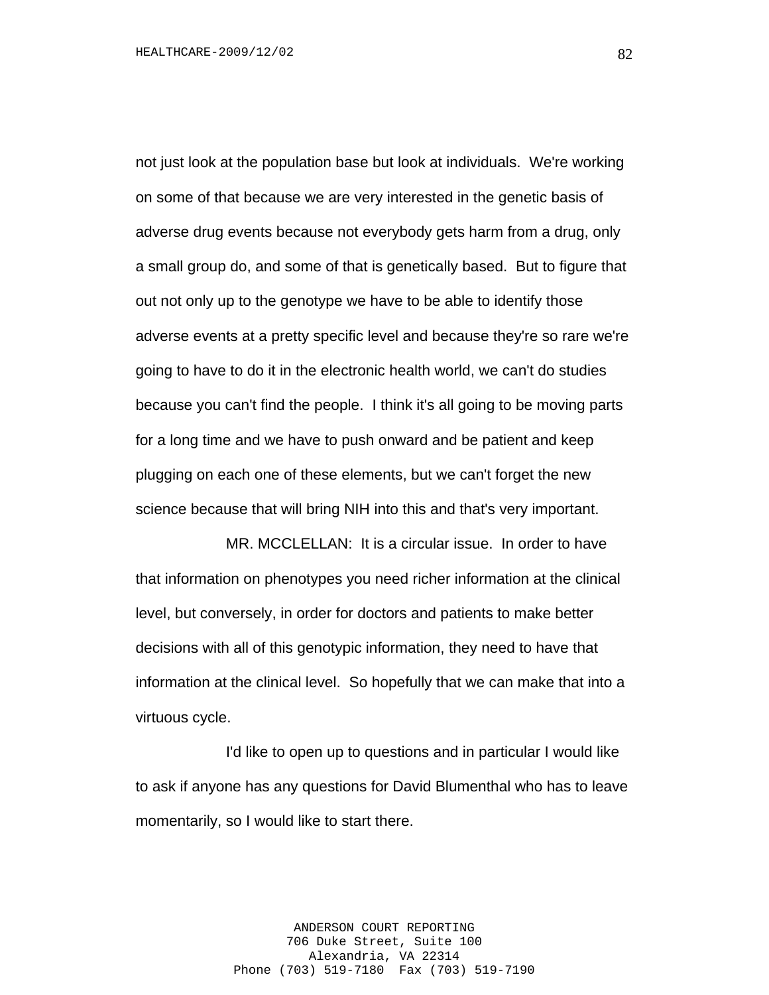not just look at the population base but look at individuals. We're working on some of that because we are very interested in the genetic basis of adverse drug events because not everybody gets harm from a drug, only a small group do, and some of that is genetically based. But to figure that out not only up to the genotype we have to be able to identify those adverse events at a pretty specific level and because they're so rare we're going to have to do it in the electronic health world, we can't do studies because you can't find the people. I think it's all going to be moving parts for a long time and we have to push onward and be patient and keep plugging on each one of these elements, but we can't forget the new science because that will bring NIH into this and that's very important.

MR. MCCLELLAN: It is a circular issue. In order to have that information on phenotypes you need richer information at the clinical level, but conversely, in order for doctors and patients to make better decisions with all of this genotypic information, they need to have that information at the clinical level. So hopefully that we can make that into a virtuous cycle.

I'd like to open up to questions and in particular I would like to ask if anyone has any questions for David Blumenthal who has to leave momentarily, so I would like to start there.

> ANDERSON COURT REPORTING 706 Duke Street, Suite 100 Alexandria, VA 22314 Phone (703) 519-7180 Fax (703) 519-7190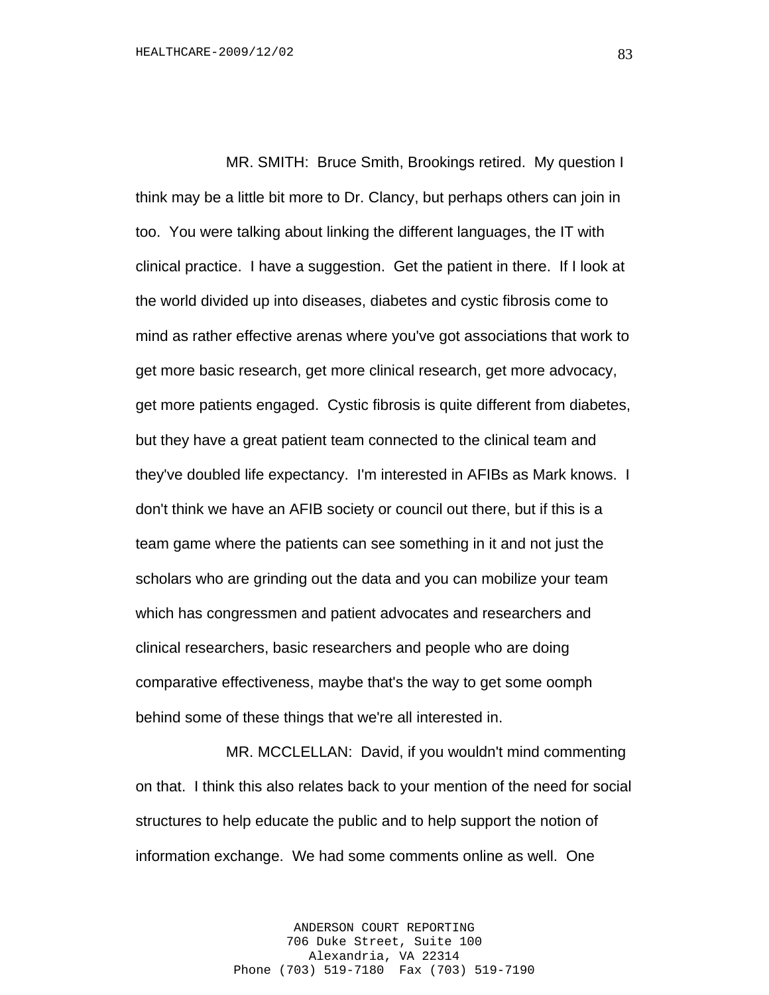MR. SMITH: Bruce Smith, Brookings retired. My question I think may be a little bit more to Dr. Clancy, but perhaps others can join in too. You were talking about linking the different languages, the IT with clinical practice. I have a suggestion. Get the patient in there. If I look at the world divided up into diseases, diabetes and cystic fibrosis come to mind as rather effective arenas where you've got associations that work to get more basic research, get more clinical research, get more advocacy, get more patients engaged. Cystic fibrosis is quite different from diabetes, but they have a great patient team connected to the clinical team and they've doubled life expectancy. I'm interested in AFIBs as Mark knows. I don't think we have an AFIB society or council out there, but if this is a team game where the patients can see something in it and not just the scholars who are grinding out the data and you can mobilize your team which has congressmen and patient advocates and researchers and clinical researchers, basic researchers and people who are doing comparative effectiveness, maybe that's the way to get some oomph behind some of these things that we're all interested in.

MR. MCCLELLAN: David, if you wouldn't mind commenting on that. I think this also relates back to your mention of the need for social structures to help educate the public and to help support the notion of information exchange. We had some comments online as well. One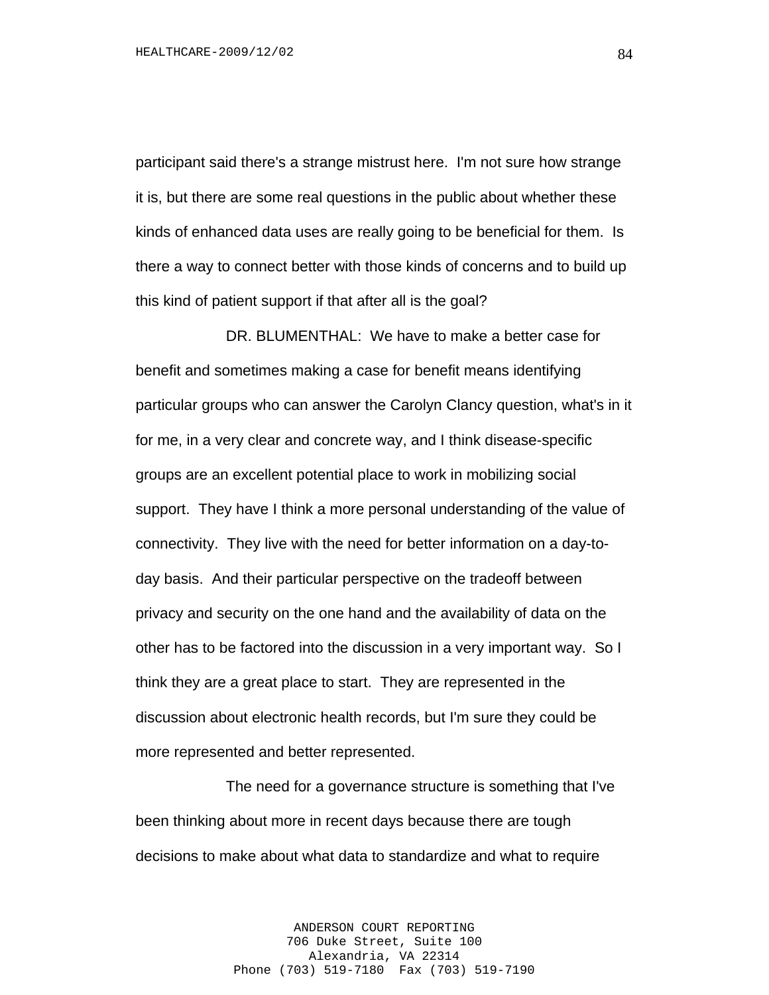participant said there's a strange mistrust here. I'm not sure how strange it is, but there are some real questions in the public about whether these kinds of enhanced data uses are really going to be beneficial for them. Is there a way to connect better with those kinds of concerns and to build up this kind of patient support if that after all is the goal?

DR. BLUMENTHAL: We have to make a better case for benefit and sometimes making a case for benefit means identifying particular groups who can answer the Carolyn Clancy question, what's in it for me, in a very clear and concrete way, and I think disease-specific groups are an excellent potential place to work in mobilizing social support. They have I think a more personal understanding of the value of connectivity. They live with the need for better information on a day-today basis. And their particular perspective on the tradeoff between privacy and security on the one hand and the availability of data on the other has to be factored into the discussion in a very important way. So I think they are a great place to start. They are represented in the discussion about electronic health records, but I'm sure they could be more represented and better represented.

The need for a governance structure is something that I've been thinking about more in recent days because there are tough decisions to make about what data to standardize and what to require

> ANDERSON COURT REPORTING 706 Duke Street, Suite 100 Alexandria, VA 22314 Phone (703) 519-7180 Fax (703) 519-7190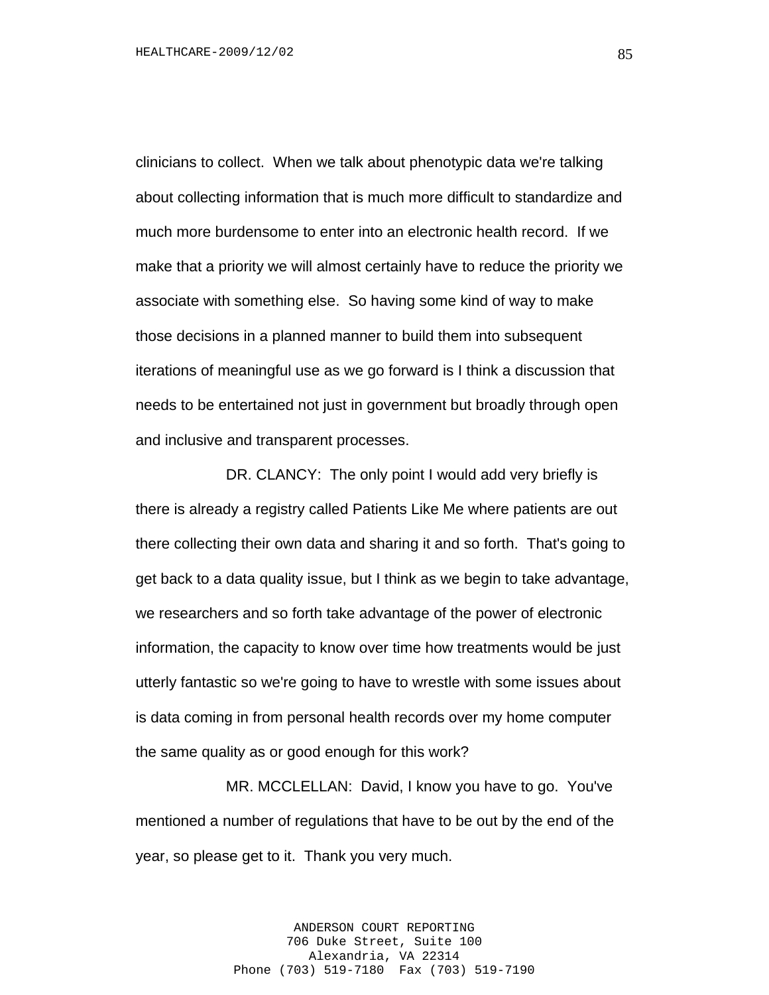clinicians to collect. When we talk about phenotypic data we're talking about collecting information that is much more difficult to standardize and much more burdensome to enter into an electronic health record. If we make that a priority we will almost certainly have to reduce the priority we associate with something else. So having some kind of way to make those decisions in a planned manner to build them into subsequent iterations of meaningful use as we go forward is I think a discussion that needs to be entertained not just in government but broadly through open and inclusive and transparent processes.

DR. CLANCY: The only point I would add very briefly is there is already a registry called Patients Like Me where patients are out there collecting their own data and sharing it and so forth. That's going to get back to a data quality issue, but I think as we begin to take advantage, we researchers and so forth take advantage of the power of electronic information, the capacity to know over time how treatments would be just utterly fantastic so we're going to have to wrestle with some issues about is data coming in from personal health records over my home computer the same quality as or good enough for this work?

MR. MCCLELLAN: David, I know you have to go. You've mentioned a number of regulations that have to be out by the end of the year, so please get to it. Thank you very much.

> ANDERSON COURT REPORTING 706 Duke Street, Suite 100 Alexandria, VA 22314 Phone (703) 519-7180 Fax (703) 519-7190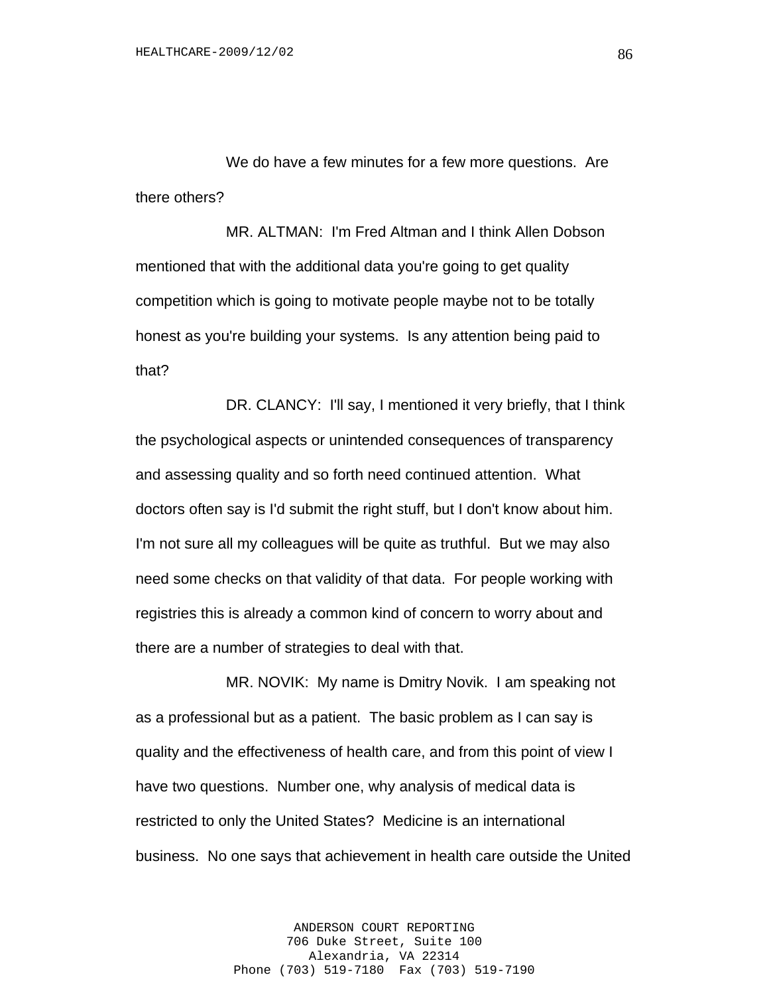We do have a few minutes for a few more questions. Are there others?

MR. ALTMAN: I'm Fred Altman and I think Allen Dobson mentioned that with the additional data you're going to get quality competition which is going to motivate people maybe not to be totally honest as you're building your systems. Is any attention being paid to that?

DR. CLANCY: I'll say, I mentioned it very briefly, that I think the psychological aspects or unintended consequences of transparency and assessing quality and so forth need continued attention. What doctors often say is I'd submit the right stuff, but I don't know about him. I'm not sure all my colleagues will be quite as truthful. But we may also need some checks on that validity of that data. For people working with registries this is already a common kind of concern to worry about and there are a number of strategies to deal with that.

MR. NOVIK: My name is Dmitry Novik. I am speaking not as a professional but as a patient. The basic problem as I can say is quality and the effectiveness of health care, and from this point of view I have two questions. Number one, why analysis of medical data is restricted to only the United States? Medicine is an international business. No one says that achievement in health care outside the United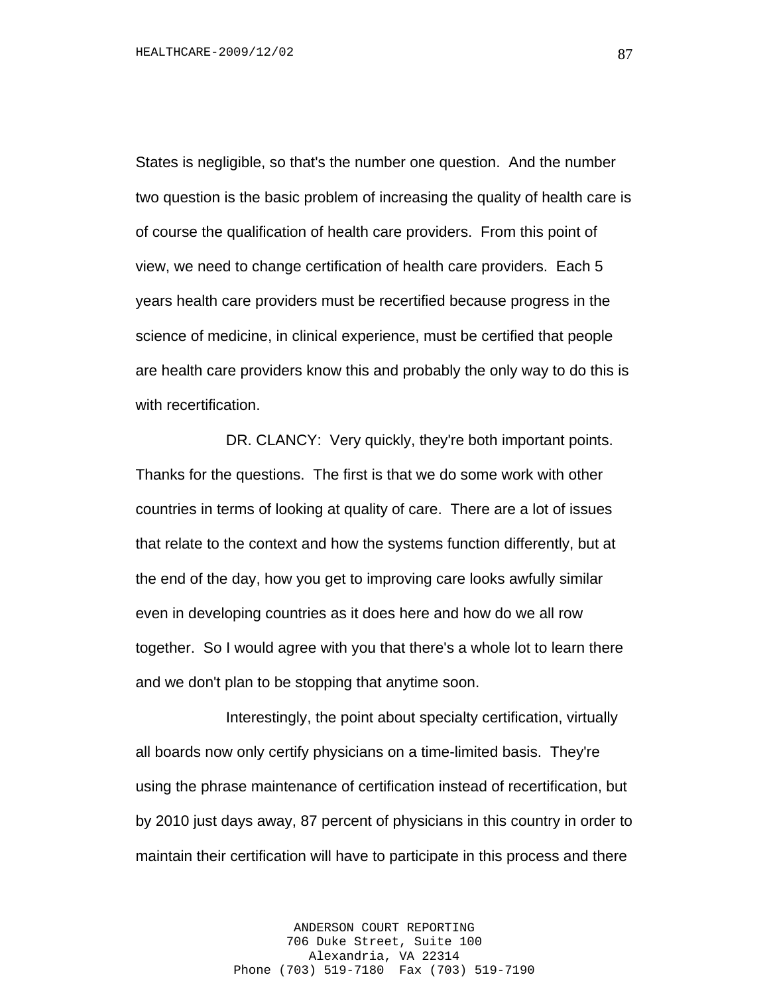States is negligible, so that's the number one question. And the number two question is the basic problem of increasing the quality of health care is of course the qualification of health care providers. From this point of view, we need to change certification of health care providers. Each 5 years health care providers must be recertified because progress in the science of medicine, in clinical experience, must be certified that people are health care providers know this and probably the only way to do this is with recertification.

DR. CLANCY: Very quickly, they're both important points. Thanks for the questions. The first is that we do some work with other countries in terms of looking at quality of care. There are a lot of issues that relate to the context and how the systems function differently, but at the end of the day, how you get to improving care looks awfully similar even in developing countries as it does here and how do we all row together. So I would agree with you that there's a whole lot to learn there and we don't plan to be stopping that anytime soon.

Interestingly, the point about specialty certification, virtually all boards now only certify physicians on a time-limited basis. They're using the phrase maintenance of certification instead of recertification, but by 2010 just days away, 87 percent of physicians in this country in order to maintain their certification will have to participate in this process and there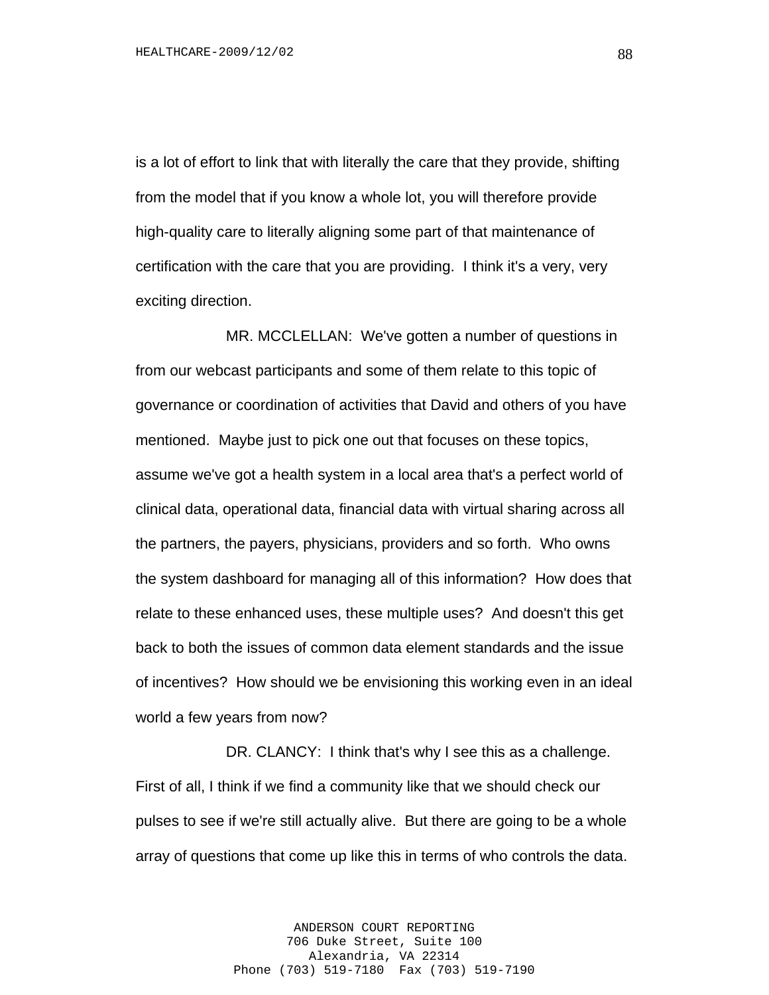is a lot of effort to link that with literally the care that they provide, shifting from the model that if you know a whole lot, you will therefore provide high-quality care to literally aligning some part of that maintenance of certification with the care that you are providing. I think it's a very, very exciting direction.

MR. MCCLELLAN: We've gotten a number of questions in from our webcast participants and some of them relate to this topic of governance or coordination of activities that David and others of you have mentioned. Maybe just to pick one out that focuses on these topics, assume we've got a health system in a local area that's a perfect world of clinical data, operational data, financial data with virtual sharing across all the partners, the payers, physicians, providers and so forth. Who owns the system dashboard for managing all of this information? How does that relate to these enhanced uses, these multiple uses? And doesn't this get back to both the issues of common data element standards and the issue of incentives? How should we be envisioning this working even in an ideal world a few years from now?

DR. CLANCY: I think that's why I see this as a challenge. First of all, I think if we find a community like that we should check our pulses to see if we're still actually alive. But there are going to be a whole array of questions that come up like this in terms of who controls the data.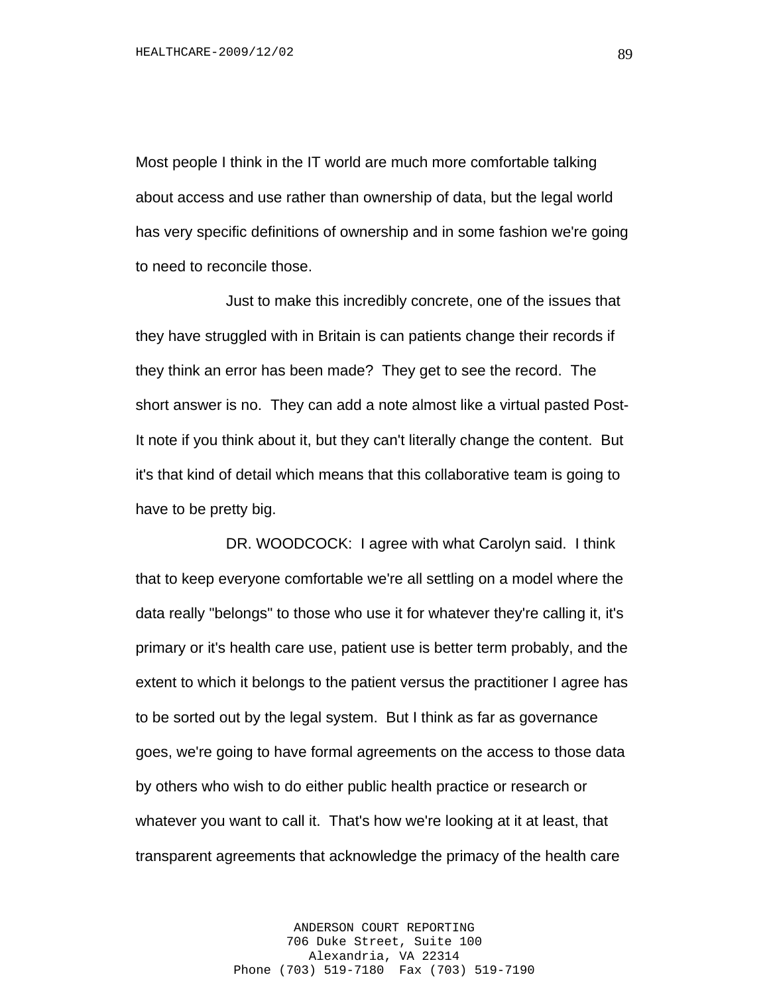Most people I think in the IT world are much more comfortable talking about access and use rather than ownership of data, but the legal world has very specific definitions of ownership and in some fashion we're going to need to reconcile those.

Just to make this incredibly concrete, one of the issues that they have struggled with in Britain is can patients change their records if they think an error has been made? They get to see the record. The short answer is no. They can add a note almost like a virtual pasted Post-It note if you think about it, but they can't literally change the content. But it's that kind of detail which means that this collaborative team is going to have to be pretty big.

DR. WOODCOCK: I agree with what Carolyn said. I think that to keep everyone comfortable we're all settling on a model where the data really "belongs" to those who use it for whatever they're calling it, it's primary or it's health care use, patient use is better term probably, and the extent to which it belongs to the patient versus the practitioner I agree has to be sorted out by the legal system. But I think as far as governance goes, we're going to have formal agreements on the access to those data by others who wish to do either public health practice or research or whatever you want to call it. That's how we're looking at it at least, that transparent agreements that acknowledge the primacy of the health care

> ANDERSON COURT REPORTING 706 Duke Street, Suite 100 Alexandria, VA 22314 Phone (703) 519-7180 Fax (703) 519-7190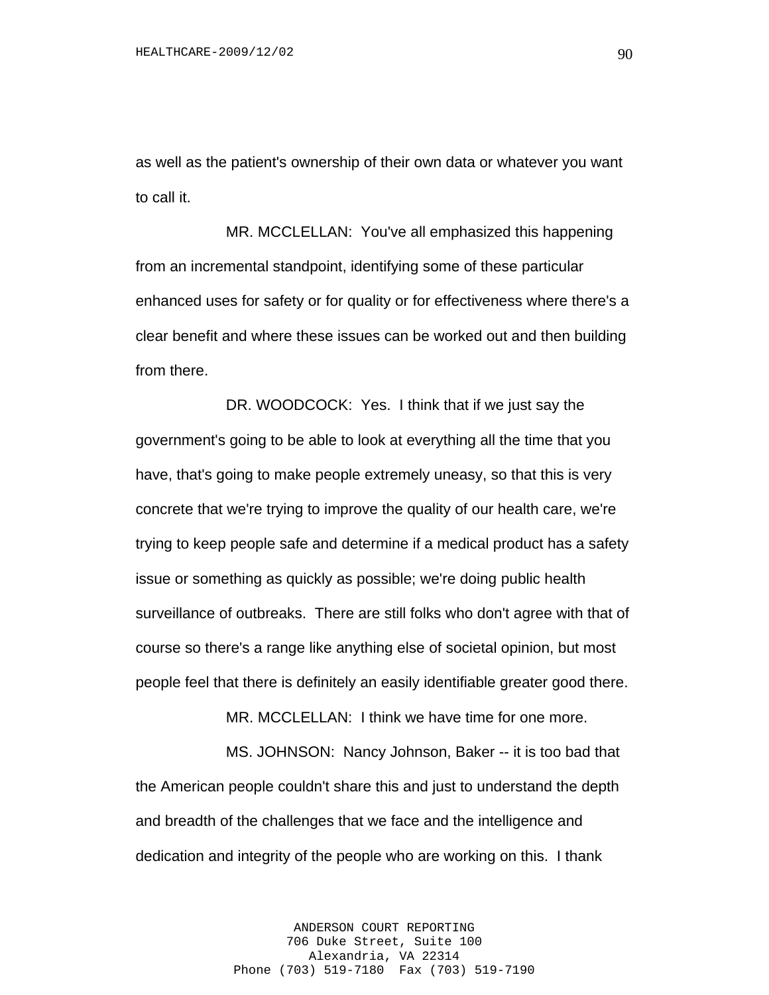as well as the patient's ownership of their own data or whatever you want to call it.

MR. MCCLELLAN: You've all emphasized this happening from an incremental standpoint, identifying some of these particular enhanced uses for safety or for quality or for effectiveness where there's a clear benefit and where these issues can be worked out and then building from there.

DR. WOODCOCK: Yes. I think that if we just say the government's going to be able to look at everything all the time that you have, that's going to make people extremely uneasy, so that this is very concrete that we're trying to improve the quality of our health care, we're trying to keep people safe and determine if a medical product has a safety issue or something as quickly as possible; we're doing public health surveillance of outbreaks. There are still folks who don't agree with that of course so there's a range like anything else of societal opinion, but most people feel that there is definitely an easily identifiable greater good there.

MR. MCCLELLAN: I think we have time for one more.

MS. JOHNSON: Nancy Johnson, Baker -- it is too bad that the American people couldn't share this and just to understand the depth and breadth of the challenges that we face and the intelligence and dedication and integrity of the people who are working on this. I thank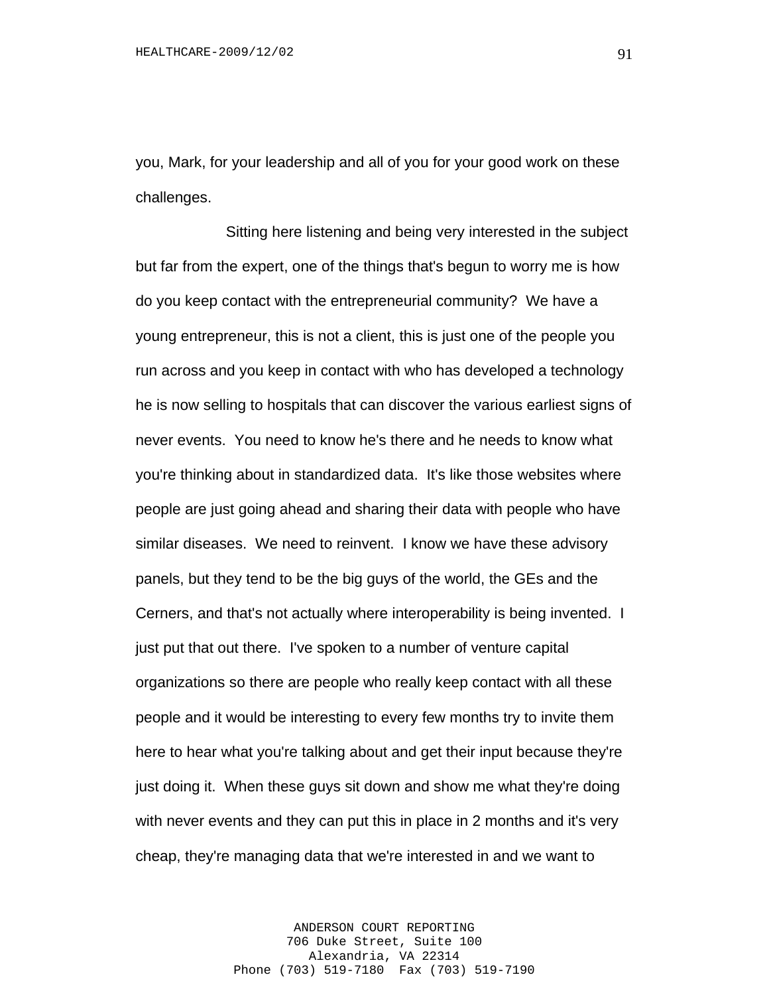you, Mark, for your leadership and all of you for your good work on these challenges.

Sitting here listening and being very interested in the subject but far from the expert, one of the things that's begun to worry me is how do you keep contact with the entrepreneurial community? We have a young entrepreneur, this is not a client, this is just one of the people you run across and you keep in contact with who has developed a technology he is now selling to hospitals that can discover the various earliest signs of never events. You need to know he's there and he needs to know what you're thinking about in standardized data. It's like those websites where people are just going ahead and sharing their data with people who have similar diseases. We need to reinvent. I know we have these advisory panels, but they tend to be the big guys of the world, the GEs and the Cerners, and that's not actually where interoperability is being invented. I just put that out there. I've spoken to a number of venture capital organizations so there are people who really keep contact with all these people and it would be interesting to every few months try to invite them here to hear what you're talking about and get their input because they're just doing it. When these guys sit down and show me what they're doing with never events and they can put this in place in 2 months and it's very cheap, they're managing data that we're interested in and we want to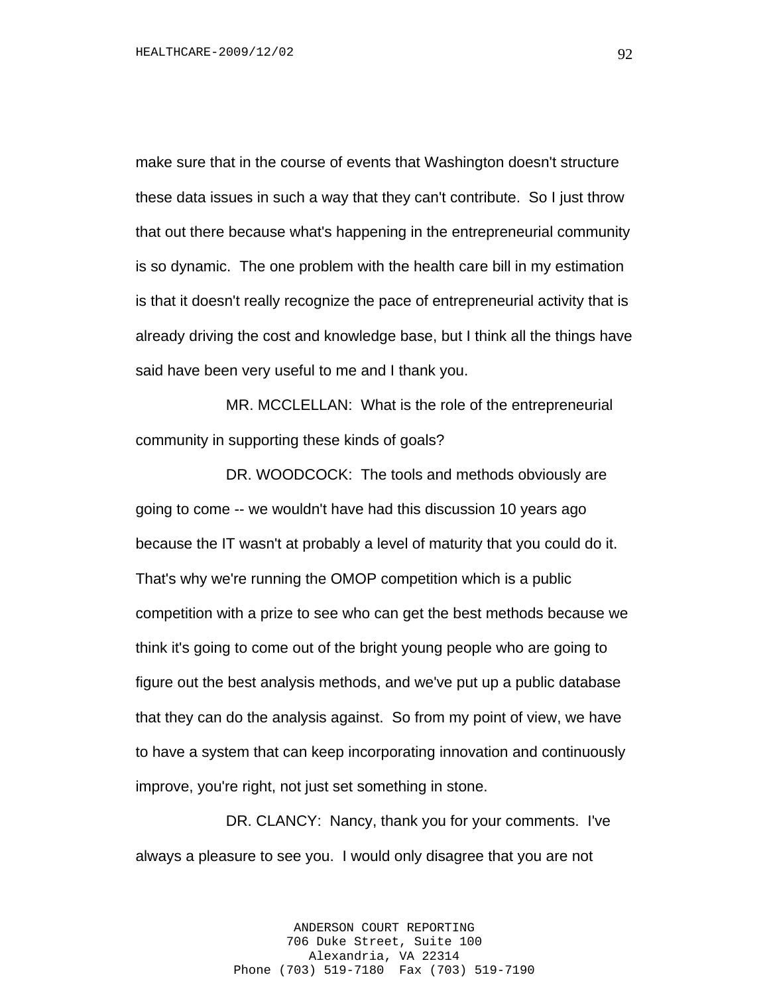make sure that in the course of events that Washington doesn't structure these data issues in such a way that they can't contribute. So I just throw that out there because what's happening in the entrepreneurial community is so dynamic. The one problem with the health care bill in my estimation is that it doesn't really recognize the pace of entrepreneurial activity that is already driving the cost and knowledge base, but I think all the things have said have been very useful to me and I thank you.

MR. MCCLELLAN: What is the role of the entrepreneurial community in supporting these kinds of goals?

DR. WOODCOCK: The tools and methods obviously are going to come -- we wouldn't have had this discussion 10 years ago because the IT wasn't at probably a level of maturity that you could do it. That's why we're running the OMOP competition which is a public competition with a prize to see who can get the best methods because we think it's going to come out of the bright young people who are going to figure out the best analysis methods, and we've put up a public database that they can do the analysis against. So from my point of view, we have to have a system that can keep incorporating innovation and continuously improve, you're right, not just set something in stone.

DR. CLANCY: Nancy, thank you for your comments. I've always a pleasure to see you. I would only disagree that you are not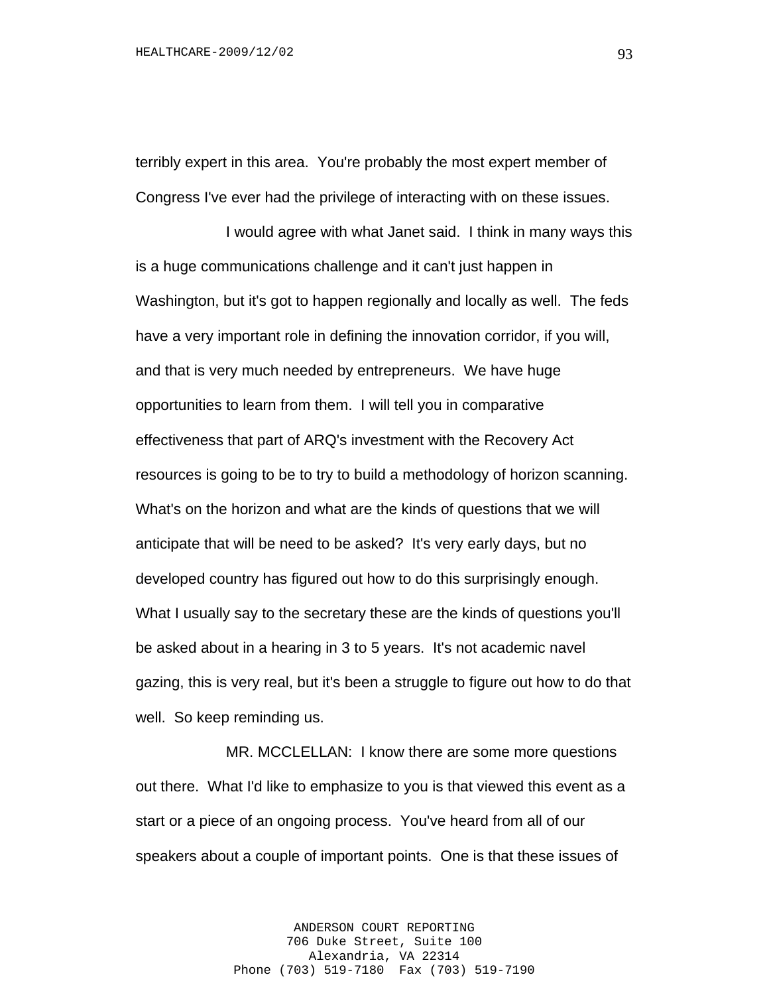terribly expert in this area. You're probably the most expert member of Congress I've ever had the privilege of interacting with on these issues.

I would agree with what Janet said. I think in many ways this is a huge communications challenge and it can't just happen in Washington, but it's got to happen regionally and locally as well. The feds have a very important role in defining the innovation corridor, if you will, and that is very much needed by entrepreneurs. We have huge opportunities to learn from them. I will tell you in comparative effectiveness that part of ARQ's investment with the Recovery Act resources is going to be to try to build a methodology of horizon scanning. What's on the horizon and what are the kinds of questions that we will anticipate that will be need to be asked? It's very early days, but no developed country has figured out how to do this surprisingly enough. What I usually say to the secretary these are the kinds of questions you'll be asked about in a hearing in 3 to 5 years. It's not academic navel gazing, this is very real, but it's been a struggle to figure out how to do that well. So keep reminding us.

MR. MCCLELLAN: I know there are some more questions out there. What I'd like to emphasize to you is that viewed this event as a start or a piece of an ongoing process. You've heard from all of our speakers about a couple of important points. One is that these issues of

> ANDERSON COURT REPORTING 706 Duke Street, Suite 100 Alexandria, VA 22314 Phone (703) 519-7180 Fax (703) 519-7190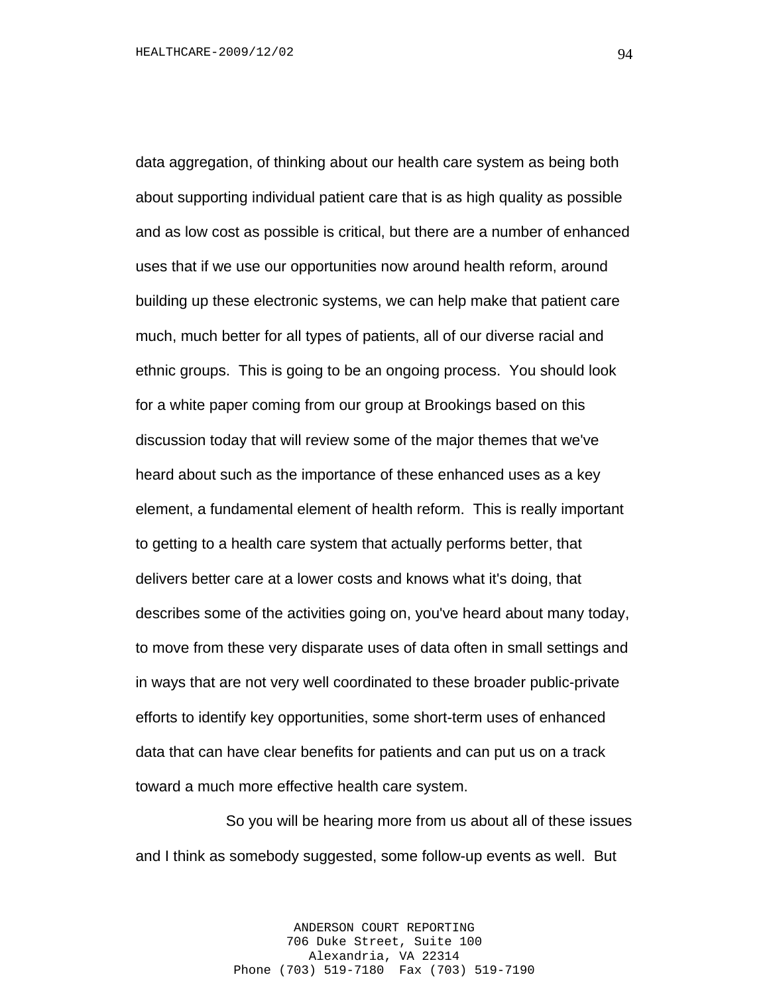data aggregation, of thinking about our health care system as being both about supporting individual patient care that is as high quality as possible and as low cost as possible is critical, but there are a number of enhanced uses that if we use our opportunities now around health reform, around building up these electronic systems, we can help make that patient care much, much better for all types of patients, all of our diverse racial and ethnic groups. This is going to be an ongoing process. You should look for a white paper coming from our group at Brookings based on this discussion today that will review some of the major themes that we've heard about such as the importance of these enhanced uses as a key element, a fundamental element of health reform. This is really important to getting to a health care system that actually performs better, that delivers better care at a lower costs and knows what it's doing, that describes some of the activities going on, you've heard about many today, to move from these very disparate uses of data often in small settings and in ways that are not very well coordinated to these broader public-private efforts to identify key opportunities, some short-term uses of enhanced data that can have clear benefits for patients and can put us on a track toward a much more effective health care system.

So you will be hearing more from us about all of these issues and I think as somebody suggested, some follow-up events as well. But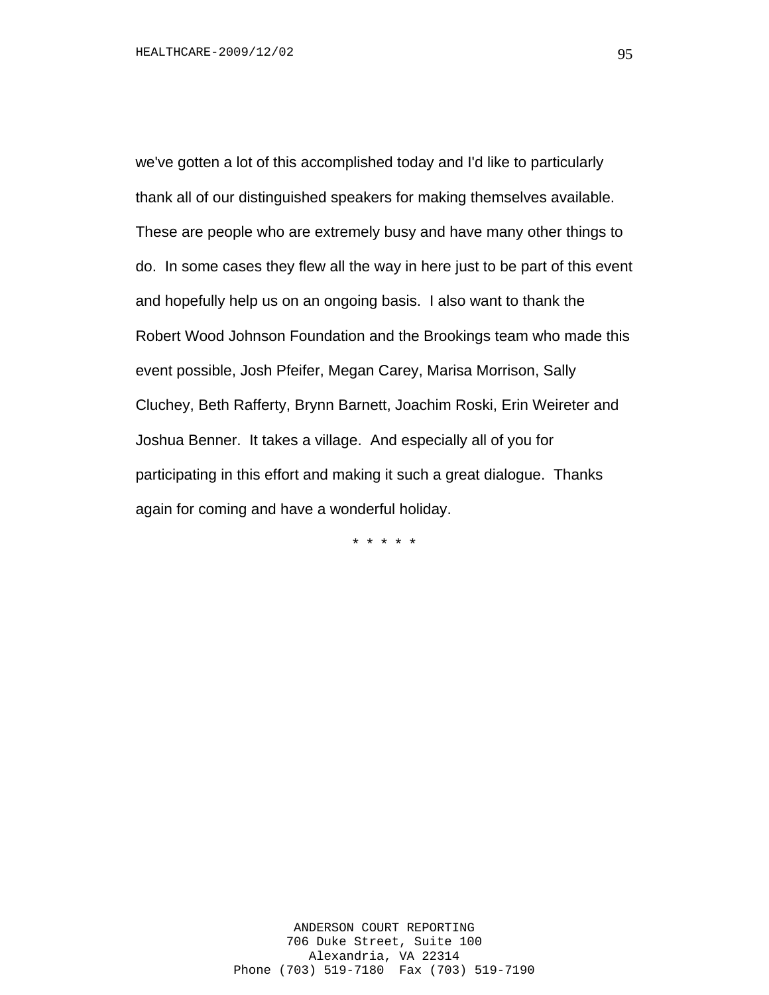we've gotten a lot of this accomplished today and I'd like to particularly thank all of our distinguished speakers for making themselves available. These are people who are extremely busy and have many other things to do. In some cases they flew all the way in here just to be part of this event and hopefully help us on an ongoing basis. I also want to thank the Robert Wood Johnson Foundation and the Brookings team who made this event possible, Josh Pfeifer, Megan Carey, Marisa Morrison, Sally Cluchey, Beth Rafferty, Brynn Barnett, Joachim Roski, Erin Weireter and Joshua Benner. It takes a village. And especially all of you for participating in this effort and making it such a great dialogue. Thanks again for coming and have a wonderful holiday.

\* \* \* \* \*